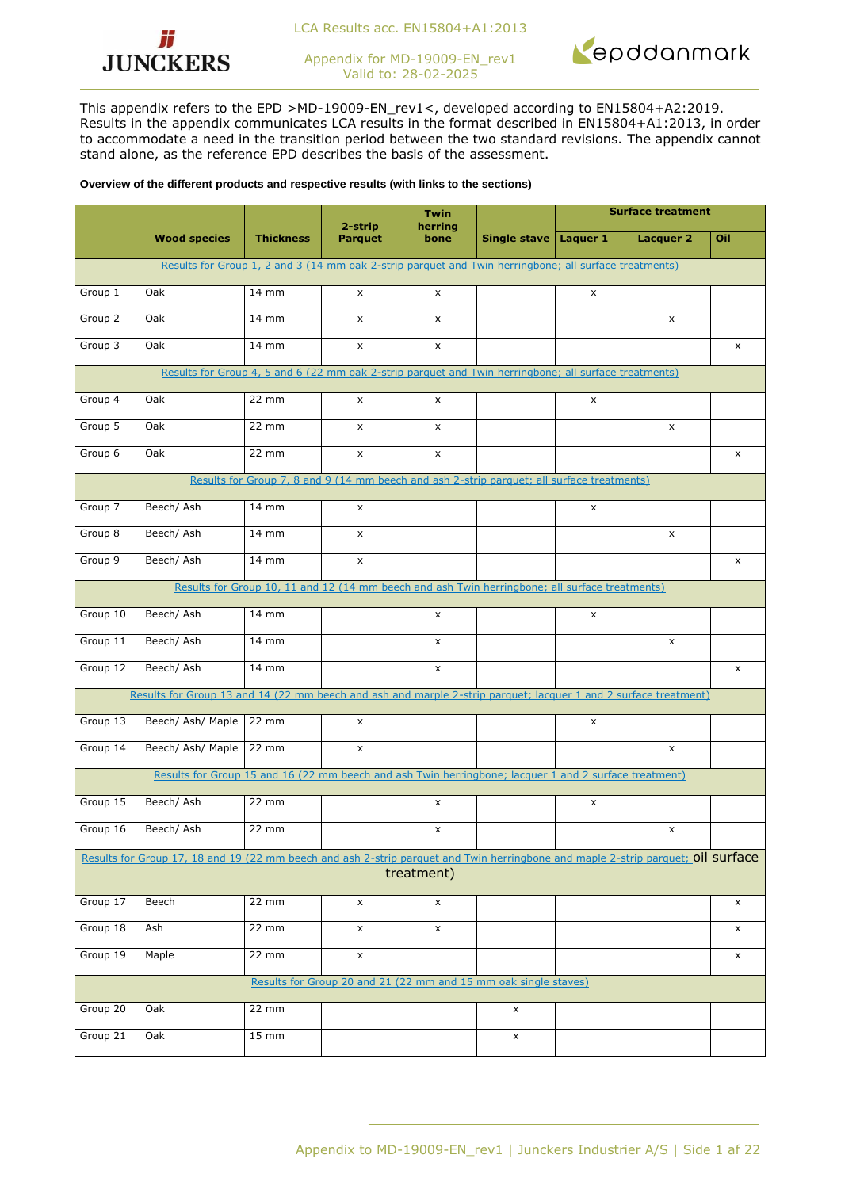

Appendix for MD-19009-EN\_rev1 Valid to: 28-02-2025



This appendix refers to the EPD >MD-19009-EN\_rev1<, developed according to EN15804+A2:2019. Results in the appendix communicates LCA results in the format described in EN15804+A1:2013, in order to accommodate a need in the transition period between the two standard revisions. The appendix cannot stand alone, as the reference EPD describes the basis of the assessment.

## **Overview of the different products and respective results (with links to the sections)**

|          |                                                                                                                                         |                   | 2-strip                   | Twin<br>herring |                                                                                                |          | <b>Surface treatment</b> |              |
|----------|-----------------------------------------------------------------------------------------------------------------------------------------|-------------------|---------------------------|-----------------|------------------------------------------------------------------------------------------------|----------|--------------------------|--------------|
|          | <b>Wood species</b>                                                                                                                     | <b>Thickness</b>  | <b>Parquet</b>            | bone            | <b>Single stave</b>                                                                            | Laquer 1 | <b>Lacquer 2</b>         | Oil          |
|          | Results for Group 1, 2 and 3 (14 mm oak 2-strip parquet and Twin herringbone; all surface treatments)                                   |                   |                           |                 |                                                                                                |          |                          |              |
| Group 1  | Oak                                                                                                                                     | $14 \text{ mm}$   | $\pmb{\times}$            | x               |                                                                                                | x        |                          |              |
| Group 2  | Oak                                                                                                                                     | 14 mm             | $\times$                  | x               |                                                                                                |          | x                        |              |
| Group 3  | Oak                                                                                                                                     | 14 mm             | $\mathsf{x}$              | X               |                                                                                                |          |                          | $\mathsf{x}$ |
|          | Results for Group 4, 5 and 6 (22 mm oak 2-strip parquet and Twin herringbone; all surface treatments)                                   |                   |                           |                 |                                                                                                |          |                          |              |
| Group 4  | Oak                                                                                                                                     | 22 mm             | x                         | x               |                                                                                                | x        |                          |              |
| Group 5  | Oak                                                                                                                                     | 22 mm             | X                         | x               |                                                                                                |          | x                        |              |
| Group 6  | Oak                                                                                                                                     | 22 mm             | $\times$                  | x               |                                                                                                |          |                          | x            |
|          |                                                                                                                                         |                   |                           |                 | Results for Group 7, 8 and 9 (14 mm beech and ash 2-strip parquet; all surface treatments)     |          |                          |              |
| Group 7  | Beech/ Ash                                                                                                                              | 14 mm             | x                         |                 |                                                                                                | x        |                          |              |
| Group 8  | Beech/Ash                                                                                                                               | $14 \text{ mm}$   | $\mathsf{x}$              |                 |                                                                                                |          | X                        |              |
| Group 9  | Beech/Ash                                                                                                                               | 14 mm             | x                         |                 |                                                                                                |          |                          | x            |
|          |                                                                                                                                         |                   |                           |                 | Results for Group 10, 11 and 12 (14 mm beech and ash Twin herringbone; all surface treatments) |          |                          |              |
| Group 10 | Beech/Ash                                                                                                                               | 14 mm             |                           | x               |                                                                                                | $\times$ |                          |              |
| Group 11 | Beech/Ash                                                                                                                               | 14 mm             |                           | x               |                                                                                                |          | x                        |              |
| Group 12 | Beech/ Ash                                                                                                                              | 14 mm             |                           | X               |                                                                                                |          |                          | X            |
|          | Results for Group 13 and 14 (22 mm beech and ash and marple 2-strip parquet; lacquer 1 and 2 surface treatment)                         |                   |                           |                 |                                                                                                |          |                          |              |
| Group 13 | Beech/ Ash/ Maple                                                                                                                       | 22 mm             | $\boldsymbol{\mathsf{x}}$ |                 |                                                                                                | x        |                          |              |
| Group 14 | Beech/ Ash/ Maple                                                                                                                       | 22 mm             | x                         |                 |                                                                                                |          | x                        |              |
|          | Results for Group 15 and 16 (22 mm beech and ash Twin herringbone; lacquer 1 and 2 surface treatment)                                   |                   |                           |                 |                                                                                                |          |                          |              |
| Group 15 | Beech/Ash                                                                                                                               | 22 mm             |                           | x               |                                                                                                | x        |                          |              |
| Group 16 | Beech/ Ash                                                                                                                              | 22 mm             |                           | x               |                                                                                                |          | x                        |              |
|          | Results for Group 17, 18 and 19 (22 mm beech and ash 2-strip parquet and Twin herringbone and maple 2-strip parquet; <b>Oil Surface</b> |                   |                           | treatment)      |                                                                                                |          |                          |              |
| Group 17 | Beech                                                                                                                                   | 22 mm             | x                         | x               |                                                                                                |          |                          | x            |
| Group 18 | Ash                                                                                                                                     | 22 mm             | X                         | x               |                                                                                                |          |                          | x            |
| Group 19 | Maple                                                                                                                                   | 22 mm             | $\pmb{\times}$            |                 |                                                                                                |          |                          | x            |
|          |                                                                                                                                         |                   |                           |                 | Results for Group 20 and 21 (22 mm and 15 mm oak single staves)                                |          |                          |              |
| Group 20 | Oak                                                                                                                                     | 22 mm             |                           |                 | X                                                                                              |          |                          |              |
| Group 21 | Oak                                                                                                                                     | $15 \, \text{mm}$ |                           |                 | $\pmb{\times}$                                                                                 |          |                          |              |
|          |                                                                                                                                         |                   |                           |                 |                                                                                                |          |                          |              |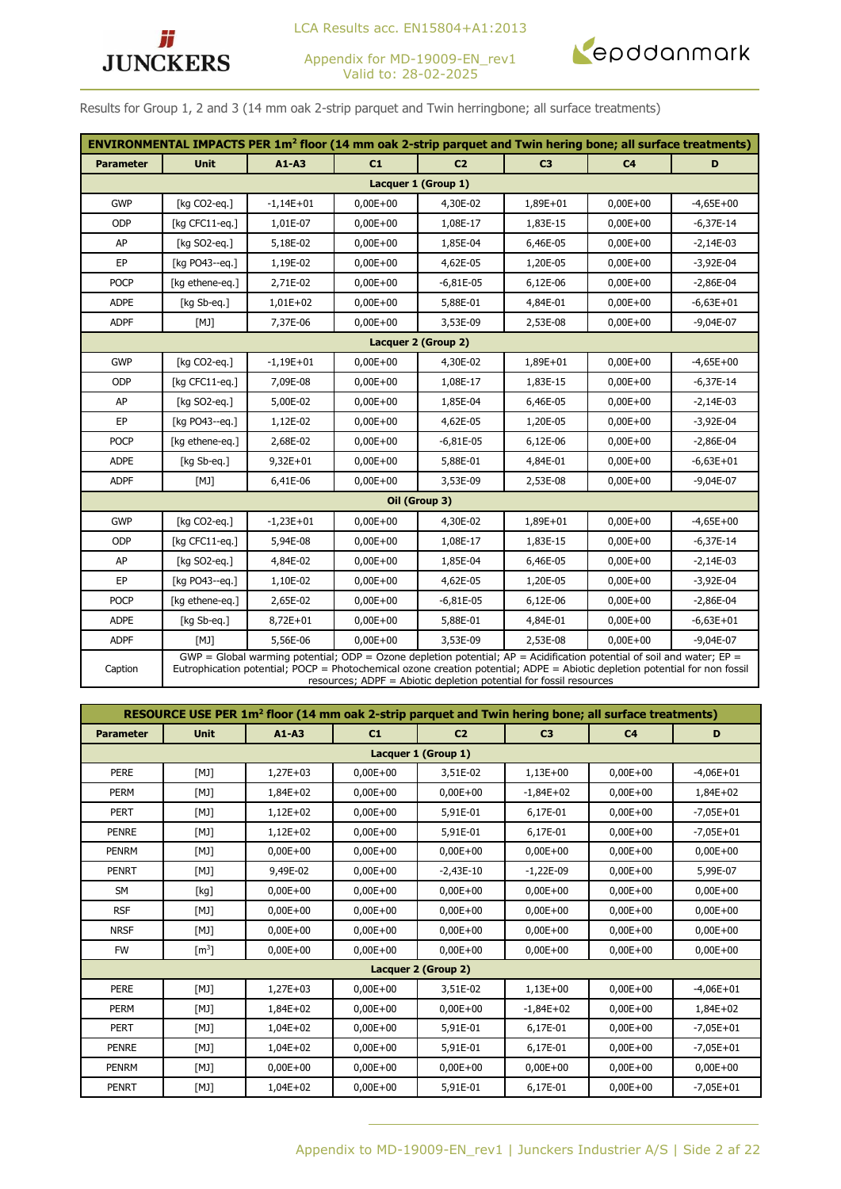

Appendix for MD-19009-EN\_rev1 Valid to: 28-02-2025



<span id="page-1-0"></span>Results for Group 1, 2 and 3 (14 mm oak 2-strip parquet and Twin herringbone; all surface treatments)

|                  | ENVIRONMENTAL IMPACTS PER 1m <sup>2</sup> floor (14 mm oak 2-strip parquet and Twin hering bone; all surface treatments) |                                                                                                                                                                                                                                                     |              |                                                                    |                |                |               |  |  |  |  |  |
|------------------|--------------------------------------------------------------------------------------------------------------------------|-----------------------------------------------------------------------------------------------------------------------------------------------------------------------------------------------------------------------------------------------------|--------------|--------------------------------------------------------------------|----------------|----------------|---------------|--|--|--|--|--|
| <b>Parameter</b> | <b>Unit</b>                                                                                                              | $A1 - A3$                                                                                                                                                                                                                                           | C1           | C <sub>2</sub>                                                     | C <sub>3</sub> | C <sub>4</sub> | D             |  |  |  |  |  |
|                  | Lacquer 1 (Group 1)                                                                                                      |                                                                                                                                                                                                                                                     |              |                                                                    |                |                |               |  |  |  |  |  |
| <b>GWP</b>       | [kg CO2-eq.]                                                                                                             | $-1,14E+01$                                                                                                                                                                                                                                         | $0,00E+00$   | 4,30E-02                                                           | 1,89E+01       | $0,00E+00$     | $-4,65E+00$   |  |  |  |  |  |
| <b>ODP</b>       | [kg CFC11-eq.]                                                                                                           | 1,01E-07                                                                                                                                                                                                                                            | $0,00E+00$   | 1,08E-17                                                           | 1,83E-15       | $0,00E+00$     | $-6,37E-14$   |  |  |  |  |  |
| AP               | [kg SO2-eg.]                                                                                                             | 5,18E-02                                                                                                                                                                                                                                            | $0,00E+00$   | 1,85E-04                                                           | 6,46E-05       | $0,00E+00$     | $-2,14E-03$   |  |  |  |  |  |
| EP               | [kg PO43--eg.]                                                                                                           | 1,19E-02                                                                                                                                                                                                                                            | $0,00E+00$   | 4,62E-05                                                           | 1,20E-05       | $0,00E+00$     | $-3,92E-04$   |  |  |  |  |  |
| <b>POCP</b>      | [kg ethene-eq.]                                                                                                          | 2,71E-02                                                                                                                                                                                                                                            | $0,00E + 00$ | $-6,81E-05$                                                        | 6,12E-06       | $0,00E+00$     | $-2,86E-04$   |  |  |  |  |  |
| <b>ADPE</b>      | [kg Sb-eq.]                                                                                                              | $1,01E+02$                                                                                                                                                                                                                                          | $0,00E+00$   | 5,88E-01                                                           | 4,84E-01       | $0,00E+00$     | $-6,63E+01$   |  |  |  |  |  |
| <b>ADPF</b>      | [MJ]                                                                                                                     | 7,37E-06                                                                                                                                                                                                                                            | $0,00E+00$   | 3,53E-09                                                           | 2,53E-08       | $0,00E+00$     | $-9,04E-07$   |  |  |  |  |  |
|                  | Lacquer 2 (Group 2)                                                                                                      |                                                                                                                                                                                                                                                     |              |                                                                    |                |                |               |  |  |  |  |  |
| <b>GWP</b>       | [kg CO2-eq.]                                                                                                             | $-1,19E+01$                                                                                                                                                                                                                                         | $0,00E+00$   | 4,30E-02                                                           | 1,89E+01       | $0,00E + 00$   | $-4,65E+00$   |  |  |  |  |  |
| ODP              | [kg CFC11-eq.]                                                                                                           | 7,09E-08                                                                                                                                                                                                                                            | $0,00E + 00$ | 1,08E-17                                                           | 1,83E-15       | $0,00E+00$     | $-6,37E-14$   |  |  |  |  |  |
| AP               | [kg SO2-eg.]                                                                                                             | 5,00E-02                                                                                                                                                                                                                                            | $0,00E+00$   | 1,85E-04                                                           | 6,46E-05       | $0,00E+00$     | $-2,14E-03$   |  |  |  |  |  |
| EP               | [kg PO43--eq.]                                                                                                           | 1,12E-02                                                                                                                                                                                                                                            | $0,00E + 00$ | 4,62E-05                                                           | 1,20E-05       | $0,00E+00$     | $-3,92E-04$   |  |  |  |  |  |
| <b>POCP</b>      | [kg ethene-eg.]                                                                                                          | 2,68E-02                                                                                                                                                                                                                                            | $0,00E + 00$ | $-6,81E-05$                                                        | 6,12E-06       | $0,00E+00$     | $-2,86E-04$   |  |  |  |  |  |
| <b>ADPE</b>      | [kg Sb-eq.]                                                                                                              | $9,32E+01$                                                                                                                                                                                                                                          | $0,00E + 00$ | 5,88E-01                                                           | 4,84E-01       | $0,00E+00$     | $-6,63E+01$   |  |  |  |  |  |
| <b>ADPF</b>      | [MJ]                                                                                                                     | 6,41E-06                                                                                                                                                                                                                                            | $0,00E + 00$ | 3,53E-09                                                           | 2,53E-08       | $0,00E+00$     | $-9,04E-07$   |  |  |  |  |  |
|                  |                                                                                                                          |                                                                                                                                                                                                                                                     |              | Oil (Group 3)                                                      |                |                |               |  |  |  |  |  |
| <b>GWP</b>       | [kg CO2-eg.]                                                                                                             | $-1,23E+01$                                                                                                                                                                                                                                         | $0,00E + 00$ | 4,30E-02                                                           | 1,89E+01       | $0,00E+00$     | $-4,65E+00$   |  |  |  |  |  |
| ODP              | [kg CFC11-eq.]                                                                                                           | 5,94E-08                                                                                                                                                                                                                                            | $0,00E+00$   | 1,08E-17                                                           | 1,83E-15       | $0,00E+00$     | $-6,37E-14$   |  |  |  |  |  |
| AP               | [kg SO2-eg.]                                                                                                             | 4,84E-02                                                                                                                                                                                                                                            | $0,00E+00$   | 1,85E-04                                                           | 6,46E-05       | $0,00E+00$     | $-2,14E-03$   |  |  |  |  |  |
| EP               | [kg PO43--eg.]                                                                                                           | 1,10E-02                                                                                                                                                                                                                                            | $0.00E + 00$ | 4,62E-05                                                           | 1,20E-05       | $0,00E+00$     | $-3,92E-04$   |  |  |  |  |  |
| <b>POCP</b>      | [kg ethene-eq.]                                                                                                          | 2,65E-02                                                                                                                                                                                                                                            | $0,00E + 00$ | $-6,81E-05$                                                        | 6,12E-06       | $0,00E+00$     | $-2,86E-04$   |  |  |  |  |  |
| <b>ADPE</b>      | [kg Sb-eq.]                                                                                                              | 8,72E+01                                                                                                                                                                                                                                            | $0,00E+00$   | 5,88E-01                                                           | 4,84E-01       | $0,00E+00$     | $-6,63E+01$   |  |  |  |  |  |
| <b>ADPF</b>      | [MJ]                                                                                                                     | 5,56E-06                                                                                                                                                                                                                                            | $0,00E + 00$ | 3,53E-09                                                           | 2,53E-08       | $0,00E+00$     | $-9.04E - 07$ |  |  |  |  |  |
| Caption          |                                                                                                                          | GWP = Global warming potential; ODP = Ozone depletion potential; AP = Acidification potential of soil and water; EP =<br>Eutrophication potential; POCP = Photochemical ozone creation potential; ADPE = Abiotic depletion potential for non fossil |              | resources; ADPF = Abiotic depletion potential for fossil resources |                |                |               |  |  |  |  |  |

| RESOURCE USE PER 1m <sup>2</sup> floor (14 mm oak 2-strip parquet and Twin hering bone; all surface treatments) |                     |              |              |                     |                |                |               |  |  |  |  |
|-----------------------------------------------------------------------------------------------------------------|---------------------|--------------|--------------|---------------------|----------------|----------------|---------------|--|--|--|--|
| <b>Parameter</b>                                                                                                | <b>Unit</b>         | $A1 - A3$    | C1           | C <sub>2</sub>      | C <sub>3</sub> | C <sub>4</sub> | D             |  |  |  |  |
| Lacquer 1 (Group 1)                                                                                             |                     |              |              |                     |                |                |               |  |  |  |  |
| <b>PERE</b>                                                                                                     | [MJ]                | $1,27E+03$   | $0,00E+00$   | 3,51E-02            | $1,13E+00$     | $0,00E+00$     | $-4,06E+01$   |  |  |  |  |
| <b>PERM</b>                                                                                                     | [MJ]                | 1,84E+02     | $0,00E+00$   | $0,00E+00$          | $-1,84E+02$    | $0,00E+00$     | 1,84E+02      |  |  |  |  |
| <b>PERT</b>                                                                                                     | [MJ]                | $1,12E+02$   | $0,00E + 00$ | 5,91E-01            | 6,17E-01       | $0,00E+00$     | $-7,05E+01$   |  |  |  |  |
| <b>PENRE</b>                                                                                                    | [MJ]                | $1,12E+02$   | $0.00E + 00$ | 5,91E-01            | 6.17E-01       | $0.00E + 00$   | $-7.05E + 01$ |  |  |  |  |
| <b>PENRM</b>                                                                                                    | [MJ]                | $0,00E + 00$ | $0,00E + 00$ | $0,00E+00$          | $0,00E+00$     | $0,00E+00$     | $0,00E+00$    |  |  |  |  |
| <b>PENRT</b>                                                                                                    | [MJ]                | 9,49E-02     | $0,00E+00$   | $-2,43E-10$         | $-1,22E-09$    | $0,00E+00$     | 5,99E-07      |  |  |  |  |
| <b>SM</b>                                                                                                       | [kg]                | $0,00E+00$   | $0.00E + 00$ | $0,00E+00$          | $0.00E + 00$   | $0.00E + 00$   | $0.00E + 00$  |  |  |  |  |
| <b>RSF</b>                                                                                                      | [MJ]                | $0,00E+00$   | $0,00E+00$   | $0,00E+00$          | $0,00E+00$     | $0,00E+00$     | $0,00E+00$    |  |  |  |  |
| <b>NRSF</b>                                                                                                     | [MJ]                | $0,00E+00$   | $0,00E+00$   | $0,00E+00$          | $0,00E+00$     | $0,00E+00$     | $0,00E+00$    |  |  |  |  |
| <b>FW</b>                                                                                                       | $\lceil m^3 \rceil$ | $0,00E+00$   | $0,00E+00$   | $0.00E + 00$        | $0,00E+00$     | $0,00E+00$     | $0,00E+00$    |  |  |  |  |
|                                                                                                                 |                     |              |              | Lacquer 2 (Group 2) |                |                |               |  |  |  |  |
| <b>PERE</b>                                                                                                     | [MJ]                | $1,27E+03$   | $0,00E + 00$ | 3,51E-02            | $1,13E+00$     | $0,00E+00$     | $-4,06E + 01$ |  |  |  |  |
| <b>PERM</b>                                                                                                     | [MJ]                | 1,84E+02     | $0,00E + 00$ | $0,00E+00$          | $-1,84E+02$    | $0,00E+00$     | 1,84E+02      |  |  |  |  |
| <b>PERT</b>                                                                                                     | [MJ]                | $1,04E+02$   | $0,00E+00$   | 5,91E-01            | 6,17E-01       | $0,00E+00$     | $-7,05E+01$   |  |  |  |  |
| <b>PENRE</b>                                                                                                    | [MJ]                | $1,04E+02$   | $0,00E+00$   | 5,91E-01            | 6,17E-01       | $0,00E+00$     | $-7,05E+01$   |  |  |  |  |
| <b>PENRM</b>                                                                                                    | [MJ]                | $0,00E+00$   | $0,00E+00$   | $0,00E+00$          | $0,00E+00$     | $0,00E+00$     | $0,00E+00$    |  |  |  |  |
| <b>PENRT</b>                                                                                                    | [MJ]                | $1,04E+02$   | $0,00E+00$   | 5,91E-01            | 6,17E-01       | $0,00E+00$     | $-7,05E+01$   |  |  |  |  |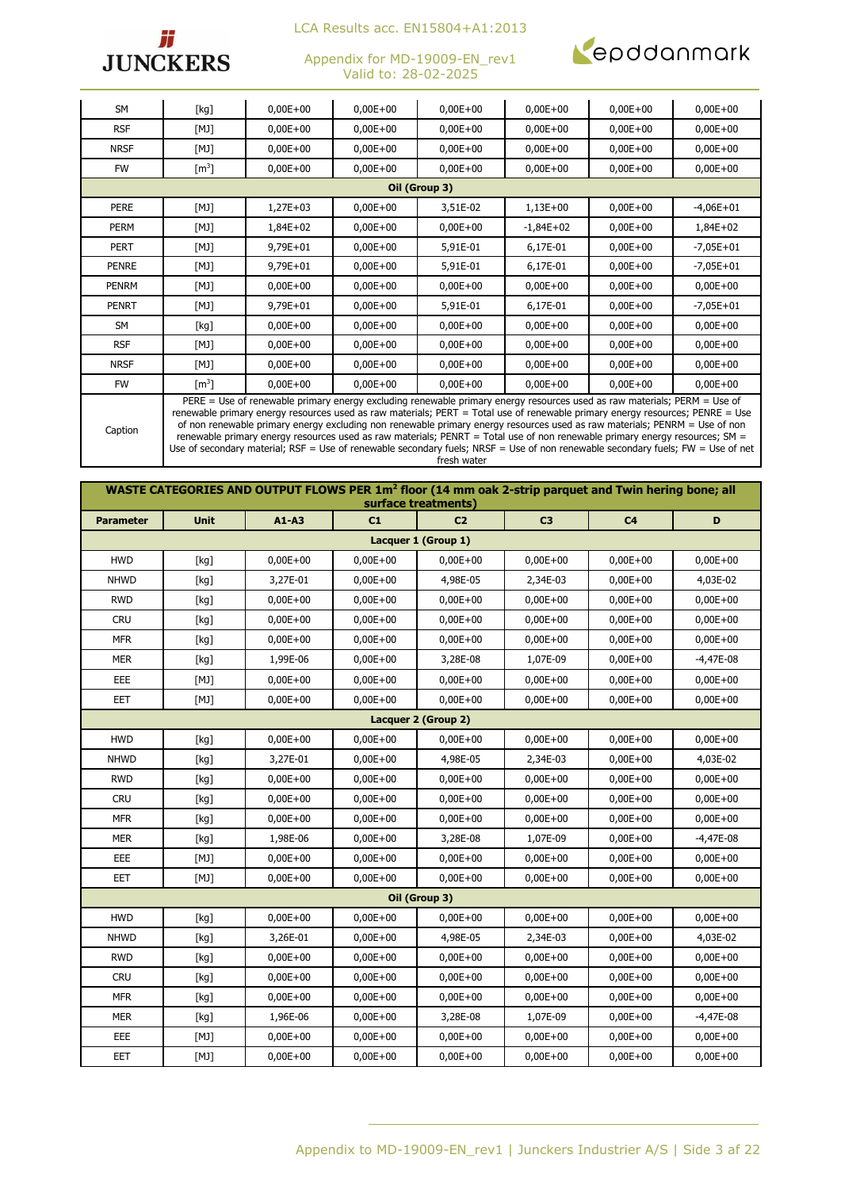



| <b>SM</b>     | [kg]                                                                                                                                                                                                                                                                                                                                                                                                                                                                                                                                                                                                                                                                       | $0,00E+00$   | $0,00E+00$   | $0,00E + 00$ | $0,00E + 00$ | $0,00E+00$   | $0,00E+00$    |  |  |  |  |
|---------------|----------------------------------------------------------------------------------------------------------------------------------------------------------------------------------------------------------------------------------------------------------------------------------------------------------------------------------------------------------------------------------------------------------------------------------------------------------------------------------------------------------------------------------------------------------------------------------------------------------------------------------------------------------------------------|--------------|--------------|--------------|--------------|--------------|---------------|--|--|--|--|
| <b>RSF</b>    | [MJ]                                                                                                                                                                                                                                                                                                                                                                                                                                                                                                                                                                                                                                                                       | $0,00E+00$   | $0,00E+00$   | $0,00E+00$   | $0,00E + 00$ | $0,00E+00$   | $0,00E+00$    |  |  |  |  |
| <b>NRSF</b>   | [MJ]                                                                                                                                                                                                                                                                                                                                                                                                                                                                                                                                                                                                                                                                       | $0,00E+00$   | $0.00E + 00$ | $0,00E+00$   | $0.00E + 00$ | $0,00E+00$   | $0,00E+00$    |  |  |  |  |
| <b>FW</b>     | [m <sup>3</sup> ]                                                                                                                                                                                                                                                                                                                                                                                                                                                                                                                                                                                                                                                          | $0,00E+00$   | $0,00E+00$   | $0,00E+00$   | $0,00E+00$   | $0,00E+00$   | $0,00E+00$    |  |  |  |  |
| Oil (Group 3) |                                                                                                                                                                                                                                                                                                                                                                                                                                                                                                                                                                                                                                                                            |              |              |              |              |              |               |  |  |  |  |
| <b>PERE</b>   | [MJ]                                                                                                                                                                                                                                                                                                                                                                                                                                                                                                                                                                                                                                                                       | $1,27E+03$   | $0.00E + 00$ | 3,51E-02     | $1,13E+00$   | $0.00E + 00$ | $-4,06E + 01$ |  |  |  |  |
| <b>PERM</b>   | [MJ]                                                                                                                                                                                                                                                                                                                                                                                                                                                                                                                                                                                                                                                                       | 1,84E+02     | $0,00E+00$   | $0,00E+00$   | $-1,84E+02$  | $0,00E+00$   | 1,84E+02      |  |  |  |  |
| <b>PERT</b>   | [MJ]                                                                                                                                                                                                                                                                                                                                                                                                                                                                                                                                                                                                                                                                       | 9,79E+01     | $0,00E+00$   | 5,91E-01     | 6,17E-01     | $0,00E+00$   | $-7,05E+01$   |  |  |  |  |
| <b>PENRE</b>  | [MJ]                                                                                                                                                                                                                                                                                                                                                                                                                                                                                                                                                                                                                                                                       | 9,79E+01     | $0,00E+00$   | 5,91E-01     | 6,17E-01     | $0,00E+00$   | $-7,05E+01$   |  |  |  |  |
| <b>PENRM</b>  | [MJ]                                                                                                                                                                                                                                                                                                                                                                                                                                                                                                                                                                                                                                                                       | $0,00E+00$   | $0,00E+00$   | $0,00E+00$   | $0,00E + 00$ | $0,00E+00$   | $0,00E+00$    |  |  |  |  |
| <b>PENRT</b>  | [MJ]                                                                                                                                                                                                                                                                                                                                                                                                                                                                                                                                                                                                                                                                       | 9,79E+01     | $0,00E+00$   | 5,91E-01     | 6,17E-01     | $0,00E+00$   | $-7,05E+01$   |  |  |  |  |
| <b>SM</b>     | [kg]                                                                                                                                                                                                                                                                                                                                                                                                                                                                                                                                                                                                                                                                       | $0.00E + 00$ | $0.00E + 00$ | $0.00E + 00$ | $0.00E + 00$ | $0.00E + 00$ | $0,00E+00$    |  |  |  |  |
| <b>RSF</b>    | [MJ]                                                                                                                                                                                                                                                                                                                                                                                                                                                                                                                                                                                                                                                                       | $0.00E + 00$ | $0.00E + 00$ | $0.00E + 00$ | $0.00E + 00$ | $0.00E + 00$ | $0,00E+00$    |  |  |  |  |
| <b>NRSF</b>   | [MJ]                                                                                                                                                                                                                                                                                                                                                                                                                                                                                                                                                                                                                                                                       | $0,00E+00$   | $0,00E+00$   | $0,00E+00$   | $0,00E + 00$ | $0,00E+00$   | $0,00E+00$    |  |  |  |  |
| <b>FW</b>     | $\lceil m^3 \rceil$                                                                                                                                                                                                                                                                                                                                                                                                                                                                                                                                                                                                                                                        | $0.00E + 00$ | $0.00E + 00$ | $0.00E + 00$ | $0.00E + 00$ | $0.00E + 00$ | $0.00E + 00$  |  |  |  |  |
| Caption       | PERE = Use of renewable primary energy excluding renewable primary energy resources used as raw materials; PERM = Use of<br>renewable primary energy resources used as raw materials; PERT = Total use of renewable primary energy resources; PENRE = Use<br>of non renewable primary energy excluding non renewable primary energy resources used as raw materials; PENRM = Use of non<br>renewable primary energy resources used as raw materials; PENRT = Total use of non renewable primary energy resources; $SM =$<br>Use of secondary material; RSF = Use of renewable secondary fuels; NRSF = Use of non renewable secondary fuels; FW = Use of net<br>fresh water |              |              |              |              |              |               |  |  |  |  |

| WASTE CATEGORIES AND OUTPUT FLOWS PER 1m <sup>2</sup> floor (14 mm oak 2-strip parquet and Twin hering bone; all<br>surface treatments) |                     |              |              |                |                |                |             |  |  |  |  |
|-----------------------------------------------------------------------------------------------------------------------------------------|---------------------|--------------|--------------|----------------|----------------|----------------|-------------|--|--|--|--|
| <b>Parameter</b>                                                                                                                        | <b>Unit</b>         | $A1 - A3$    | C1           | C <sub>2</sub> | C <sub>3</sub> | C <sub>4</sub> | D           |  |  |  |  |
| Lacquer 1 (Group 1)                                                                                                                     |                     |              |              |                |                |                |             |  |  |  |  |
| <b>HWD</b>                                                                                                                              | [kg]                | $0,00E+00$   | $0,00E + 00$ | $0,00E+00$     | $0,00E+00$     | $0,00E+00$     | $0,00E+00$  |  |  |  |  |
| <b>NHWD</b>                                                                                                                             | [kg]                | 3,27E-01     | $0,00E+00$   | 4,98E-05       | 2,34E-03       | $0,00E+00$     | 4,03E-02    |  |  |  |  |
| <b>RWD</b>                                                                                                                              | [kg]                | $0,00E+00$   | $0,00E+00$   | $0,00E+00$     | $0,00E+00$     | $0,00E+00$     | $0,00E+00$  |  |  |  |  |
| <b>CRU</b>                                                                                                                              | [kg]                | $0,00E+00$   | $0,00E+00$   | $0,00E+00$     | $0,00E+00$     | $0,00E+00$     | $0,00E+00$  |  |  |  |  |
| <b>MFR</b>                                                                                                                              | [kg]                | $0,00E+00$   | $0,00E+00$   | $0,00E+00$     | $0,00E+00$     | $0,00E+00$     | $0,00E+00$  |  |  |  |  |
| <b>MER</b>                                                                                                                              | [kg]                | 1,99E-06     | $0,00E+00$   | 3,28E-08       | 1,07E-09       | $0,00E+00$     | $-4,47E-08$ |  |  |  |  |
| EEE                                                                                                                                     | [M]                 | $0,00E+00$   | $0,00E+00$   | $0,00E+00$     | $0,00E+00$     | $0,00E+00$     | $0,00E+00$  |  |  |  |  |
| EET                                                                                                                                     | [M]                 | $0,00E+00$   | $0,00E+00$   | $0,00E+00$     | $0,00E+00$     | $0,00E+00$     | $0,00E+00$  |  |  |  |  |
|                                                                                                                                         | Lacquer 2 (Group 2) |              |              |                |                |                |             |  |  |  |  |
| <b>HWD</b>                                                                                                                              | [kg]                | $0,00E+00$   | $0,00E+00$   | $0,00E+00$     | $0,00E+00$     | $0,00E+00$     | $0,00E+00$  |  |  |  |  |
| <b>NHWD</b>                                                                                                                             | [kg]                | 3,27E-01     | $0,00E+00$   | 4,98E-05       | 2,34E-03       | $0,00E+00$     | 4,03E-02    |  |  |  |  |
| <b>RWD</b>                                                                                                                              | [kg]                | $0,00E+00$   | $0,00E+00$   | $0,00E+00$     | $0,00E+00$     | $0,00E+00$     | $0,00E+00$  |  |  |  |  |
| <b>CRU</b>                                                                                                                              | [kq]                | $0,00E+00$   | $0,00E+00$   | $0,00E+00$     | $0,00E+00$     | $0,00E+00$     | $0,00E+00$  |  |  |  |  |
| <b>MFR</b>                                                                                                                              | [kg]                | $0,00E+00$   | $0,00E+00$   | $0,00E+00$     | $0,00E+00$     | $0,00E+00$     | $0,00E+00$  |  |  |  |  |
| MER                                                                                                                                     | [kg]                | 1,98E-06     | $0,00E+00$   | 3,28E-08       | 1,07E-09       | $0,00E+00$     | $-4,47E-08$ |  |  |  |  |
| EEE                                                                                                                                     | [M]                 | $0,00E+00$   | $0,00E+00$   | $0,00E+00$     | $0,00E+00$     | $0,00E+00$     | $0,00E+00$  |  |  |  |  |
| EET                                                                                                                                     | [MJ]                | $0,00E+00$   | $0,00E+00$   | $0,00E+00$     | $0,00E+00$     | $0,00E+00$     | $0,00E+00$  |  |  |  |  |
|                                                                                                                                         |                     |              |              | Oil (Group 3)  |                |                |             |  |  |  |  |
| <b>HWD</b>                                                                                                                              | [kg]                | $0,00E + 00$ | $0,00E+00$   | $0,00E + 00$   | $0,00E + 00$   | $0,00E + 00$   | $0,00E+00$  |  |  |  |  |
| <b>NHWD</b>                                                                                                                             | [kg]                | 3,26E-01     | $0,00E+00$   | 4,98E-05       | 2,34E-03       | $0,00E+00$     | 4,03E-02    |  |  |  |  |
| <b>RWD</b>                                                                                                                              | [kg]                | $0,00E+00$   | $0,00E+00$   | $0,00E+00$     | $0,00E+00$     | $0,00E+00$     | $0,00E+00$  |  |  |  |  |
| <b>CRU</b>                                                                                                                              | [kg]                | $0,00E+00$   | $0,00E+00$   | $0,00E+00$     | $0,00E+00$     | $0,00E+00$     | $0,00E+00$  |  |  |  |  |
| <b>MFR</b>                                                                                                                              | [kg]                | $0,00E+00$   | $0,00E+00$   | $0,00E+00$     | $0,00E+00$     | $0,00E+00$     | $0,00E+00$  |  |  |  |  |
| <b>MER</b>                                                                                                                              | [kg]                | 1,96E-06     | $0,00E+00$   | 3,28E-08       | 1,07E-09       | $0,00E+00$     | $-4,47E-08$ |  |  |  |  |
| EEE                                                                                                                                     | [MJ]                | $0,00E+00$   | $0,00E+00$   | $0,00E+00$     | $0,00E+00$     | $0,00E+00$     | $0,00E+00$  |  |  |  |  |
| EET                                                                                                                                     | [MJ]                | $0,00E+00$   | $0,00E+00$   | $0,00E+00$     | $0,00E+00$     | $0,00E+00$     | $0,00E+00$  |  |  |  |  |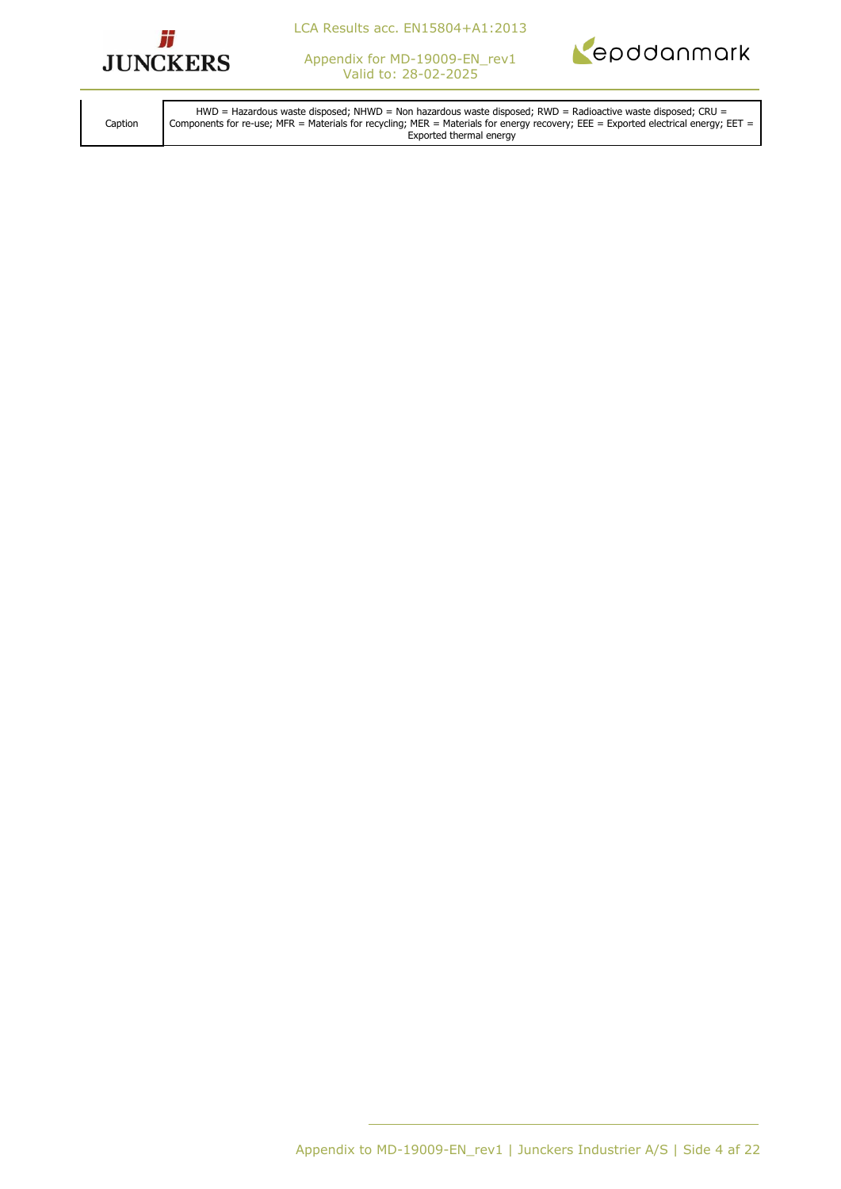

Appendix for MD-19009-EN\_rev1 Valid to: 28-02-2025



Caption HWD = Hazardous waste disposed; NHWD = Non hazardous waste disposed; RWD = Radioactive waste disposed; CRU = Components for re-use; MFR = Materials for recycling; MER = Materials for energy recovery; EEE = Exported electrical energy; EET = Exported thermal energy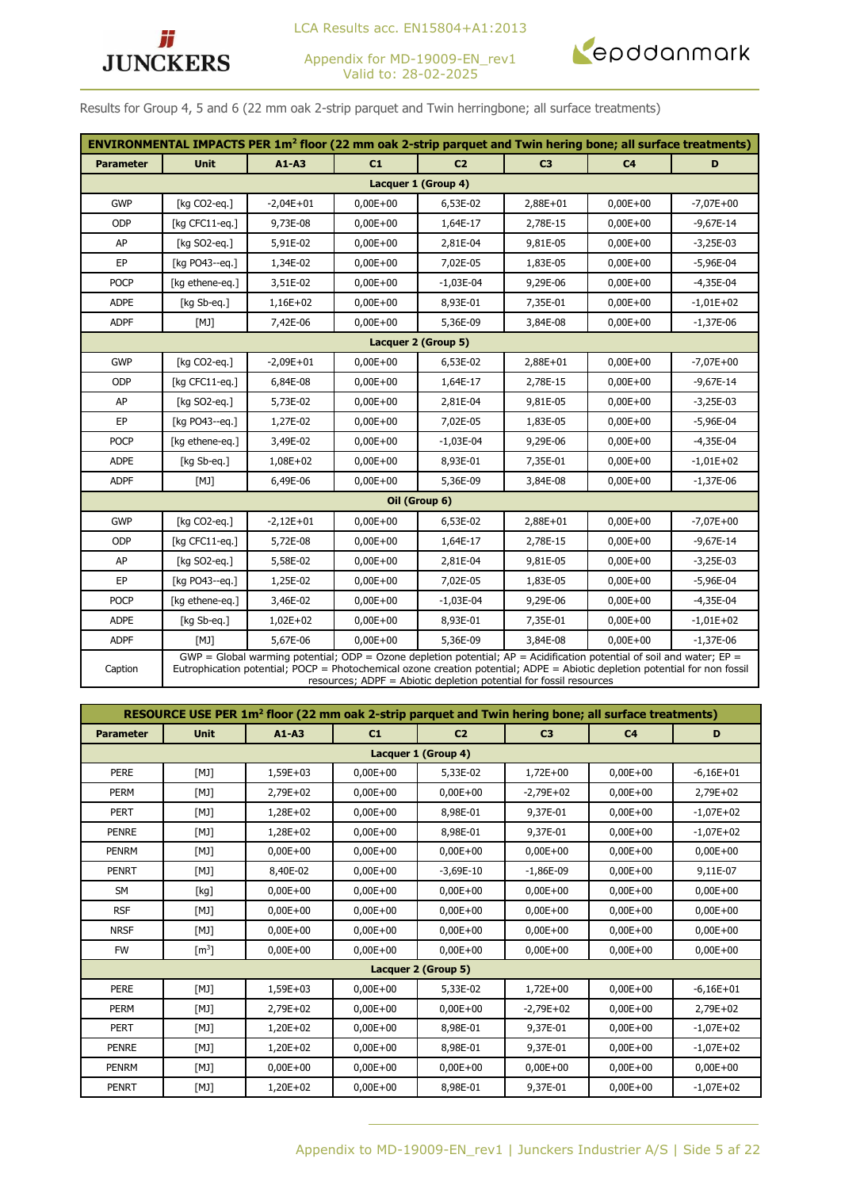

Appendix for MD-19009-EN\_rev1 Valid to: 28-02-2025



<span id="page-4-0"></span>Results for Group 4, 5 and 6 (22 mm oak 2-strip parquet and Twin herringbone; all surface treatments)

|                  | ENVIRONMENTAL IMPACTS PER 1m <sup>2</sup> floor (22 mm oak 2-strip parquet and Twin hering bone; all surface treatments) |                                                                                                                                                                                                                                                     |              |                                                                    |                |                |             |  |  |  |  |  |
|------------------|--------------------------------------------------------------------------------------------------------------------------|-----------------------------------------------------------------------------------------------------------------------------------------------------------------------------------------------------------------------------------------------------|--------------|--------------------------------------------------------------------|----------------|----------------|-------------|--|--|--|--|--|
| <b>Parameter</b> | <b>Unit</b>                                                                                                              | $A1 - A3$                                                                                                                                                                                                                                           | C1           | C <sub>2</sub>                                                     | C <sub>3</sub> | C <sub>4</sub> | D           |  |  |  |  |  |
|                  | Lacquer 1 (Group 4)                                                                                                      |                                                                                                                                                                                                                                                     |              |                                                                    |                |                |             |  |  |  |  |  |
| <b>GWP</b>       | [kg CO2-eq.]                                                                                                             | $-2,04E+01$                                                                                                                                                                                                                                         | $0,00E+00$   | 6,53E-02                                                           | 2,88E+01       | $0,00E+00$     | $-7,07E+00$ |  |  |  |  |  |
| ODP              | [kg CFC11-eq.]                                                                                                           | 9,73E-08                                                                                                                                                                                                                                            | $0,00E+00$   | 1,64E-17                                                           | 2,78E-15       | $0,00E+00$     | $-9,67E-14$ |  |  |  |  |  |
| AP               | [kg SO2-eg.]                                                                                                             | 5,91E-02                                                                                                                                                                                                                                            | $0,00E+00$   | 2,81E-04                                                           | 9,81E-05       | $0,00E+00$     | $-3,25E-03$ |  |  |  |  |  |
| EP               | [kg PO43--eg.]                                                                                                           | 1,34E-02                                                                                                                                                                                                                                            | $0,00E + 00$ | 7,02E-05                                                           | 1,83E-05       | $0,00E+00$     | $-5,96E-04$ |  |  |  |  |  |
| <b>POCP</b>      | [kg ethene-eq.]                                                                                                          | 3,51E-02                                                                                                                                                                                                                                            | $0,00E+00$   | $-1,03E-04$                                                        | 9,29E-06       | $0,00E+00$     | $-4,35E-04$ |  |  |  |  |  |
| <b>ADPE</b>      | [kg Sb-eq.]                                                                                                              | 1,16E+02                                                                                                                                                                                                                                            | $0,00E + 00$ | 8,93E-01                                                           | 7,35E-01       | $0,00E+00$     | $-1,01E+02$ |  |  |  |  |  |
| <b>ADPF</b>      | [MJ]                                                                                                                     | 7,42E-06                                                                                                                                                                                                                                            | $0,00E + 00$ | 5,36E-09                                                           | 3,84E-08       | $0,00E+00$     | $-1,37E-06$ |  |  |  |  |  |
|                  | Lacquer 2 (Group 5)                                                                                                      |                                                                                                                                                                                                                                                     |              |                                                                    |                |                |             |  |  |  |  |  |
| <b>GWP</b>       | [kg CO2-eq.]                                                                                                             | $-2,09E + 01$                                                                                                                                                                                                                                       | $0,00E+00$   | 6,53E-02                                                           | 2,88E+01       | $0,00E + 00$   | $-7,07E+00$ |  |  |  |  |  |
| ODP              | [kg CFC11-eq.]                                                                                                           | 6,84E-08                                                                                                                                                                                                                                            | $0,00E + 00$ | 1,64E-17                                                           | 2,78E-15       | $0,00E+00$     | $-9,67E-14$ |  |  |  |  |  |
| AP               | [kg SO2-eg.]                                                                                                             | 5,73E-02                                                                                                                                                                                                                                            | $0,00E+00$   | 2,81E-04                                                           | 9,81E-05       | $0,00E+00$     | $-3,25E-03$ |  |  |  |  |  |
| EP               | [kg PO43--eq.]                                                                                                           | 1,27E-02                                                                                                                                                                                                                                            | $0,00E + 00$ | 7,02E-05                                                           | 1,83E-05       | $0,00E+00$     | $-5,96E-04$ |  |  |  |  |  |
| <b>POCP</b>      | [kg ethene-eq.]                                                                                                          | 3,49E-02                                                                                                                                                                                                                                            | $0,00E + 00$ | $-1,03E-04$                                                        | 9,29E-06       | $0,00E+00$     | $-4,35E-04$ |  |  |  |  |  |
| <b>ADPE</b>      | [kg Sb-eq.]                                                                                                              | 1,08E+02                                                                                                                                                                                                                                            | $0,00E + 00$ | 8,93E-01                                                           | 7,35E-01       | $0,00E+00$     | $-1,01E+02$ |  |  |  |  |  |
| <b>ADPF</b>      | [MJ]                                                                                                                     | 6,49E-06                                                                                                                                                                                                                                            | $0,00E+00$   | 5,36E-09                                                           | 3,84E-08       | $0,00E + 00$   | $-1,37E-06$ |  |  |  |  |  |
|                  |                                                                                                                          |                                                                                                                                                                                                                                                     |              | Oil (Group 6)                                                      |                |                |             |  |  |  |  |  |
| <b>GWP</b>       | [kg CO2-eq.]                                                                                                             | $-2,12E+01$                                                                                                                                                                                                                                         | $0,00E+00$   | 6,53E-02                                                           | 2,88E+01       | $0,00E+00$     | $-7,07E+00$ |  |  |  |  |  |
| ODP              | [kg CFC11-eq.]                                                                                                           | 5,72E-08                                                                                                                                                                                                                                            | $0,00E+00$   | 1,64E-17                                                           | 2,78E-15       | $0,00E+00$     | $-9,67E-14$ |  |  |  |  |  |
| AP               | [kg SO2-eg.]                                                                                                             | 5,58E-02                                                                                                                                                                                                                                            | $0,00E+00$   | 2,81E-04                                                           | 9,81E-05       | $0,00E+00$     | $-3,25E-03$ |  |  |  |  |  |
| EP               | [kg PO43--eq.]                                                                                                           | 1,25E-02                                                                                                                                                                                                                                            | $0,00E+00$   | 7,02E-05                                                           | 1,83E-05       | $0,00E+00$     | $-5,96E-04$ |  |  |  |  |  |
| <b>POCP</b>      | [kg ethene-eq.]                                                                                                          | 3,46E-02                                                                                                                                                                                                                                            | $0,00E+00$   | $-1,03E-04$                                                        | 9,29E-06       | $0,00E+00$     | $-4,35E-04$ |  |  |  |  |  |
| <b>ADPE</b>      | [kg Sb-eq.]                                                                                                              | $1,02E+02$                                                                                                                                                                                                                                          | $0,00E+00$   | 8,93E-01                                                           | 7,35E-01       | $0,00E+00$     | $-1,01E+02$ |  |  |  |  |  |
| <b>ADPF</b>      | [MJ]                                                                                                                     | 5,67E-06                                                                                                                                                                                                                                            | $0,00E+00$   | 5,36E-09                                                           | 3,84E-08       | $0,00E+00$     | $-1.37E-06$ |  |  |  |  |  |
| Caption          |                                                                                                                          | GWP = Global warming potential; ODP = Ozone depletion potential; AP = Acidification potential of soil and water; EP =<br>Eutrophication potential; POCP = Photochemical ozone creation potential; ADPE = Abiotic depletion potential for non fossil |              | resources; ADPF = Abiotic depletion potential for fossil resources |                |                |             |  |  |  |  |  |

| RESOURCE USE PER 1m <sup>2</sup> floor (22 mm oak 2-strip parquet and Twin hering bone; all surface treatments) |                     |              |              |                     |                |                |              |  |  |  |  |
|-----------------------------------------------------------------------------------------------------------------|---------------------|--------------|--------------|---------------------|----------------|----------------|--------------|--|--|--|--|
| <b>Parameter</b>                                                                                                | <b>Unit</b>         | $A1 - A3$    | C1           | C <sub>2</sub>      | C <sub>3</sub> | C <sub>4</sub> | D            |  |  |  |  |
| Lacquer 1 (Group 4)                                                                                             |                     |              |              |                     |                |                |              |  |  |  |  |
| PERE                                                                                                            | [MJ]                | $1,59E+03$   | $0,00E+00$   | 5,33E-02            | $1,72E+00$     | $0,00E+00$     | $-6,16E+01$  |  |  |  |  |
| PERM                                                                                                            | [M]                 | 2,79E+02     | $0,00E+00$   | $0,00E+00$          | $-2,79E+02$    | $0,00E+00$     | 2,79E+02     |  |  |  |  |
| <b>PERT</b>                                                                                                     | [M]                 | 1,28E+02     | $0.00E + 00$ | 8.98E-01            | 9,37E-01       | $0.00E + 00$   | $-1,07E+02$  |  |  |  |  |
| <b>PENRE</b>                                                                                                    | [MJ]                | 1,28E+02     | $0,00E+00$   | 8,98E-01            | 9,37E-01       | $0,00E+00$     | $-1,07E+02$  |  |  |  |  |
| <b>PENRM</b>                                                                                                    | [MJ]                | $0,00E + 00$ | $0.00E + 00$ | $0.00E + 00$        | $0,00E+00$     | $0,00E+00$     | $0,00E+00$   |  |  |  |  |
| <b>PENRT</b>                                                                                                    | [MJ]                | 8,40E-02     | $0,00E+00$   | $-3,69E-10$         | $-1,86E-09$    | $0,00E+00$     | 9,11E-07     |  |  |  |  |
| <b>SM</b>                                                                                                       | [kg]                | $0,00E+00$   | $0.00E + 00$ | $0.00E + 00$        | $0,00E+00$     | $0.00E + 00$   | $0.00E + 00$ |  |  |  |  |
| <b>RSF</b>                                                                                                      | [M]                 | $0,00E+00$   | $0,00E+00$   | $0,00E+00$          | $0,00E+00$     | $0,00E+00$     | $0,00E+00$   |  |  |  |  |
| <b>NRSF</b>                                                                                                     | [M]                 | $0,00E+00$   | $0.00E + 00$ | $0,00E+00$          | $0,00E+00$     | $0,00E+00$     | $0,00E+00$   |  |  |  |  |
| <b>FW</b>                                                                                                       | $\lceil m^3 \rceil$ | $0,00E+00$   | $0,00E+00$   | $0,00E+00$          | $0,00E+00$     | $0,00E+00$     | $0,00E+00$   |  |  |  |  |
|                                                                                                                 |                     |              |              | Lacquer 2 (Group 5) |                |                |              |  |  |  |  |
| <b>PERE</b>                                                                                                     | [MJ]                | 1,59E+03     | $0,00E+00$   | 5,33E-02            | $1,72E+00$     | $0,00E+00$     | $-6,16E+01$  |  |  |  |  |
| <b>PERM</b>                                                                                                     | [MJ]                | 2,79E+02     | $0,00E + 00$ | $0,00E+00$          | $-2,79E+02$    | $0,00E+00$     | 2,79E+02     |  |  |  |  |
| <b>PERT</b>                                                                                                     | [M]                 | 1,20E+02     | $0,00E + 00$ | 8,98E-01            | 9,37E-01       | $0,00E+00$     | $-1,07E+02$  |  |  |  |  |
| <b>PENRE</b>                                                                                                    | [MJ]                | 1,20E+02     | $0,00E+00$   | 8,98E-01            | 9,37E-01       | $0,00E+00$     | $-1,07E+02$  |  |  |  |  |
| <b>PENRM</b>                                                                                                    | [MJ]                | $0,00E+00$   | $0,00E+00$   | $0,00E+00$          | $0,00E+00$     | $0,00E+00$     | $0,00E+00$   |  |  |  |  |
| <b>PENRT</b>                                                                                                    | [MJ]                | 1,20E+02     | $0,00E+00$   | 8,98E-01            | 9,37E-01       | $0,00E+00$     | $-1,07E+02$  |  |  |  |  |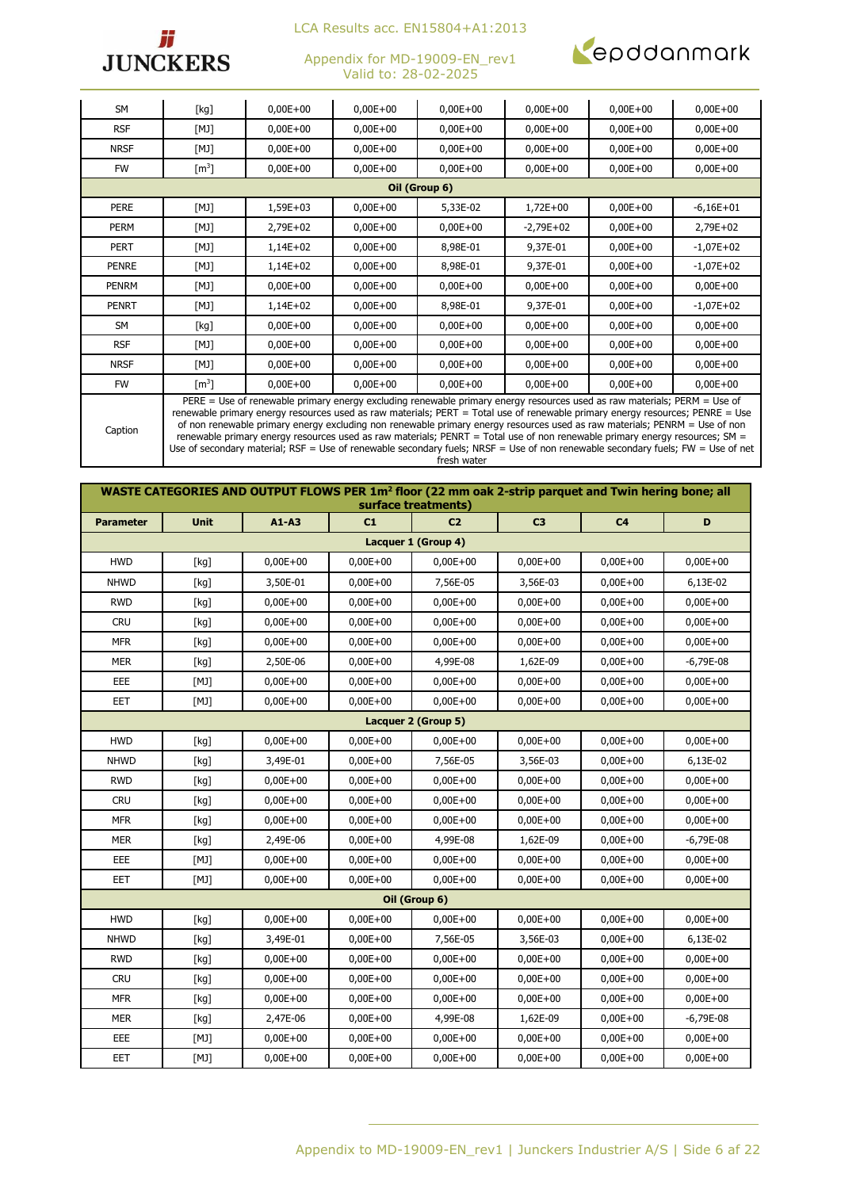



| <b>SM</b>    | [kg]                                                                                                                                                                                                                                                                                                                                                                                                                                                                                                                                                                                                                                                                            | $0,00E+00$   | $0,00E+00$   | $0,00E+00$   | $0,00E + 00$ | $0,00E+00$   | $0,00E+00$    |  |  |  |  |
|--------------|---------------------------------------------------------------------------------------------------------------------------------------------------------------------------------------------------------------------------------------------------------------------------------------------------------------------------------------------------------------------------------------------------------------------------------------------------------------------------------------------------------------------------------------------------------------------------------------------------------------------------------------------------------------------------------|--------------|--------------|--------------|--------------|--------------|---------------|--|--|--|--|
| <b>RSF</b>   | [MJ]                                                                                                                                                                                                                                                                                                                                                                                                                                                                                                                                                                                                                                                                            | $0,00E+00$   | $0.00E + 00$ | $0,00E+00$   | $0.00E + 00$ | $0.00E + 00$ | $0,00E+00$    |  |  |  |  |
| <b>NRSF</b>  | [MJ]                                                                                                                                                                                                                                                                                                                                                                                                                                                                                                                                                                                                                                                                            | $0,00E+00$   | $0.00E + 00$ | $0,00E+00$   | $0.00E + 00$ | $0.00E + 00$ | $0,00E+00$    |  |  |  |  |
| <b>FW</b>    | $\left[\mathrm{m}^3\right]$                                                                                                                                                                                                                                                                                                                                                                                                                                                                                                                                                                                                                                                     | $0,00E+00$   | $0.00E + 00$ | $0,00E + 00$ | $0,00E + 00$ | $0,00E+00$   | $0,00E+00$    |  |  |  |  |
|              | Oil (Group 6)                                                                                                                                                                                                                                                                                                                                                                                                                                                                                                                                                                                                                                                                   |              |              |              |              |              |               |  |  |  |  |
| <b>PERE</b>  | [MJ]                                                                                                                                                                                                                                                                                                                                                                                                                                                                                                                                                                                                                                                                            | $1,59E+03$   | $0,00E+00$   | 5,33E-02     | $1,72E+00$   | $0,00E+00$   | $-6,16E+01$   |  |  |  |  |
| <b>PERM</b>  | [MJ]                                                                                                                                                                                                                                                                                                                                                                                                                                                                                                                                                                                                                                                                            | 2,79E+02     | $0,00E+00$   | $0,00E+00$   | $-2,79E+02$  | $0,00E+00$   | 2,79E+02      |  |  |  |  |
| <b>PERT</b>  | [MJ]                                                                                                                                                                                                                                                                                                                                                                                                                                                                                                                                                                                                                                                                            | $1,14E+02$   | $0,00E+00$   | 8,98E-01     | 9,37E-01     | $0,00E+00$   | $-1,07E+02$   |  |  |  |  |
| <b>PENRE</b> | [MJ]                                                                                                                                                                                                                                                                                                                                                                                                                                                                                                                                                                                                                                                                            | $1.14E + 02$ | $0.00E + 00$ | 8.98E-01     | 9,37E-01     | $0.00E + 00$ | $-1.07E + 02$ |  |  |  |  |
| <b>PENRM</b> | [MJ]                                                                                                                                                                                                                                                                                                                                                                                                                                                                                                                                                                                                                                                                            | $0,00E+00$   | $0.00E + 00$ | $0.00E + 00$ | $0.00E + 00$ | $0.00E + 00$ | $0.00E + 00$  |  |  |  |  |
| <b>PENRT</b> | [MJ]                                                                                                                                                                                                                                                                                                                                                                                                                                                                                                                                                                                                                                                                            | 1,14E+02     | $0.00E + 00$ | 8.98E-01     | 9,37E-01     | $0.00E + 00$ | $-1,07E+02$   |  |  |  |  |
| <b>SM</b>    | [kg]                                                                                                                                                                                                                                                                                                                                                                                                                                                                                                                                                                                                                                                                            | $0,00E+00$   | $0.00E + 00$ | $0.00E + 00$ | $0.00E + 00$ | $0.00E + 00$ | $0.00E + 00$  |  |  |  |  |
| <b>RSF</b>   | [MJ]                                                                                                                                                                                                                                                                                                                                                                                                                                                                                                                                                                                                                                                                            | $0,00E+00$   | $0.00E + 00$ | $0.00E + 00$ | $0,00E + 00$ | $0.00E + 00$ | $0,00E+00$    |  |  |  |  |
| <b>NRSF</b>  | [MJ]                                                                                                                                                                                                                                                                                                                                                                                                                                                                                                                                                                                                                                                                            | $0,00E+00$   | $0,00E+00$   | $0,00E + 00$ | $0,00E+00$   | $0,00E+00$   | $0,00E+00$    |  |  |  |  |
| <b>FW</b>    | $\lceil m^3 \rceil$                                                                                                                                                                                                                                                                                                                                                                                                                                                                                                                                                                                                                                                             | $0,00E+00$   | $0,00E+00$   | $0,00E+00$   | $0,00E + 00$ | $0,00E+00$   | $0,00E+00$    |  |  |  |  |
| Caption      | PERE = Use of renewable primary energy excluding renewable primary energy resources used as raw materials; PERM = Use of<br>renewable primary energy resources used as raw materials; PERT = Total use of renewable primary energy resources; PENRE = Use<br>of non renewable primary energy excluding non renewable primary energy resources used as raw materials; PENRM = Use of non<br>renewable primary energy resources used as raw materials; PENRT = Total use of non renewable primary energy resources; $SM =$<br>Use of secondary material; $RSF =$ Use of renewable secondary fuels; $NSF =$ Use of non renewable secondary fuels; $FW =$ Use of net<br>fresh water |              |              |              |              |              |               |  |  |  |  |

| WASTE CATEGORIES AND OUTPUT FLOWS PER 1m <sup>2</sup> floor (22 mm oak 2-strip parquet and Twin hering bone; all<br>surface treatments) |             |              |              |                |                |                |              |  |  |  |  |
|-----------------------------------------------------------------------------------------------------------------------------------------|-------------|--------------|--------------|----------------|----------------|----------------|--------------|--|--|--|--|
| <b>Parameter</b>                                                                                                                        | <b>Unit</b> | $A1 - A3$    | C1           | C <sub>2</sub> | C <sub>3</sub> | C <sub>4</sub> | D            |  |  |  |  |
| Lacquer 1 (Group 4)                                                                                                                     |             |              |              |                |                |                |              |  |  |  |  |
| <b>HWD</b>                                                                                                                              | [kq]        | $0,00E + 00$ | $0,00E + 00$ | $0,00E+00$     | $0,00E + 00$   | $0,00E+00$     | $0,00E + 00$ |  |  |  |  |
| <b>NHWD</b>                                                                                                                             | [kg]        | 3,50E-01     | $0,00E+00$   | 7,56E-05       | 3,56E-03       | $0,00E+00$     | 6,13E-02     |  |  |  |  |
| <b>RWD</b>                                                                                                                              | [kg]        | $0,00E+00$   | $0,00E+00$   | $0,00E+00$     | $0,00E+00$     | $0,00E+00$     | $0,00E+00$   |  |  |  |  |
| <b>CRU</b>                                                                                                                              | [kg]        | $0,00E+00$   | $0,00E+00$   | $0,00E+00$     | $0,00E+00$     | $0,00E+00$     | $0,00E+00$   |  |  |  |  |
| <b>MFR</b>                                                                                                                              | [kg]        | $0,00E+00$   | $0,00E+00$   | $0,00E+00$     | $0,00E+00$     | $0,00E+00$     | $0,00E+00$   |  |  |  |  |
| <b>MER</b>                                                                                                                              | [kg]        | 2,50E-06     | $0,00E+00$   | 4,99E-08       | 1,62E-09       | $0,00E+00$     | $-6,79E-08$  |  |  |  |  |
| EEE                                                                                                                                     | [MJ]        | $0,00E+00$   | $0,00E+00$   | $0,00E+00$     | $0,00E+00$     | $0,00E+00$     | $0,00E + 00$ |  |  |  |  |
| EET                                                                                                                                     | [MJ]        | $0,00E+00$   | $0,00E+00$   | $0,00E+00$     | $0,00E + 00$   | $0,00E+00$     | $0,00E+00$   |  |  |  |  |
| Lacquer 2 (Group 5)                                                                                                                     |             |              |              |                |                |                |              |  |  |  |  |
| <b>HWD</b>                                                                                                                              | [kg]        | $0,00E+00$   | $0,00E+00$   | $0,00E+00$     | $0,00E + 00$   | $0,00E+00$     | $0,00E+00$   |  |  |  |  |
| <b>NHWD</b>                                                                                                                             | $[kg]$      | 3,49E-01     | $0,00E+00$   | 7,56E-05       | 3,56E-03       | $0,00E+00$     | 6,13E-02     |  |  |  |  |
| <b>RWD</b>                                                                                                                              | [kg]        | $0,00E+00$   | $0,00E+00$   | $0,00E+00$     | $0,00E+00$     | $0,00E+00$     | $0,00E+00$   |  |  |  |  |
| <b>CRU</b>                                                                                                                              | [kg]        | $0,00E+00$   | $0,00E+00$   | $0,00E+00$     | $0,00E+00$     | $0,00E+00$     | $0,00E+00$   |  |  |  |  |
| <b>MFR</b>                                                                                                                              | [kg]        | $0,00E+00$   | $0,00E+00$   | $0,00E+00$     | $0,00E+00$     | $0,00E+00$     | $0,00E+00$   |  |  |  |  |
| <b>MER</b>                                                                                                                              | [kg]        | 2,49E-06     | $0,00E+00$   | 4,99E-08       | 1,62E-09       | $0,00E+00$     | $-6,79E-08$  |  |  |  |  |
| EEE                                                                                                                                     | [MJ]        | $0,00E+00$   | $0,00E+00$   | $0,00E+00$     | $0,00E+00$     | $0,00E+00$     | $0,00E+00$   |  |  |  |  |
| <b>EET</b>                                                                                                                              | [M]         | $0,00E+00$   | $0,00E+00$   | $0,00E+00$     | $0,00E+00$     | $0,00E+00$     | $0,00E+00$   |  |  |  |  |
|                                                                                                                                         |             |              |              | Oil (Group 6)  |                |                |              |  |  |  |  |
| <b>HWD</b>                                                                                                                              | [kg]        | $0,00E+00$   | $0,00E+00$   | $0,00E+00$     | $0,00E+00$     | $0,00E+00$     | $0,00E+00$   |  |  |  |  |
| <b>NHWD</b>                                                                                                                             | [kg]        | 3,49E-01     | $0,00E+00$   | 7,56E-05       | 3,56E-03       | $0,00E+00$     | 6,13E-02     |  |  |  |  |
| <b>RWD</b>                                                                                                                              | [kg]        | $0,00E + 00$ | $0,00E+00$   | $0,00E+00$     | $0,00E+00$     | $0,00E+00$     | $0,00E + 00$ |  |  |  |  |
| <b>CRU</b>                                                                                                                              | [kg]        | $0,00E+00$   | $0,00E+00$   | $0,00E+00$     | $0,00E+00$     | $0,00E+00$     | $0,00E+00$   |  |  |  |  |
| <b>MFR</b>                                                                                                                              | [kg]        | $0,00E+00$   | $0,00E+00$   | $0,00E+00$     | $0,00E+00$     | $0,00E+00$     | $0,00E+00$   |  |  |  |  |
| <b>MER</b>                                                                                                                              | [kg]        | 2,47E-06     | $0,00E+00$   | 4,99E-08       | 1,62E-09       | $0,00E+00$     | $-6,79E-08$  |  |  |  |  |
| EEE                                                                                                                                     | [MJ]        | $0,00E + 00$ | $0,00E + 00$ | $0,00E+00$     | $0,00E+00$     | $0,00E+00$     | $0,00E + 00$ |  |  |  |  |
| EET                                                                                                                                     | [MJ]        | $0,00E+00$   | $0,00E+00$   | $0,00E+00$     | $0,00E+00$     | $0,00E+00$     | $0,00E+00$   |  |  |  |  |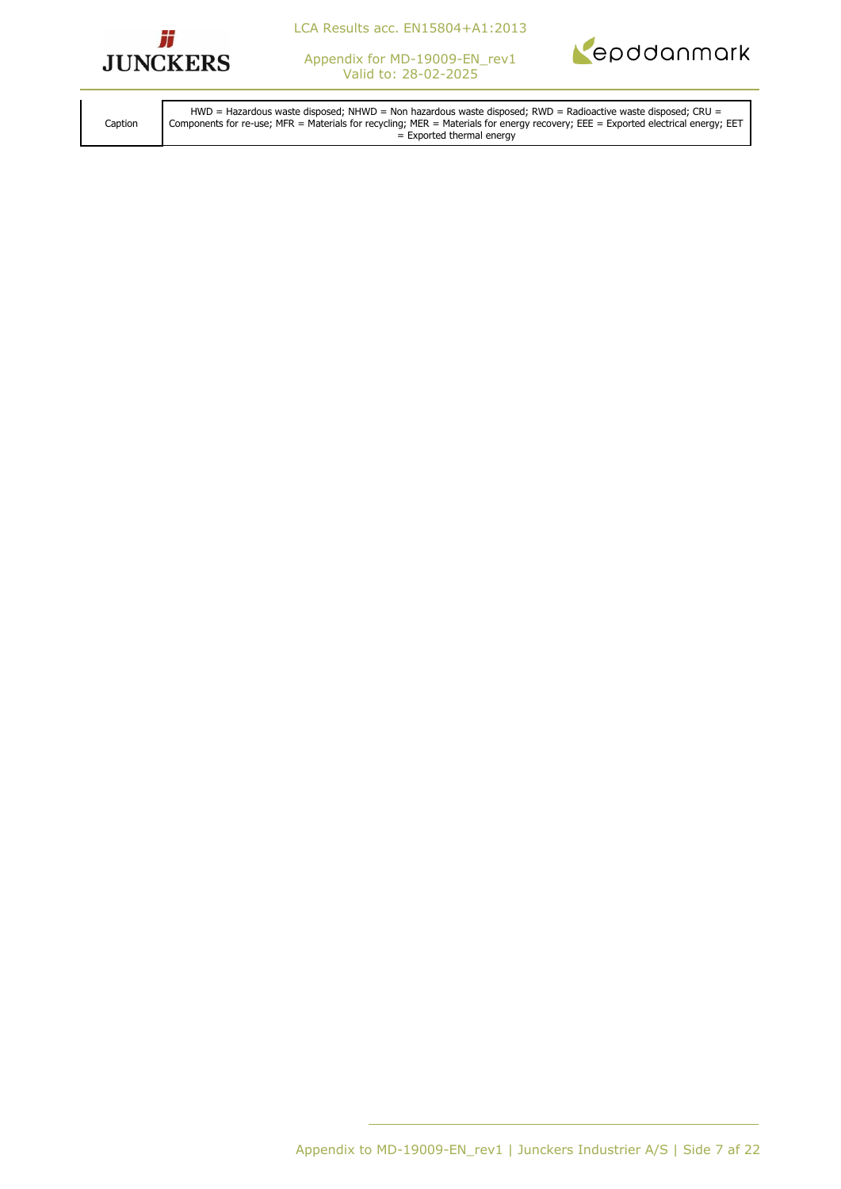

Appendix for MD-19009-EN\_rev1 Valid to: 28-02-2025



Caption HWD = Hazardous waste disposed; NHWD = Non hazardous waste disposed; RWD = Radioactive waste disposed; CRU = Components for re-use; MFR = Materials for recycling; MER = Materials for energy recovery; EEE = Exported electrical energy; EET = Exported thermal energy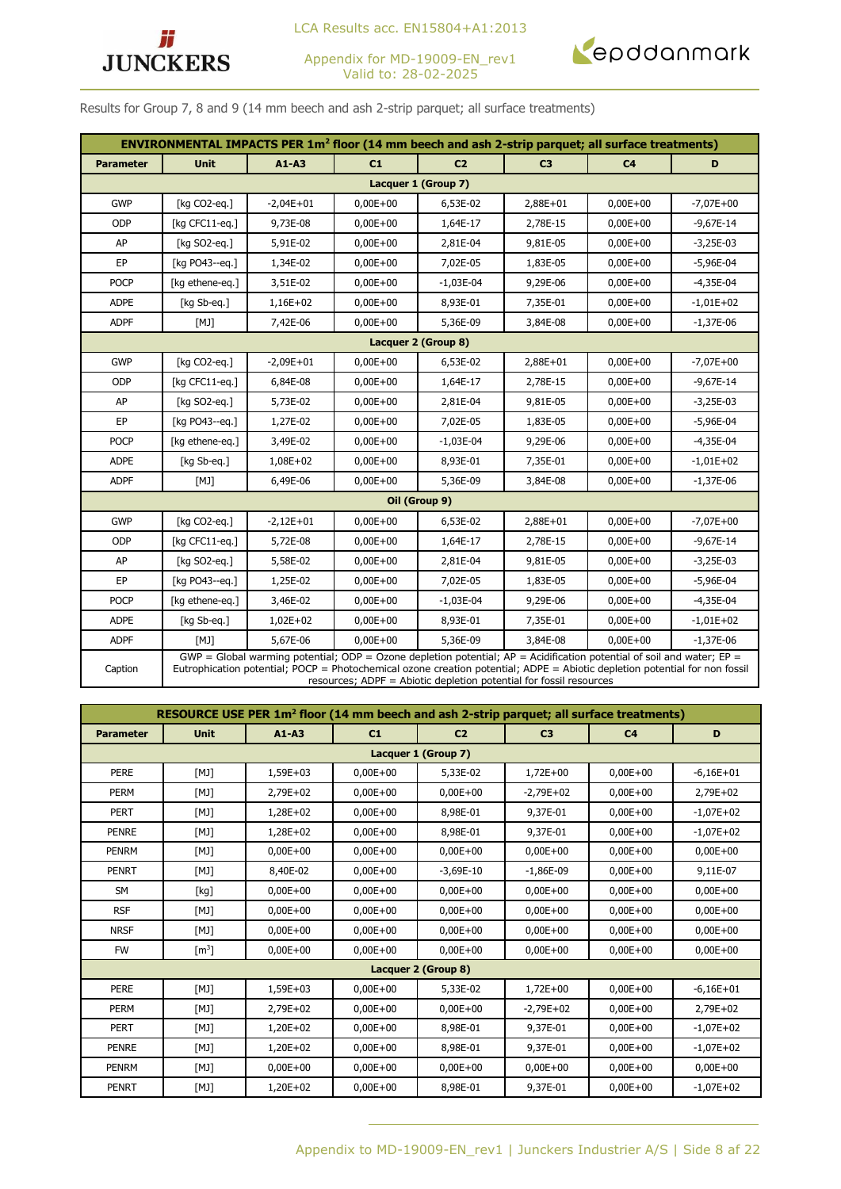

Appendix for MD-19009-EN\_rev1 Valid to: 28-02-2025



<span id="page-7-0"></span>Results for Group 7, 8 and 9 (14 mm beech and ash 2-strip parquet; all surface treatments)

|                  | <b>ENVIRONMENTAL IMPACTS PER 1m<sup>2</sup> floor (14 mm beech and ash 2-strip parquet; all surface treatments)</b> |                                                                                                                                                                                                                                                       |              |                                                                    |                |                |             |  |  |  |  |
|------------------|---------------------------------------------------------------------------------------------------------------------|-------------------------------------------------------------------------------------------------------------------------------------------------------------------------------------------------------------------------------------------------------|--------------|--------------------------------------------------------------------|----------------|----------------|-------------|--|--|--|--|
| <b>Parameter</b> | <b>Unit</b>                                                                                                         | $A1 - A3$                                                                                                                                                                                                                                             | C1           | C <sub>2</sub>                                                     | C <sub>3</sub> | C <sub>4</sub> | D           |  |  |  |  |
|                  | Lacquer 1 (Group 7)                                                                                                 |                                                                                                                                                                                                                                                       |              |                                                                    |                |                |             |  |  |  |  |
| <b>GWP</b>       | [kg CO2-eq.]                                                                                                        | $-2,04E + 01$                                                                                                                                                                                                                                         | $0,00E + 00$ | 6,53E-02                                                           | 2,88E+01       | $0,00E+00$     | $-7,07E+00$ |  |  |  |  |
| <b>ODP</b>       | [kg CFC11-eq.]                                                                                                      | 9,73E-08                                                                                                                                                                                                                                              | $0,00E+00$   | 1,64E-17                                                           | 2,78E-15       | $0,00E+00$     | $-9,67E-14$ |  |  |  |  |
| AP               | [kg SO2-eg.]                                                                                                        | 5,91E-02                                                                                                                                                                                                                                              | $0,00E+00$   | 2,81E-04                                                           | 9,81E-05       | $0,00E+00$     | $-3,25E-03$ |  |  |  |  |
| EP               | [kg PO43--eq.]                                                                                                      | 1,34E-02                                                                                                                                                                                                                                              | $0,00E+00$   | 7,02E-05                                                           | 1,83E-05       | $0,00E+00$     | $-5,96E-04$ |  |  |  |  |
| <b>POCP</b>      | [kg ethene-eq.]                                                                                                     | 3,51E-02                                                                                                                                                                                                                                              | $0,00E+00$   | $-1,03E-04$                                                        | 9,29E-06       | $0,00E+00$     | $-4,35E-04$ |  |  |  |  |
| <b>ADPE</b>      | [kg Sb-eq.]                                                                                                         | 1,16E+02                                                                                                                                                                                                                                              | $0,00E+00$   | 8,93E-01                                                           | 7,35E-01       | $0,00E+00$     | $-1,01E+02$ |  |  |  |  |
| <b>ADPF</b>      | [M]                                                                                                                 | 7,42E-06                                                                                                                                                                                                                                              | $0,00E + 00$ | 5,36E-09                                                           | 3,84E-08       | $0,00E+00$     | $-1,37E-06$ |  |  |  |  |
|                  |                                                                                                                     |                                                                                                                                                                                                                                                       |              | Lacquer 2 (Group 8)                                                |                |                |             |  |  |  |  |
| <b>GWP</b>       | [kg CO2-eq.]                                                                                                        | $-2,09E + 01$                                                                                                                                                                                                                                         | $0,00E + 00$ | 6,53E-02                                                           | 2,88E+01       | $0,00E+00$     | $-7,07E+00$ |  |  |  |  |
| ODP              | [kg CFC11-eq.]                                                                                                      | 6,84E-08                                                                                                                                                                                                                                              | $0,00E+00$   | 1,64E-17                                                           | 2,78E-15       | $0,00E+00$     | $-9,67E-14$ |  |  |  |  |
| АP               | [kg SO2-eg.]                                                                                                        | 5,73E-02                                                                                                                                                                                                                                              | $0,00E+00$   | 2,81E-04                                                           | 9,81E-05       | $0,00E+00$     | $-3,25E-03$ |  |  |  |  |
| EP               | [kg PO43--eq.]                                                                                                      | 1,27E-02                                                                                                                                                                                                                                              | $0,00E+00$   | 7,02E-05                                                           | 1,83E-05       | $0,00E+00$     | $-5,96E-04$ |  |  |  |  |
| <b>POCP</b>      | [kg ethene-eq.]                                                                                                     | 3,49E-02                                                                                                                                                                                                                                              | $0,00E+00$   | $-1,03E-04$                                                        | 9,29E-06       | $0,00E+00$     | $-4,35E-04$ |  |  |  |  |
| <b>ADPE</b>      | [kg Sb-eq.]                                                                                                         | 1,08E+02                                                                                                                                                                                                                                              | $0,00E+00$   | 8,93E-01                                                           | 7,35E-01       | $0,00E+00$     | $-1,01E+02$ |  |  |  |  |
| <b>ADPF</b>      | [MJ]                                                                                                                | 6,49E-06                                                                                                                                                                                                                                              | $0,00E + 00$ | 5,36E-09                                                           | 3,84E-08       | $0,00E+00$     | $-1,37E-06$ |  |  |  |  |
|                  |                                                                                                                     |                                                                                                                                                                                                                                                       |              | Oil (Group 9)                                                      |                |                |             |  |  |  |  |
| <b>GWP</b>       | [kg CO2-eq.]                                                                                                        | $-2,12E+01$                                                                                                                                                                                                                                           | $0,00E+00$   | 6,53E-02                                                           | 2,88E+01       | $0,00E+00$     | $-7,07E+00$ |  |  |  |  |
| <b>ODP</b>       | [kg CFC11-eg.]                                                                                                      | 5,72E-08                                                                                                                                                                                                                                              | $0.00E + 00$ | 1,64E-17                                                           | 2,78E-15       | $0.00E + 00$   | $-9.67E-14$ |  |  |  |  |
| AP               | [kg SO2-eg.]                                                                                                        | 5,58E-02                                                                                                                                                                                                                                              | $0,00E+00$   | 2,81E-04                                                           | 9,81E-05       | $0,00E+00$     | $-3,25E-03$ |  |  |  |  |
| EP               | [kg PO43--eq.]                                                                                                      | 1,25E-02                                                                                                                                                                                                                                              | $0.00E + 00$ | 7,02E-05                                                           | 1,83E-05       | $0,00E+00$     | $-5,96E-04$ |  |  |  |  |
| <b>POCP</b>      | [kg ethene-eg.]                                                                                                     | 3,46E-02                                                                                                                                                                                                                                              | $0,00E+00$   | $-1,03E-04$                                                        | 9,29E-06       | $0,00E+00$     | $-4,35E-04$ |  |  |  |  |
| <b>ADPE</b>      | [kg Sb-eq.]                                                                                                         | $1,02E+02$                                                                                                                                                                                                                                            | $0,00E+00$   | 8,93E-01                                                           | 7,35E-01       | $0,00E+00$     | $-1,01E+02$ |  |  |  |  |
| <b>ADPF</b>      | [MJ]                                                                                                                | 5,67E-06                                                                                                                                                                                                                                              | $0,00E+00$   | 5,36E-09                                                           | 3,84E-08       | $0,00E+00$     | $-1,37E-06$ |  |  |  |  |
| Caption          |                                                                                                                     | GWP = Global warming potential; ODP = Ozone depletion potential; $AP =$ Acidification potential of soil and water; EP =<br>Eutrophication potential; POCP = Photochemical ozone creation potential; ADPE = Abiotic depletion potential for non fossil |              | resources; ADPF = Abiotic depletion potential for fossil resources |                |                |             |  |  |  |  |

| RESOURCE USE PER 1m <sup>2</sup> floor (14 mm beech and ash 2-strip parquet; all surface treatments) |                     |              |              |                     |                |                |               |  |  |  |  |
|------------------------------------------------------------------------------------------------------|---------------------|--------------|--------------|---------------------|----------------|----------------|---------------|--|--|--|--|
| <b>Parameter</b>                                                                                     | <b>Unit</b>         | $A1 - A3$    | C1           | C <sub>2</sub>      | C <sub>3</sub> | C <sub>4</sub> | D             |  |  |  |  |
| Lacquer 1 (Group 7)                                                                                  |                     |              |              |                     |                |                |               |  |  |  |  |
| <b>PERE</b>                                                                                          | [MJ]                | $1,59E+03$   | $0,00E+00$   | 5,33E-02            | $1,72E+00$     | $0,00E+00$     | $-6,16E + 01$ |  |  |  |  |
| <b>PERM</b>                                                                                          | [MJ]                | 2,79E+02     | $0,00E+00$   | $0,00E+00$          | $-2,79E+02$    | $0,00E+00$     | 2,79E+02      |  |  |  |  |
| <b>PERT</b>                                                                                          | [MJ]                | 1,28E+02     | $0,00E+00$   | 8,98E-01            | 9,37E-01       | $0,00E+00$     | $-1,07E+02$   |  |  |  |  |
| <b>PENRE</b>                                                                                         | [MJ]                | 1,28E+02     | $0.00E + 00$ | 8,98E-01            | 9,37E-01       | $0.00E + 00$   | $-1,07E+02$   |  |  |  |  |
| <b>PENRM</b>                                                                                         | [MJ]                | $0,00E + 00$ | $0,00E + 00$ | $0,00E + 00$        | $0,00E + 00$   | $0,00E+00$     | $0,00E+00$    |  |  |  |  |
| <b>PENRT</b>                                                                                         | [MJ]                | 8,40E-02     | $0,00E + 00$ | $-3,69E-10$         | $-1,86E-09$    | $0,00E+00$     | 9,11E-07      |  |  |  |  |
| <b>SM</b>                                                                                            | [kg]                | $0,00E+00$   | $0,00E+00$   | $0,00E+00$          | $0,00E+00$     | $0,00E+00$     | $0,00E+00$    |  |  |  |  |
| <b>RSF</b>                                                                                           | [MJ]                | $0,00E+00$   | $0,00E+00$   | $0,00E+00$          | $0,00E+00$     | $0,00E+00$     | $0,00E+00$    |  |  |  |  |
| <b>NRSF</b>                                                                                          | [MJ]                | $0,00E+00$   | $0,00E+00$   | $0,00E+00$          | $0,00E + 00$   | $0,00E+00$     | $0,00E+00$    |  |  |  |  |
| <b>FW</b>                                                                                            | $\lceil m^3 \rceil$ | $0,00E+00$   | $0,00E+00$   | $0,00E+00$          | $0,00E+00$     | $0,00E+00$     | $0,00E+00$    |  |  |  |  |
|                                                                                                      |                     |              |              | Lacquer 2 (Group 8) |                |                |               |  |  |  |  |
| <b>PERE</b>                                                                                          | [MJ]                | 1,59E+03     | $0,00E + 00$ | 5,33E-02            | $1,72E+00$     | $0,00E+00$     | $-6,16E + 01$ |  |  |  |  |
| <b>PERM</b>                                                                                          | [MJ]                | 2,79E+02     | $0,00E+00$   | $0,00E + 00$        | $-2,79E+02$    | $0,00E+00$     | 2,79E+02      |  |  |  |  |
| <b>PERT</b>                                                                                          | [M]                 | 1,20E+02     | $0,00E+00$   | 8,98E-01            | 9,37E-01       | $0,00E+00$     | $-1,07E+02$   |  |  |  |  |
| <b>PENRE</b>                                                                                         | [MJ]                | 1,20E+02     | $0,00E+00$   | 8,98E-01            | 9,37E-01       | $0,00E+00$     | $-1,07E+02$   |  |  |  |  |
| <b>PENRM</b>                                                                                         | [MJ]                | $0,00E+00$   | $0,00E+00$   | $0,00E+00$          | $0,00E + 00$   | $0,00E+00$     | $0,00E+00$    |  |  |  |  |
| <b>PENRT</b>                                                                                         | [MJ]                | 1,20E+02     | $0,00E+00$   | 8,98E-01            | 9,37E-01       | $0,00E+00$     | $-1,07E+02$   |  |  |  |  |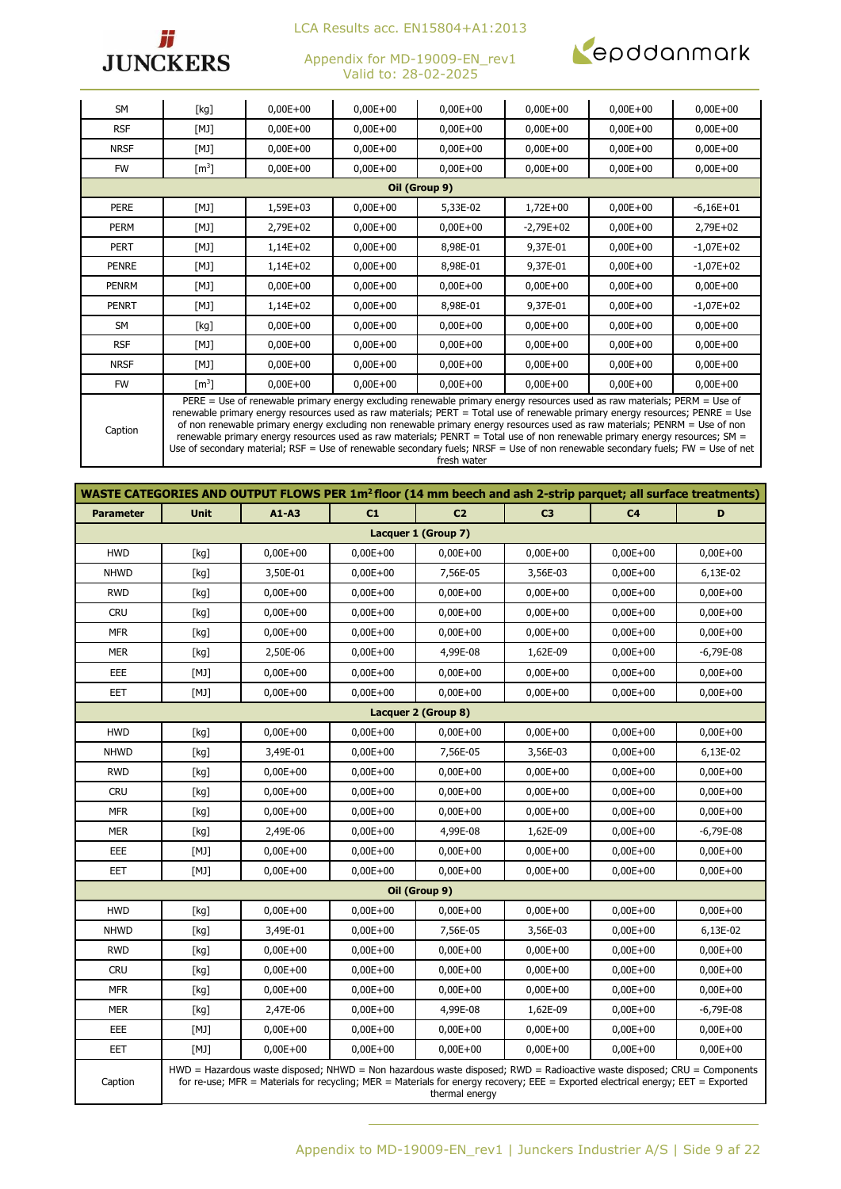



| <b>SM</b>     | [kg]                                                                                                                                                                                                                                                                                                                                                                                                                                                                                                                                                                                                                                                                             | $0,00E+00$   | $0,00E + 00$ | $0,00E+00$   | $0.00E + 00$ | $0,00E+00$   | $0,00E+00$   |  |  |  |  |
|---------------|----------------------------------------------------------------------------------------------------------------------------------------------------------------------------------------------------------------------------------------------------------------------------------------------------------------------------------------------------------------------------------------------------------------------------------------------------------------------------------------------------------------------------------------------------------------------------------------------------------------------------------------------------------------------------------|--------------|--------------|--------------|--------------|--------------|--------------|--|--|--|--|
| <b>RSF</b>    | [MJ]                                                                                                                                                                                                                                                                                                                                                                                                                                                                                                                                                                                                                                                                             | $0,00E+00$   | $0,00E + 00$ | $0,00E+00$   | $0.00E + 00$ | $0,00E+00$   | $0,00E+00$   |  |  |  |  |
| <b>NRSF</b>   | [MJ]                                                                                                                                                                                                                                                                                                                                                                                                                                                                                                                                                                                                                                                                             | $0,00E+00$   | $0,00E + 00$ | $0,00E+00$   | $0,00E+00$   | $0,00E+00$   | $0,00E+00$   |  |  |  |  |
| <b>FW</b>     | $\left[\mathrm{m}^3\right]$                                                                                                                                                                                                                                                                                                                                                                                                                                                                                                                                                                                                                                                      | $0,00E+00$   | $0,00E + 00$ | $0,00E+00$   | $0,00E + 00$ | $0,00E+00$   | $0,00E+00$   |  |  |  |  |
| Oil (Group 9) |                                                                                                                                                                                                                                                                                                                                                                                                                                                                                                                                                                                                                                                                                  |              |              |              |              |              |              |  |  |  |  |
| <b>PERE</b>   | [MJ]                                                                                                                                                                                                                                                                                                                                                                                                                                                                                                                                                                                                                                                                             | 1,59E+03     | $0,00E+00$   | 5,33E-02     | $1,72E+00$   | $0,00E+00$   | $-6,16E+01$  |  |  |  |  |
| <b>PERM</b>   | [MJ]                                                                                                                                                                                                                                                                                                                                                                                                                                                                                                                                                                                                                                                                             | 2,79E+02     | $0,00E+00$   | $0,00E+00$   | $-2,79E+02$  | $0,00E+00$   | 2,79E+02     |  |  |  |  |
| <b>PERT</b>   | [MJ]                                                                                                                                                                                                                                                                                                                                                                                                                                                                                                                                                                                                                                                                             | 1,14E+02     | $0,00E+00$   | 8,98E-01     | 9,37E-01     | $0,00E+00$   | $-1,07E+02$  |  |  |  |  |
| <b>PENRE</b>  | [MJ]                                                                                                                                                                                                                                                                                                                                                                                                                                                                                                                                                                                                                                                                             | $1.14E + 02$ | $0.00E + 00$ | 8.98E-01     | 9,37E-01     | $0.00E + 00$ | $-1,07E+02$  |  |  |  |  |
| <b>PENRM</b>  | [MJ]                                                                                                                                                                                                                                                                                                                                                                                                                                                                                                                                                                                                                                                                             | $0.00E + 00$ | $0.00E + 00$ | $0.00E + 00$ | $0.00E + 00$ | $0.00E + 00$ | $0.00E + 00$ |  |  |  |  |
| <b>PENRT</b>  | [MJ]                                                                                                                                                                                                                                                                                                                                                                                                                                                                                                                                                                                                                                                                             | 1,14E+02     | $0,00E+00$   | 8,98E-01     | 9,37E-01     | $0,00E+00$   | $-1,07E+02$  |  |  |  |  |
| <b>SM</b>     | [kg]                                                                                                                                                                                                                                                                                                                                                                                                                                                                                                                                                                                                                                                                             | $0,00E+00$   | $0,00E+00$   | $0,00E+00$   | $0,00E + 00$ | $0,00E+00$   | $0,00E+00$   |  |  |  |  |
| <b>RSF</b>    | [MJ]                                                                                                                                                                                                                                                                                                                                                                                                                                                                                                                                                                                                                                                                             | $0,00E+00$   | $0,00E+00$   | $0,00E+00$   | $0,00E+00$   | $0,00E+00$   | $0,00E+00$   |  |  |  |  |
| <b>NRSF</b>   | [MJ]                                                                                                                                                                                                                                                                                                                                                                                                                                                                                                                                                                                                                                                                             | $0,00E+00$   | $0.00E + 00$ | $0.00E + 00$ | $0.00E + 00$ | $0.00E + 00$ | $0.00E + 00$ |  |  |  |  |
| <b>FW</b>     | $\lceil m^3 \rceil$                                                                                                                                                                                                                                                                                                                                                                                                                                                                                                                                                                                                                                                              | $0.00E + 00$ | $0,00E+00$   | $0,00E+00$   | $0,00E + 00$ | $0,00E+00$   | $0.00E + 00$ |  |  |  |  |
| Caption       | PERE = Use of renewable primary energy excluding renewable primary energy resources used as raw materials; PERM = Use of<br>renewable primary energy resources used as raw materials; PERT = Total use of renewable primary energy resources; PENRE = Use<br>of non renewable primary energy excluding non renewable primary energy resources used as raw materials; PENRM = Use of non<br>renewable primary energy resources used as raw materials; PENRT = Total use of non renewable primary energy resources; $SM =$<br>Use of secondary material; $RSF = Use$ of renewable secondary fuels; $NRSF = Use$ of non renewable secondary fuels; $FW = Use$ of net<br>fresh water |              |              |              |              |              |              |  |  |  |  |

|                  | WASTE CATEGORIES AND OUTPUT FLOWS PER 1m <sup>2</sup> floor (14 mm beech and ash 2-strip parquet; all surface treatments) |            |            |                                                                                                                                                                                                                                                                                 |                |                |              |  |  |  |  |
|------------------|---------------------------------------------------------------------------------------------------------------------------|------------|------------|---------------------------------------------------------------------------------------------------------------------------------------------------------------------------------------------------------------------------------------------------------------------------------|----------------|----------------|--------------|--|--|--|--|
| <b>Parameter</b> | <b>Unit</b>                                                                                                               | $A1 - A3$  | C1         | C <sub>2</sub>                                                                                                                                                                                                                                                                  | C <sub>3</sub> | C <sub>4</sub> | D            |  |  |  |  |
|                  |                                                                                                                           |            |            | Lacquer 1 (Group 7)                                                                                                                                                                                                                                                             |                |                |              |  |  |  |  |
| <b>HWD</b>       | [kg]                                                                                                                      | $0,00E+00$ | $0,00E+00$ | $0,00E+00$                                                                                                                                                                                                                                                                      | $0,00E+00$     | $0,00E+00$     | $0,00E+00$   |  |  |  |  |
| <b>NHWD</b>      | [kq]                                                                                                                      | 3,50E-01   | $0,00E+00$ | 7,56E-05                                                                                                                                                                                                                                                                        | 3,56E-03       | $0,00E+00$     | 6,13E-02     |  |  |  |  |
| <b>RWD</b>       | [kg]                                                                                                                      | $0,00E+00$ | $0,00E+00$ | $0,00E+00$                                                                                                                                                                                                                                                                      | $0,00E+00$     | $0,00E+00$     | $0,00E+00$   |  |  |  |  |
| <b>CRU</b>       | [kg]                                                                                                                      | $0,00E+00$ | $0,00E+00$ | $0,00E+00$                                                                                                                                                                                                                                                                      | $0,00E+00$     | $0,00E+00$     | $0,00E+00$   |  |  |  |  |
| <b>MFR</b>       | [kg]                                                                                                                      | $0,00E+00$ | $0,00E+00$ | $0,00E + 00$                                                                                                                                                                                                                                                                    | $0,00E+00$     | $0,00E+00$     | $0,00E+00$   |  |  |  |  |
| <b>MER</b>       | [kg]                                                                                                                      | 2,50E-06   | $0,00E+00$ | 4,99E-08                                                                                                                                                                                                                                                                        | 1,62E-09       | $0,00E+00$     | $-6,79E-08$  |  |  |  |  |
| EEE              | [M]                                                                                                                       | $0,00E+00$ | $0,00E+00$ | $0,00E+00$                                                                                                                                                                                                                                                                      | $0,00E+00$     | $0,00E+00$     | $0.00E + 00$ |  |  |  |  |
| EET              | [MJ]                                                                                                                      | $0,00E+00$ | $0,00E+00$ | $0,00E+00$                                                                                                                                                                                                                                                                      | $0,00E+00$     | $0,00E + 00$   | $0,00E+00$   |  |  |  |  |
|                  |                                                                                                                           |            |            | Lacquer 2 (Group 8)                                                                                                                                                                                                                                                             |                |                |              |  |  |  |  |
| <b>HWD</b>       | [kg]                                                                                                                      | $0,00E+00$ | $0,00E+00$ | $0,00E + 00$                                                                                                                                                                                                                                                                    | $0,00E+00$     | $0,00E+00$     | $0,00E+00$   |  |  |  |  |
| <b>NHWD</b>      | [kq]                                                                                                                      | 3,49E-01   | $0,00E+00$ | 7,56E-05                                                                                                                                                                                                                                                                        | 3,56E-03       | $0,00E+00$     | 6,13E-02     |  |  |  |  |
| <b>RWD</b>       | [kq]                                                                                                                      | $0,00E+00$ | $0,00E+00$ | $0.00E + 00$                                                                                                                                                                                                                                                                    | $0.00E + 00$   | $0,00E + 00$   | $0,00E+00$   |  |  |  |  |
| <b>CRU</b>       | [kg]                                                                                                                      | $0,00E+00$ | $0,00E+00$ | $0,00E+00$                                                                                                                                                                                                                                                                      | $0,00E+00$     | $0,00E+00$     | $0,00E+00$   |  |  |  |  |
| <b>MFR</b>       | [kg]                                                                                                                      | $0,00E+00$ | $0,00E+00$ | $0,00E+00$                                                                                                                                                                                                                                                                      | $0,00E+00$     | $0,00E+00$     | $0,00E+00$   |  |  |  |  |
| <b>MER</b>       | [kg]                                                                                                                      | 2,49E-06   | $0,00E+00$ | 4,99E-08                                                                                                                                                                                                                                                                        | 1,62E-09       | $0,00E+00$     | $-6,79E-08$  |  |  |  |  |
| EEE              | [M]                                                                                                                       | $0,00E+00$ | $0,00E+00$ | $0,00E+00$                                                                                                                                                                                                                                                                      | $0,00E+00$     | $0,00E+00$     | $0,00E+00$   |  |  |  |  |
| EET              | [M]                                                                                                                       | $0,00E+00$ | $0,00E+00$ | $0,00E+00$                                                                                                                                                                                                                                                                      | $0,00E+00$     | $0,00E+00$     | $0,00E+00$   |  |  |  |  |
|                  |                                                                                                                           |            |            | Oil (Group 9)                                                                                                                                                                                                                                                                   |                |                |              |  |  |  |  |
| <b>HWD</b>       | [kg]                                                                                                                      | $0,00E+00$ | $0,00E+00$ | $0,00E+00$                                                                                                                                                                                                                                                                      | $0,00E+00$     | $0,00E+00$     | $0,00E+00$   |  |  |  |  |
| <b>NHWD</b>      | [kg]                                                                                                                      | 3,49E-01   | $0,00E+00$ | 7,56E-05                                                                                                                                                                                                                                                                        | 3,56E-03       | $0,00E+00$     | 6,13E-02     |  |  |  |  |
| <b>RWD</b>       | [kq]                                                                                                                      | $0,00E+00$ | $0,00E+00$ | $0,00E+00$                                                                                                                                                                                                                                                                      | $0,00E+00$     | $0,00E+00$     | $0,00E+00$   |  |  |  |  |
| <b>CRU</b>       | [kq]                                                                                                                      | $0,00E+00$ | $0,00E+00$ | $0,00E+00$                                                                                                                                                                                                                                                                      | $0,00E+00$     | $0,00E+00$     | $0,00E+00$   |  |  |  |  |
| <b>MFR</b>       | [kg]                                                                                                                      | $0,00E+00$ | $0,00E+00$ | $0,00E+00$                                                                                                                                                                                                                                                                      | $0,00E+00$     | $0,00E+00$     | $0,00E+00$   |  |  |  |  |
| <b>MER</b>       | [kg]                                                                                                                      | 2,47E-06   | $0,00E+00$ | 4,99E-08                                                                                                                                                                                                                                                                        | 1,62E-09       | $0,00E+00$     | $-6,79E-08$  |  |  |  |  |
| EEE              | [MJ]                                                                                                                      | $0,00E+00$ | $0,00E+00$ | $0,00E+00$                                                                                                                                                                                                                                                                      | $0,00E+00$     | $0,00E+00$     | $0,00E+00$   |  |  |  |  |
| EET              | [MJ]                                                                                                                      | $0,00E+00$ | $0,00E+00$ | $0,00E+00$                                                                                                                                                                                                                                                                      | $0,00E+00$     | $0,00E+00$     | $0,00E+00$   |  |  |  |  |
| Caption          |                                                                                                                           |            |            | $HWD =$ Hazardous waste disposed; NHWD = Non hazardous waste disposed; RWD = Radioactive waste disposed; CRU = Components<br>for re-use; MFR = Materials for recycling; MER = Materials for energy recovery; EEE = Exported electrical energy; EET = Exported<br>thermal energy |                |                |              |  |  |  |  |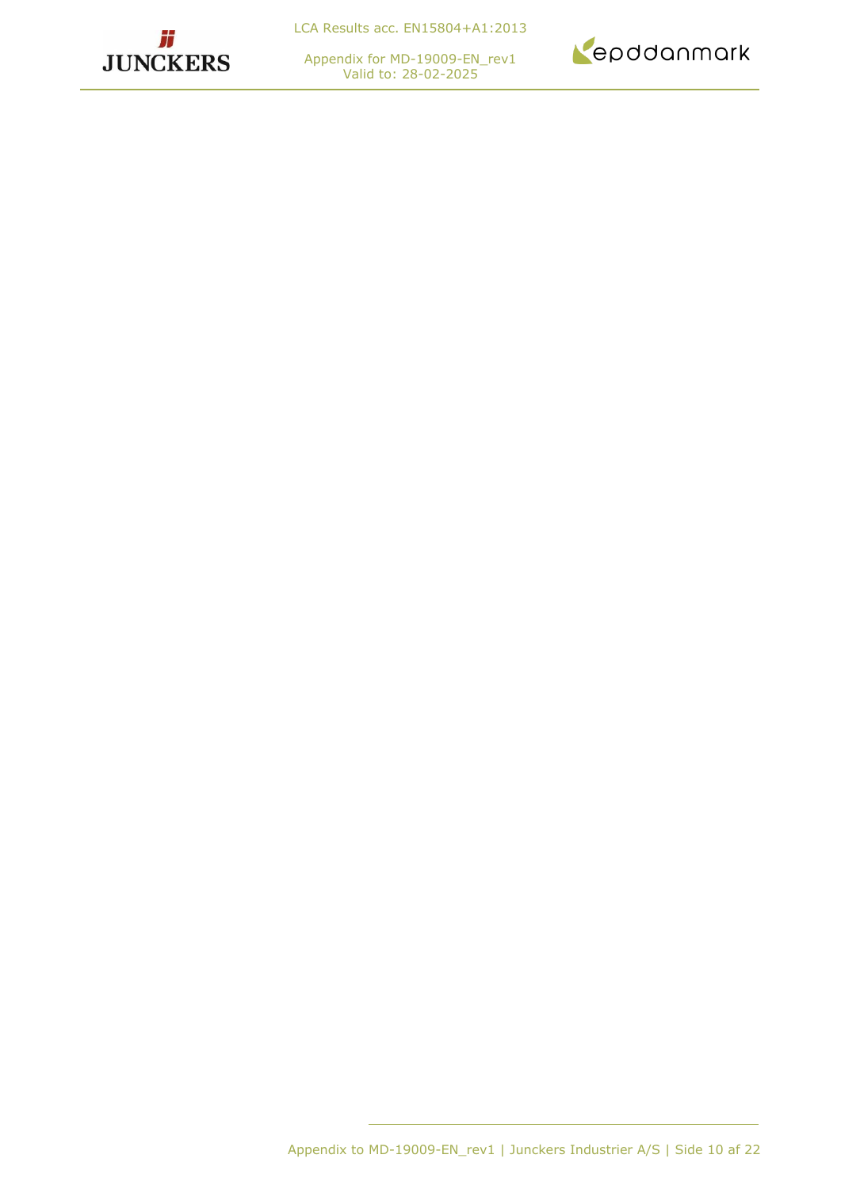

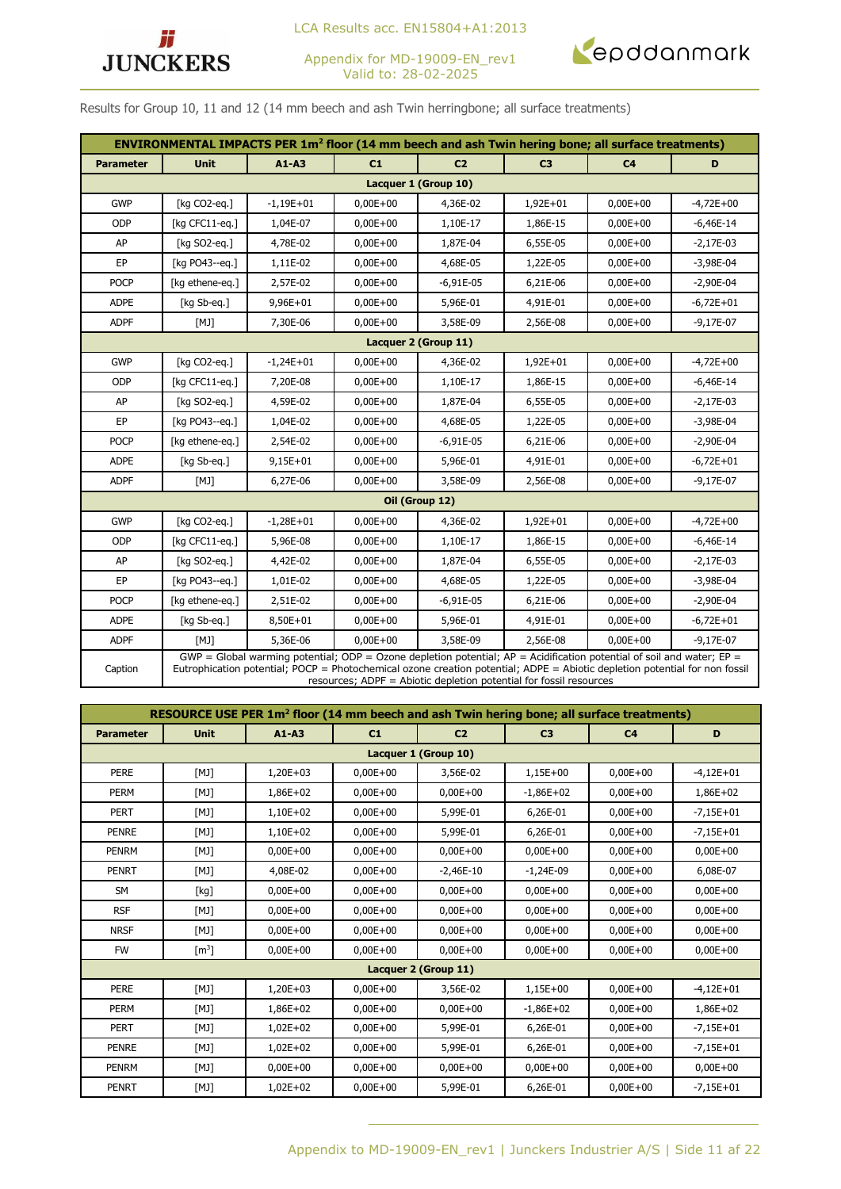

Appendix for MD-19009-EN\_rev1 Valid to: 28-02-2025



<span id="page-10-0"></span>Results for Group 10, 11 and 12 (14 mm beech and ash Twin herringbone; all surface treatments)

|                  | <b>ENVIRONMENTAL IMPACTS PER 1m<sup>2</sup> floor (14 mm beech and ash Twin hering bone; all surface treatments)</b> |                                                                                                                                                                                                                                                       |              |                                                                    |                |                |             |  |  |  |  |
|------------------|----------------------------------------------------------------------------------------------------------------------|-------------------------------------------------------------------------------------------------------------------------------------------------------------------------------------------------------------------------------------------------------|--------------|--------------------------------------------------------------------|----------------|----------------|-------------|--|--|--|--|
| <b>Parameter</b> | <b>Unit</b>                                                                                                          | $A1 - A3$                                                                                                                                                                                                                                             | C1           | C <sub>2</sub>                                                     | C <sub>3</sub> | C <sub>4</sub> | D           |  |  |  |  |
|                  | Lacquer 1 (Group 10)                                                                                                 |                                                                                                                                                                                                                                                       |              |                                                                    |                |                |             |  |  |  |  |
| <b>GWP</b>       | [kg CO2-eq.]                                                                                                         | $-1,19E + 01$                                                                                                                                                                                                                                         | $0,00E + 00$ | 4,36E-02                                                           | $1,92E+01$     | $0,00E+00$     | $-4,72E+00$ |  |  |  |  |
| ODP              | [kg CFC11-eq.]                                                                                                       | 1,04E-07                                                                                                                                                                                                                                              | $0,00E+00$   | 1,10E-17                                                           | 1,86E-15       | $0,00E+00$     | $-6,46E-14$ |  |  |  |  |
| AP               | [kg SO2-eg.]                                                                                                         | 4,78E-02                                                                                                                                                                                                                                              | $0,00E+00$   | 1,87E-04                                                           | 6,55E-05       | $0,00E+00$     | $-2,17E-03$ |  |  |  |  |
| EP               | [kg PO43--eq.]                                                                                                       | 1,11E-02                                                                                                                                                                                                                                              | $0,00E+00$   | 4,68E-05                                                           | 1,22E-05       | $0,00E+00$     | $-3,98E-04$ |  |  |  |  |
| <b>POCP</b>      | [kg ethene-eg.]                                                                                                      | 2,57E-02                                                                                                                                                                                                                                              | $0,00E+00$   | $-6,91E-05$                                                        | 6,21E-06       | $0,00E+00$     | $-2,90E-04$ |  |  |  |  |
| <b>ADPE</b>      | [kg Sb-eg.]                                                                                                          | 9,96E+01                                                                                                                                                                                                                                              | $0,00E+00$   | 5,96E-01                                                           | 4,91E-01       | $0,00E+00$     | $-6,72E+01$ |  |  |  |  |
| <b>ADPF</b>      | [M]                                                                                                                  | 7,30E-06                                                                                                                                                                                                                                              | $0,00E+00$   | 3,58E-09                                                           | 2,56E-08       | $0,00E+00$     | $-9,17E-07$ |  |  |  |  |
|                  | Lacquer 2 (Group 11)                                                                                                 |                                                                                                                                                                                                                                                       |              |                                                                    |                |                |             |  |  |  |  |
| <b>GWP</b>       | [kg CO2-eq.]                                                                                                         | $-1,24E+01$                                                                                                                                                                                                                                           | $0,00E+00$   | 4,36E-02                                                           | $1,92E+01$     | $0,00E+00$     | $-4,72E+00$ |  |  |  |  |
| ODP              | [kg CFC11-eq.]                                                                                                       | 7,20E-08                                                                                                                                                                                                                                              | $0,00E+00$   | 1,10E-17                                                           | 1,86E-15       | $0,00E+00$     | $-6,46E-14$ |  |  |  |  |
| AP               | [kg SO2-eg.]                                                                                                         | 4,59E-02                                                                                                                                                                                                                                              | $0,00E + 00$ | 1,87E-04                                                           | 6,55E-05       | $0,00E+00$     | $-2,17E-03$ |  |  |  |  |
| EP               | [kg PO43--eq.]                                                                                                       | 1,04E-02                                                                                                                                                                                                                                              | $0,00E + 00$ | 4,68E-05                                                           | 1,22E-05       | $0,00E+00$     | $-3,98E-04$ |  |  |  |  |
| <b>POCP</b>      | [kg ethene-eg.]                                                                                                      | 2,54E-02                                                                                                                                                                                                                                              | $0,00E+00$   | $-6,91E-05$                                                        | 6,21E-06       | $0,00E+00$     | $-2,90E-04$ |  |  |  |  |
| <b>ADPE</b>      | [kg Sb-eq.]                                                                                                          | $9,15E+01$                                                                                                                                                                                                                                            | $0,00E + 00$ | 5,96E-01                                                           | 4,91E-01       | $0,00E+00$     | $-6,72E+01$ |  |  |  |  |
| <b>ADPF</b>      | [MJ]                                                                                                                 | 6,27E-06                                                                                                                                                                                                                                              | $0,00E + 00$ | 3,58E-09                                                           | 2,56E-08       | $0,00E+00$     | $-9,17E-07$ |  |  |  |  |
|                  |                                                                                                                      |                                                                                                                                                                                                                                                       |              | Oil (Group 12)                                                     |                |                |             |  |  |  |  |
| <b>GWP</b>       | [kg CO2-eq.]                                                                                                         | $-1,28E+01$                                                                                                                                                                                                                                           | $0,00E+00$   | 4,36E-02                                                           | 1,92E+01       | $0,00E+00$     | $-4,72E+00$ |  |  |  |  |
| ODP              | [kg CFC11-eg.]                                                                                                       | 5,96E-08                                                                                                                                                                                                                                              | $0,00E+00$   | 1,10E-17                                                           | 1,86E-15       | $0,00E+00$     | $-6,46E-14$ |  |  |  |  |
| AP               | [kg SO2-eg.]                                                                                                         | 4,42E-02                                                                                                                                                                                                                                              | $0,00E + 00$ | 1,87E-04                                                           | 6,55E-05       | $0,00E+00$     | $-2,17E-03$ |  |  |  |  |
| EP               | [kg PO43--eq.]                                                                                                       | 1,01E-02                                                                                                                                                                                                                                              | $0,00E+00$   | 4,68E-05                                                           | 1,22E-05       | $0,00E+00$     | $-3,98E-04$ |  |  |  |  |
| <b>POCP</b>      | [kg ethene-eg.]                                                                                                      | 2,51E-02                                                                                                                                                                                                                                              | $0,00E+00$   | $-6,91E-05$                                                        | 6,21E-06       | $0,00E+00$     | $-2,90E-04$ |  |  |  |  |
| <b>ADPE</b>      | [kg Sb-eq.]                                                                                                          | 8,50E+01                                                                                                                                                                                                                                              | $0,00E+00$   | 5,96E-01                                                           | 4,91E-01       | $0,00E+00$     | $-6,72E+01$ |  |  |  |  |
| <b>ADPF</b>      | [MJ]                                                                                                                 | 5,36E-06                                                                                                                                                                                                                                              | $0,00E+00$   | 3,58E-09                                                           | 2,56E-08       | $0,00E+00$     | $-9,17E-07$ |  |  |  |  |
| Caption          |                                                                                                                      | GWP = Global warming potential; ODP = Ozone depletion potential; $AP =$ Acidification potential of soil and water; EP =<br>Eutrophication potential; POCP = Photochemical ozone creation potential; ADPE = Abiotic depletion potential for non fossil |              | resources; ADPF = Abiotic depletion potential for fossil resources |                |                |             |  |  |  |  |

| RESOURCE USE PER 1m <sup>2</sup> floor (14 mm beech and ash Twin hering bone; all surface treatments) |                     |              |              |                      |                |                |              |  |  |  |
|-------------------------------------------------------------------------------------------------------|---------------------|--------------|--------------|----------------------|----------------|----------------|--------------|--|--|--|
| <b>Parameter</b>                                                                                      | <b>Unit</b>         | $A1 - A3$    | C1           | C <sub>2</sub>       | C <sub>3</sub> | C <sub>4</sub> | D            |  |  |  |
| Lacquer 1 (Group 10)                                                                                  |                     |              |              |                      |                |                |              |  |  |  |
| PERE                                                                                                  | [MJ]                | $1,20E+03$   | $0,00E + 00$ | 3,56E-02             | $1,15E+00$     | $0,00E+00$     | $-4,12E+01$  |  |  |  |
| <b>PERM</b>                                                                                           | [MJ]                | 1,86E+02     | $0.00E + 00$ | $0.00E + 00$         | $-1,86E+02$    | $0,00E+00$     | 1,86E+02     |  |  |  |
| <b>PERT</b>                                                                                           | [M]                 | 1,10E+02     | $0,00E+00$   | 5,99E-01             | 6,26E-01       | $0,00E+00$     | $-7,15E+01$  |  |  |  |
| <b>PENRE</b>                                                                                          | [M]                 | $1.10E + 02$ | $0.00E + 00$ | 5,99E-01             | 6.26E-01       | $0.00E + 00$   | $-7,15E+01$  |  |  |  |
| <b>PENRM</b>                                                                                          | [M]                 | $0,00E+00$   | $0,00E+00$   | $0,00E+00$           | $0,00E+00$     | $0,00E+00$     | $0,00E+00$   |  |  |  |
| <b>PENRT</b>                                                                                          | [MJ]                | 4,08E-02     | $0,00E+00$   | $-2,46E-10$          | $-1,24E-09$    | $0,00E+00$     | 6,08E-07     |  |  |  |
| <b>SM</b>                                                                                             | [kg]                | $0,00E+00$   | $0,00E+00$   | $0,00E+00$           | $0,00E+00$     | $0,00E+00$     | $0,00E+00$   |  |  |  |
| <b>RSF</b>                                                                                            | [MJ]                | $0,00E+00$   | $0,00E+00$   | $0,00E+00$           | $0,00E+00$     | $0,00E+00$     | $0,00E+00$   |  |  |  |
| <b>NRSF</b>                                                                                           | [M]                 | $0,00E+00$   | $0.00E + 00$ | $0,00E+00$           | $0.00E + 00$   | $0,00E+00$     | $0.00E + 00$ |  |  |  |
| <b>FW</b>                                                                                             | $\lceil m^3 \rceil$ | $0,00E+00$   | $0,00E+00$   | $0.00E + 00$         | $0,00E+00$     | $0,00E+00$     | $0,00E+00$   |  |  |  |
|                                                                                                       |                     |              |              | Lacquer 2 (Group 11) |                |                |              |  |  |  |
| PERE                                                                                                  | [MJ]                | $1,20E+03$   | $0,00E + 00$ | 3,56E-02             | 1,15E+00       | $0,00E+00$     | $-4,12E+01$  |  |  |  |
| PERM                                                                                                  | [MJ]                | 1,86E+02     | $0,00E + 00$ | $0,00E+00$           | $-1,86E+02$    | $0,00E+00$     | 1,86E+02     |  |  |  |
| <b>PERT</b>                                                                                           | [M]                 | $1,02E+02$   | $0,00E+00$   | 5,99E-01             | 6,26E-01       | $0,00E+00$     | $-7,15E+01$  |  |  |  |
| <b>PENRE</b>                                                                                          | [MJ]                | $1,02E+02$   | $0,00E+00$   | 5,99E-01             | 6,26E-01       | $0,00E+00$     | $-7,15E+01$  |  |  |  |
| <b>PENRM</b>                                                                                          | [MJ]                | $0,00E+00$   | $0,00E+00$   | $0,00E+00$           | $0,00E+00$     | $0,00E+00$     | $0,00E+00$   |  |  |  |
| <b>PENRT</b>                                                                                          | [M]                 | $1,02E+02$   | $0,00E+00$   | 5,99E-01             | 6,26E-01       | $0,00E+00$     | $-7,15E+01$  |  |  |  |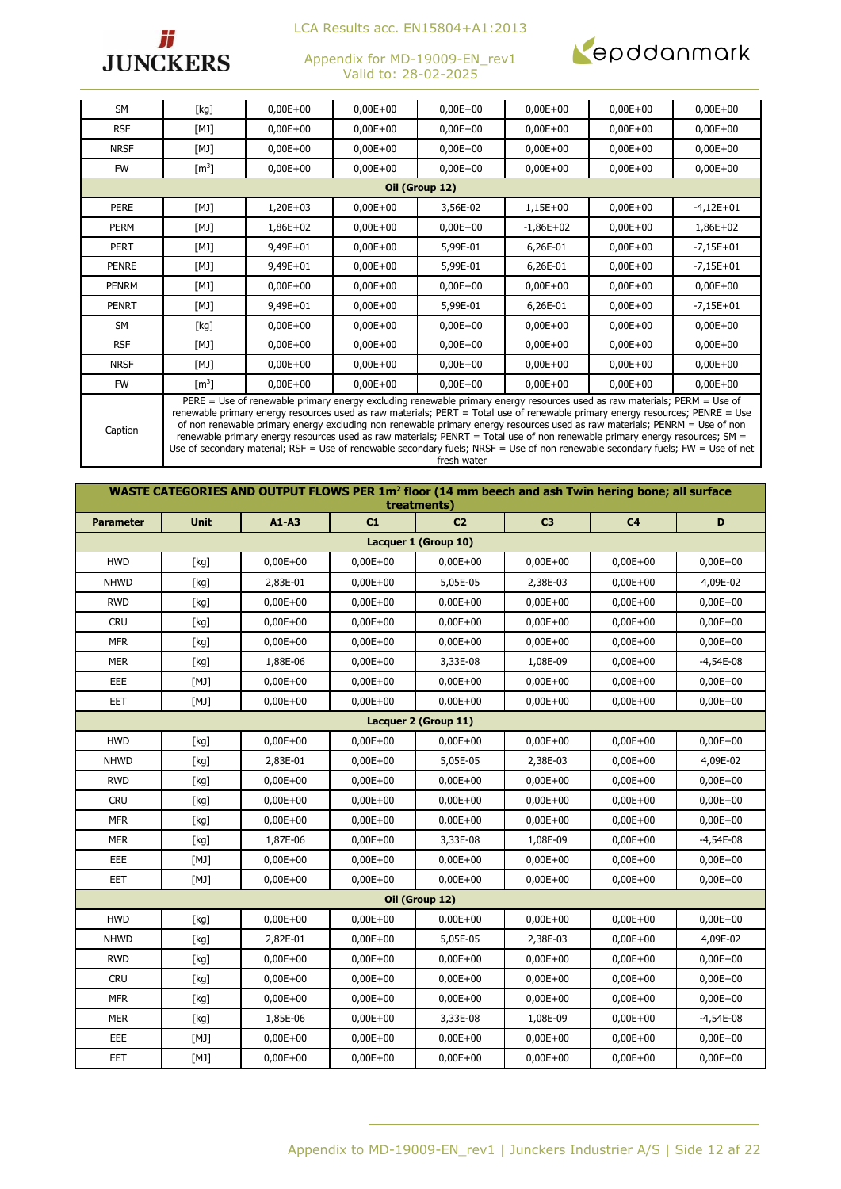



| <b>SM</b>    | [kg]                        | $0,00E+00$                                                                                                                                                                                                                                                                                                                                                                                                                                                                                                                                                                                                                                                                      | $0,00E + 00$ | $0,00E+00$   | $0,00E + 00$ | $0,00E+00$   | $0,00E + 00$  |  |  |  |  |  |
|--------------|-----------------------------|---------------------------------------------------------------------------------------------------------------------------------------------------------------------------------------------------------------------------------------------------------------------------------------------------------------------------------------------------------------------------------------------------------------------------------------------------------------------------------------------------------------------------------------------------------------------------------------------------------------------------------------------------------------------------------|--------------|--------------|--------------|--------------|---------------|--|--|--|--|--|
| <b>RSF</b>   | [MJ]                        | $0,00E+00$                                                                                                                                                                                                                                                                                                                                                                                                                                                                                                                                                                                                                                                                      | $0.00E + 00$ | $0,00E+00$   | $0.00E + 00$ | $0.00E + 00$ | $0,00E+00$    |  |  |  |  |  |
| <b>NRSF</b>  | [MJ]                        | $0,00E+00$                                                                                                                                                                                                                                                                                                                                                                                                                                                                                                                                                                                                                                                                      | $0.00E + 00$ | $0,00E+00$   | $0.00E + 00$ | $0.00E + 00$ | $0,00E+00$    |  |  |  |  |  |
| <b>FW</b>    | $\left[\mathrm{m}^3\right]$ | $0,00E+00$                                                                                                                                                                                                                                                                                                                                                                                                                                                                                                                                                                                                                                                                      | $0.00E + 00$ | $0,00E + 00$ | $0,00E + 00$ | $0,00E+00$   | $0,00E+00$    |  |  |  |  |  |
|              | Oil (Group 12)              |                                                                                                                                                                                                                                                                                                                                                                                                                                                                                                                                                                                                                                                                                 |              |              |              |              |               |  |  |  |  |  |
| <b>PERE</b>  | [MJ]                        | $1,20E+03$                                                                                                                                                                                                                                                                                                                                                                                                                                                                                                                                                                                                                                                                      | $0,00E+00$   | 3,56E-02     | $1,15E+00$   | $0,00E+00$   | $-4,12E+01$   |  |  |  |  |  |
| <b>PERM</b>  | [MJ]                        | 1,86E+02                                                                                                                                                                                                                                                                                                                                                                                                                                                                                                                                                                                                                                                                        | $0,00E+00$   | $0,00E+00$   | $-1,86E+02$  | $0,00E+00$   | 1,86E+02      |  |  |  |  |  |
| <b>PERT</b>  | [MJ]                        | 9,49E+01                                                                                                                                                                                                                                                                                                                                                                                                                                                                                                                                                                                                                                                                        | $0,00E+00$   | 5,99E-01     | 6,26E-01     | $0,00E+00$   | $-7,15E+01$   |  |  |  |  |  |
| <b>PENRE</b> | [MJ]                        | $9.49E + 01$                                                                                                                                                                                                                                                                                                                                                                                                                                                                                                                                                                                                                                                                    | $0.00E + 00$ | 5,99E-01     | 6.26E-01     | $0.00E + 00$ | $-7.15E + 01$ |  |  |  |  |  |
| <b>PENRM</b> | [MJ]                        | $0,00E+00$                                                                                                                                                                                                                                                                                                                                                                                                                                                                                                                                                                                                                                                                      | $0.00E + 00$ | $0.00E + 00$ | $0.00E + 00$ | $0.00E + 00$ | $0.00E + 00$  |  |  |  |  |  |
| <b>PENRT</b> | [MJ]                        | $9.49E + 01$                                                                                                                                                                                                                                                                                                                                                                                                                                                                                                                                                                                                                                                                    | $0.00E + 00$ | 5,99E-01     | 6.26E-01     | $0.00E + 00$ | $-7,15E+01$   |  |  |  |  |  |
| <b>SM</b>    | [kg]                        | $0,00E+00$                                                                                                                                                                                                                                                                                                                                                                                                                                                                                                                                                                                                                                                                      | $0.00E + 00$ | $0.00E + 00$ | $0.00E + 00$ | $0.00E + 00$ | $0.00E + 00$  |  |  |  |  |  |
| <b>RSF</b>   | [MJ]                        | $0,00E+00$                                                                                                                                                                                                                                                                                                                                                                                                                                                                                                                                                                                                                                                                      | $0.00E + 00$ | $0.00E + 00$ | $0,00E + 00$ | $0.00E + 00$ | $0,00E+00$    |  |  |  |  |  |
| <b>NRSF</b>  | [MJ]                        | $0,00E+00$                                                                                                                                                                                                                                                                                                                                                                                                                                                                                                                                                                                                                                                                      | $0,00E+00$   | $0,00E + 00$ | $0,00E+00$   | $0,00E+00$   | $0,00E+00$    |  |  |  |  |  |
| <b>FW</b>    | $\lceil m^3 \rceil$         | $0,00E+00$                                                                                                                                                                                                                                                                                                                                                                                                                                                                                                                                                                                                                                                                      | $0,00E+00$   | $0,00E+00$   | $0,00E + 00$ | $0,00E+00$   | $0,00E+00$    |  |  |  |  |  |
| Caption      |                             | PERE = Use of renewable primary energy excluding renewable primary energy resources used as raw materials; PERM = Use of<br>renewable primary energy resources used as raw materials; PERT = Total use of renewable primary energy resources; PENRE = Use<br>of non renewable primary energy excluding non renewable primary energy resources used as raw materials; PENRM = Use of non<br>renewable primary energy resources used as raw materials; PENRT = Total use of non renewable primary energy resources; $SM =$<br>Use of secondary material; $RSF =$ Use of renewable secondary fuels; $NSF =$ Use of non renewable secondary fuels; $FW =$ Use of net<br>fresh water |              |              |              |              |               |  |  |  |  |  |

| WASTE CATEGORIES AND OUTPUT FLOWS PER 1m <sup>2</sup> floor (14 mm beech and ash Twin hering bone; all surface<br>treatments) |                      |              |            |                |                |                |             |  |  |  |
|-------------------------------------------------------------------------------------------------------------------------------|----------------------|--------------|------------|----------------|----------------|----------------|-------------|--|--|--|
| <b>Parameter</b>                                                                                                              | <b>Unit</b>          | $A1 - A3$    | C1         | C <sub>2</sub> | C <sub>3</sub> | C <sub>4</sub> | D           |  |  |  |
| Lacquer 1 (Group 10)                                                                                                          |                      |              |            |                |                |                |             |  |  |  |
| <b>HWD</b>                                                                                                                    | [kg]                 | $0,00E + 00$ | $0,00E+00$ | $0,00E+00$     | $0,00E + 00$   | $0,00E + 00$   | $0,00E+00$  |  |  |  |
| <b>NHWD</b>                                                                                                                   | [kg]                 | 2,83E-01     | $0,00E+00$ | 5,05E-05       | 2,38E-03       | $0,00E+00$     | 4,09E-02    |  |  |  |
| <b>RWD</b>                                                                                                                    | [kg]                 | $0,00E+00$   | $0,00E+00$ | $0,00E+00$     | $0,00E+00$     | $0,00E+00$     | $0,00E+00$  |  |  |  |
| <b>CRU</b>                                                                                                                    | [kg]                 | $0,00E+00$   | $0,00E+00$ | $0,00E+00$     | $0,00E+00$     | $0,00E+00$     | $0,00E+00$  |  |  |  |
| <b>MFR</b>                                                                                                                    | [kg]                 | $0,00E+00$   | $0,00E+00$ | $0,00E+00$     | $0,00E+00$     | $0,00E+00$     | $0,00E+00$  |  |  |  |
| <b>MER</b>                                                                                                                    | [kg]                 | 1,88E-06     | $0,00E+00$ | 3,33E-08       | 1,08E-09       | $0,00E+00$     | $-4,54E-08$ |  |  |  |
| EEE                                                                                                                           | [MJ]                 | $0,00E+00$   | $0,00E+00$ | $0,00E + 00$   | $0,00E+00$     | $0,00E+00$     | $0,00E+00$  |  |  |  |
| EET                                                                                                                           | [MJ]                 | $0,00E+00$   | $0,00E+00$ | $0,00E+00$     | $0,00E+00$     | $0,00E+00$     | $0,00E+00$  |  |  |  |
|                                                                                                                               | Lacquer 2 (Group 11) |              |            |                |                |                |             |  |  |  |
| <b>HWD</b>                                                                                                                    | [kg]                 | $0,00E + 00$ | $0,00E+00$ | $0,00E+00$     | $0,00E+00$     | $0,00E+00$     | $0,00E+00$  |  |  |  |
| <b>NHWD</b>                                                                                                                   | [kg]                 | 2,83E-01     | $0,00E+00$ | 5,05E-05       | 2,38E-03       | $0,00E+00$     | 4,09E-02    |  |  |  |
| <b>RWD</b>                                                                                                                    | [kg]                 | $0,00E+00$   | $0,00E+00$ | $0,00E+00$     | $0,00E+00$     | $0,00E+00$     | $0,00E+00$  |  |  |  |
| <b>CRU</b>                                                                                                                    | [kg]                 | $0,00E + 00$ | $0,00E+00$ | $0,00E + 00$   | $0,00E+00$     | $0,00E+00$     | $0,00E+00$  |  |  |  |
| <b>MFR</b>                                                                                                                    | [kg]                 | $0,00E+00$   | $0,00E+00$ | $0,00E+00$     | $0,00E+00$     | $0,00E+00$     | $0,00E+00$  |  |  |  |
| <b>MER</b>                                                                                                                    | [kg]                 | 1,87E-06     | $0,00E+00$ | 3,33E-08       | 1,08E-09       | $0,00E+00$     | $-4,54E-08$ |  |  |  |
| <b>EEE</b>                                                                                                                    | [M]                  | $0,00E+00$   | $0,00E+00$ | $0,00E+00$     | $0,00E+00$     | $0,00E+00$     | $0,00E+00$  |  |  |  |
| EET                                                                                                                           | [MJ]                 | $0,00E+00$   | $0,00E+00$ | $0,00E+00$     | $0,00E+00$     | $0,00E+00$     | $0,00E+00$  |  |  |  |
|                                                                                                                               |                      |              |            | Oil (Group 12) |                |                |             |  |  |  |
| <b>HWD</b>                                                                                                                    | [kg]                 | $0,00E+00$   | $0,00E+00$ | $0,00E+00$     | $0,00E+00$     | $0,00E+00$     | $0,00E+00$  |  |  |  |
| <b>NHWD</b>                                                                                                                   | [kg]                 | 2,82E-01     | $0,00E+00$ | 5,05E-05       | 2,38E-03       | $0,00E+00$     | 4,09E-02    |  |  |  |
| <b>RWD</b>                                                                                                                    | [kg]                 | $0,00E+00$   | $0,00E+00$ | $0,00E+00$     | $0,00E+00$     | $0,00E+00$     | $0,00E+00$  |  |  |  |
| <b>CRU</b>                                                                                                                    | [kg]                 | $0,00E+00$   | $0,00E+00$ | $0,00E+00$     | $0,00E+00$     | $0,00E+00$     | $0,00E+00$  |  |  |  |
| <b>MFR</b>                                                                                                                    | [kg]                 | $0,00E+00$   | $0,00E+00$ | $0,00E+00$     | $0,00E+00$     | $0,00E+00$     | $0,00E+00$  |  |  |  |
| <b>MER</b>                                                                                                                    | [kg]                 | 1,85E-06     | $0,00E+00$ | 3,33E-08       | 1,08E-09       | $0,00E+00$     | $-4,54E-08$ |  |  |  |
| EEE                                                                                                                           | [M]                  | $0,00E + 00$ | $0,00E+00$ | $0,00E + 00$   | $0,00E+00$     | $0,00E+00$     | $0,00E+00$  |  |  |  |
| EET                                                                                                                           | [MJ]                 | $0,00E + 00$ | $0,00E+00$ | $0,00E+00$     | $0,00E+00$     | $0,00E+00$     | $0,00E+00$  |  |  |  |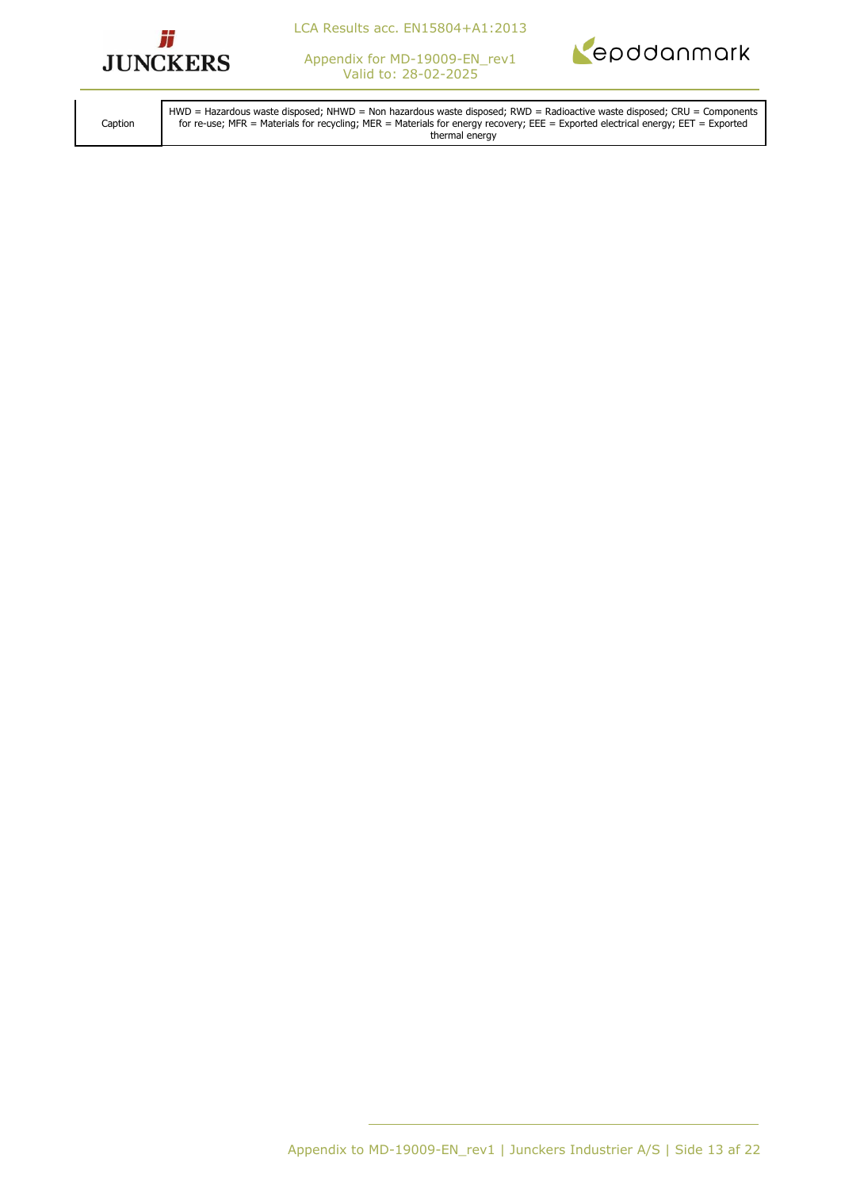

Appendix for MD-19009-EN\_rev1 Valid to: 28-02-2025



Caption HWD = Hazardous waste disposed; NHWD = Non hazardous waste disposed; RWD = Radioactive waste disposed; CRU = Components for re-use; MFR = Materials for recycling; MER = Materials for energy recovery; EEE = Exported electrical energy; EET = Exported thermal energy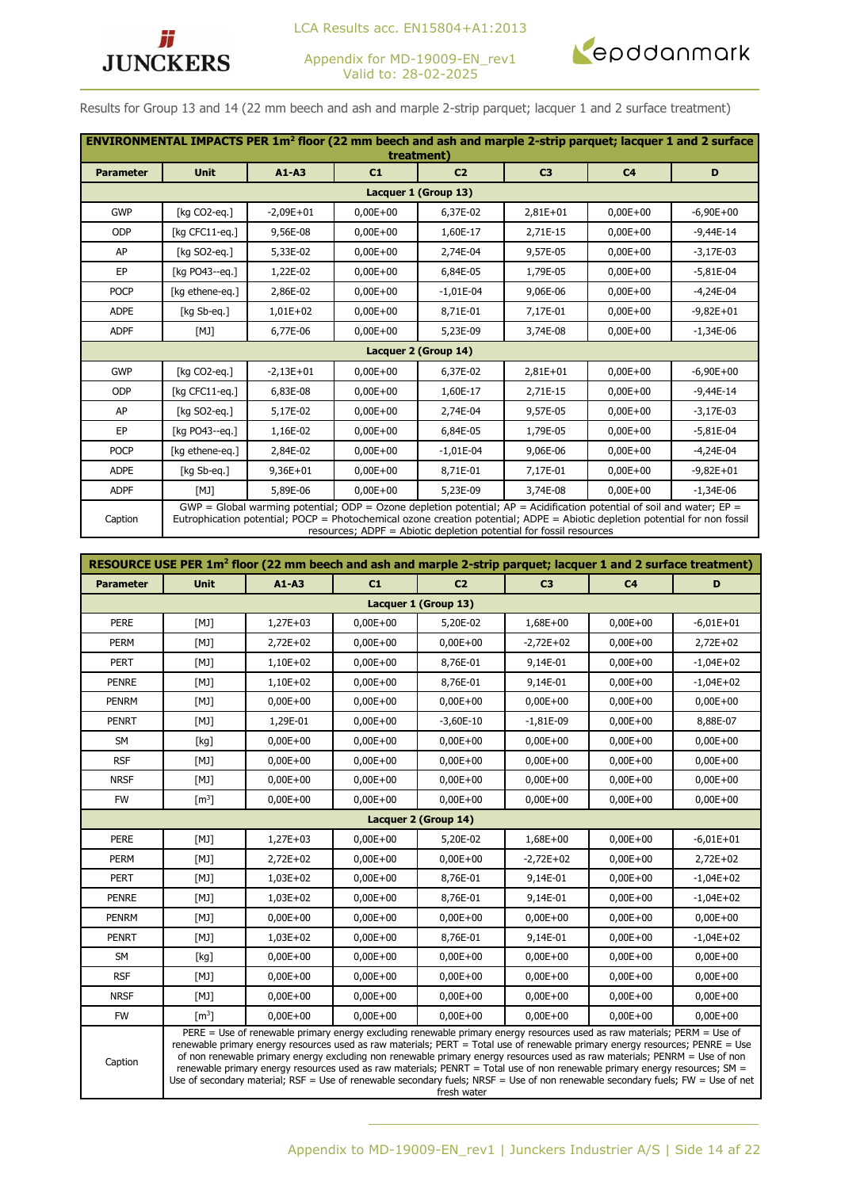

Appendix for MD-19009-EN\_rev1 Valid to: 28-02-2025



<span id="page-13-0"></span>Results for Group 13 and 14 (22 mm beech and ash and marple 2-strip parquet; lacquer 1 and 2 surface treatment)

| ENVIRONMENTAL IMPACTS PER 1m <sup>2</sup> floor (22 mm beech and ash and marple 2-strip parquet; lacquer 1 and 2 surface<br>treatment) |                      |               |              |                                                                                                                                                                                                                                                                                                                               |                |                |               |  |  |  |  |
|----------------------------------------------------------------------------------------------------------------------------------------|----------------------|---------------|--------------|-------------------------------------------------------------------------------------------------------------------------------------------------------------------------------------------------------------------------------------------------------------------------------------------------------------------------------|----------------|----------------|---------------|--|--|--|--|
| <b>Parameter</b>                                                                                                                       | <b>Unit</b>          | $A1 - A3$     | C1           | C <sub>2</sub>                                                                                                                                                                                                                                                                                                                | C <sub>3</sub> | C <sub>4</sub> | D             |  |  |  |  |
|                                                                                                                                        | Lacquer 1 (Group 13) |               |              |                                                                                                                                                                                                                                                                                                                               |                |                |               |  |  |  |  |
| <b>GWP</b>                                                                                                                             | [kg CO2-eq.]         | $-2.09E + 01$ | $0.00E + 00$ | 6,37E-02                                                                                                                                                                                                                                                                                                                      | $2,81E+01$     | $0.00E + 00$   | $-6.90E + 00$ |  |  |  |  |
| <b>ODP</b>                                                                                                                             | [kg CFC11-eg.]       | 9,56E-08      | $0.00E + 00$ | 1,60E-17                                                                                                                                                                                                                                                                                                                      | 2,71E-15       | $0.00E + 00$   | $-9,44E-14$   |  |  |  |  |
| AP                                                                                                                                     | [kg SO2-eg.]         | 5,33E-02      | $0,00E+00$   | 2,74E-04                                                                                                                                                                                                                                                                                                                      | 9,57E-05       | $0.00E + 00$   | $-3,17E-03$   |  |  |  |  |
| EP                                                                                                                                     | [kg PO43--eg.]       | 1,22E-02      | $0,00E+00$   | 6,84E-05                                                                                                                                                                                                                                                                                                                      | 1,79E-05       | $0,00E+00$     | $-5,81E-04$   |  |  |  |  |
| <b>POCP</b>                                                                                                                            | [kg ethene-eg.]      | 2,86E-02      | $0,00E + 00$ | $-1,01E-04$                                                                                                                                                                                                                                                                                                                   | 9,06E-06       | $0,00E+00$     | $-4,24E-04$   |  |  |  |  |
| <b>ADPE</b>                                                                                                                            | [kg Sb-eg.]          | $1,01E+02$    | $0,00E+00$   | 8,71E-01                                                                                                                                                                                                                                                                                                                      | 7,17E-01       | $0,00E+00$     | $-9,82E+01$   |  |  |  |  |
| <b>ADPF</b>                                                                                                                            | [MJ]                 | 6,77E-06      | $0,00E + 00$ | 5,23E-09                                                                                                                                                                                                                                                                                                                      | 3,74E-08       | $0,00E+00$     | $-1,34E-06$   |  |  |  |  |
|                                                                                                                                        |                      |               |              | Lacquer 2 (Group 14)                                                                                                                                                                                                                                                                                                          |                |                |               |  |  |  |  |
| <b>GWP</b>                                                                                                                             | [kg CO2-eq.]         | $-2,13E+01$   | $0.00E + 00$ | 6,37E-02                                                                                                                                                                                                                                                                                                                      | $2,81E+01$     | $0.00E + 00$   | $-6.90E + 00$ |  |  |  |  |
| ODP                                                                                                                                    | [kg CFC11-eg.]       | 6,83E-08      | $0,00E+00$   | 1,60E-17                                                                                                                                                                                                                                                                                                                      | 2,71E-15       | $0,00E+00$     | $-9,44E-14$   |  |  |  |  |
| AP                                                                                                                                     | [kg SO2-eg.]         | 5,17E-02      | $0,00E+00$   | 2,74E-04                                                                                                                                                                                                                                                                                                                      | 9,57E-05       | $0,00E+00$     | $-3,17E-03$   |  |  |  |  |
| EP                                                                                                                                     | [kg PO43--eg.]       | 1,16E-02      | $0.00E + 00$ | 6.84E-05                                                                                                                                                                                                                                                                                                                      | 1,79E-05       | $0.00E + 00$   | $-5,81E-04$   |  |  |  |  |
| <b>POCP</b>                                                                                                                            | [kg ethene-eq.]      | 2,84E-02      | $0.00E + 00$ | $-1,01E-04$                                                                                                                                                                                                                                                                                                                   | 9,06E-06       | $0.00E + 00$   | $-4,24E-04$   |  |  |  |  |
| <b>ADPE</b>                                                                                                                            | [kg Sb-eg.]          | $9,36E+01$    | $0.00E + 00$ | 8,71E-01                                                                                                                                                                                                                                                                                                                      | 7,17E-01       | $0.00E + 00$   | $-9,82E+01$   |  |  |  |  |
| <b>ADPF</b>                                                                                                                            | [MJ]                 | 5,89E-06      | $0.00E + 00$ | 5,23E-09                                                                                                                                                                                                                                                                                                                      | 3,74E-08       | $0.00E + 00$   | $-1,34E-06$   |  |  |  |  |
| Caption                                                                                                                                |                      |               |              | $GWP = Global$ warming potential; ODP = Ozone depletion potential; $AP =$ Acidification potential of soil and water; EP =<br>Eutrophication potential; POCP = Photochemical ozone creation potential; ADPE = Abiotic depletion potential for non fossil<br>resources; ADPF = Abiotic depletion potential for fossil resources |                |                |               |  |  |  |  |

|                  | RESOURCE USE PER 1m <sup>2</sup> floor (22 mm beech and ash and marple 2-strip parquet; lacquer 1 and 2 surface treatment)                                                                                                                                                                                                                                                                                                                                                                                                                                                                                                                                               |              |              |                      |                |                |              |  |  |
|------------------|--------------------------------------------------------------------------------------------------------------------------------------------------------------------------------------------------------------------------------------------------------------------------------------------------------------------------------------------------------------------------------------------------------------------------------------------------------------------------------------------------------------------------------------------------------------------------------------------------------------------------------------------------------------------------|--------------|--------------|----------------------|----------------|----------------|--------------|--|--|
| <b>Parameter</b> | <b>Unit</b>                                                                                                                                                                                                                                                                                                                                                                                                                                                                                                                                                                                                                                                              | $A1 - A3$    | C1           | C <sub>2</sub>       | C <sub>3</sub> | C <sub>4</sub> | D            |  |  |
|                  |                                                                                                                                                                                                                                                                                                                                                                                                                                                                                                                                                                                                                                                                          |              |              | Lacquer 1 (Group 13) |                |                |              |  |  |
| <b>PERE</b>      | [M]                                                                                                                                                                                                                                                                                                                                                                                                                                                                                                                                                                                                                                                                      | $1,27E+03$   | $0,00E + 00$ | 5,20E-02             | 1,68E+00       | $0,00E+00$     | $-6,01E+01$  |  |  |
| <b>PERM</b>      | [MJ]                                                                                                                                                                                                                                                                                                                                                                                                                                                                                                                                                                                                                                                                     | 2,72E+02     | $0,00E+00$   | $0,00E+00$           | $-2,72E+02$    | $0,00E+00$     | 2,72E+02     |  |  |
| <b>PERT</b>      | [MJ]                                                                                                                                                                                                                                                                                                                                                                                                                                                                                                                                                                                                                                                                     | 1,10E+02     | $0,00E + 00$ | 8,76E-01             | 9,14E-01       | $0,00E+00$     | $-1,04E+02$  |  |  |
| <b>PENRE</b>     | [M]                                                                                                                                                                                                                                                                                                                                                                                                                                                                                                                                                                                                                                                                      | 1,10E+02     | $0,00E + 00$ | 8,76E-01             | 9,14E-01       | $0,00E+00$     | $-1,04E+02$  |  |  |
| <b>PENRM</b>     | [M]                                                                                                                                                                                                                                                                                                                                                                                                                                                                                                                                                                                                                                                                      | $0.00E + 00$ | $0.00E + 00$ | $0.00E + 00$         | $0,00E + 00$   | $0.00E + 00$   | $0.00E + 00$ |  |  |
| <b>PENRT</b>     | [M]                                                                                                                                                                                                                                                                                                                                                                                                                                                                                                                                                                                                                                                                      | 1,29E-01     | $0,00E+00$   | $-3,60E-10$          | $-1,81E-09$    | $0,00E+00$     | 8,88E-07     |  |  |
| <b>SM</b>        | [kg]                                                                                                                                                                                                                                                                                                                                                                                                                                                                                                                                                                                                                                                                     | $0,00E + 00$ | $0,00E+00$   | $0,00E+00$           | $0,00E+00$     | $0,00E+00$     | $0,00E+00$   |  |  |
| <b>RSF</b>       | [M]                                                                                                                                                                                                                                                                                                                                                                                                                                                                                                                                                                                                                                                                      | $0,00E+00$   | $0,00E+00$   | $0,00E+00$           | $0,00E + 00$   | $0,00E+00$     | $0,00E+00$   |  |  |
| <b>NRSF</b>      | [MJ]                                                                                                                                                                                                                                                                                                                                                                                                                                                                                                                                                                                                                                                                     | $0,00E+00$   | $0,00E+00$   | $0,00E+00$           | $0,00E+00$     | $0,00E+00$     | $0,00E+00$   |  |  |
| <b>FW</b>        | [m <sup>3</sup> ]                                                                                                                                                                                                                                                                                                                                                                                                                                                                                                                                                                                                                                                        | $0,00E+00$   | $0,00E+00$   | $0,00E+00$           | $0,00E + 00$   | $0,00E+00$     | $0,00E+00$   |  |  |
|                  |                                                                                                                                                                                                                                                                                                                                                                                                                                                                                                                                                                                                                                                                          |              |              | Lacquer 2 (Group 14) |                |                |              |  |  |
| <b>PERE</b>      | [MJ]                                                                                                                                                                                                                                                                                                                                                                                                                                                                                                                                                                                                                                                                     | $1,27E+03$   | $0,00E+00$   | 5,20E-02             | 1,68E+00       | $0,00E+00$     | $-6,01E+01$  |  |  |
| <b>PERM</b>      | [M]                                                                                                                                                                                                                                                                                                                                                                                                                                                                                                                                                                                                                                                                      | $2,72E+02$   | $0,00E + 00$ | $0,00E + 00$         | $-2,72E+02$    | $0,00E+00$     | $2,72E+02$   |  |  |
| <b>PERT</b>      | [M]                                                                                                                                                                                                                                                                                                                                                                                                                                                                                                                                                                                                                                                                      | $1,03E+02$   | $0,00E + 00$ | 8,76E-01             | 9,14E-01       | $0,00E+00$     | $-1,04E+02$  |  |  |
| <b>PENRE</b>     | [MJ]                                                                                                                                                                                                                                                                                                                                                                                                                                                                                                                                                                                                                                                                     | $1,03E+02$   | $0,00E+00$   | 8,76E-01             | 9,14E-01       | $0,00E+00$     | $-1,04E+02$  |  |  |
| <b>PENRM</b>     | [M]                                                                                                                                                                                                                                                                                                                                                                                                                                                                                                                                                                                                                                                                      | $0,00E+00$   | $0,00E+00$   | $0,00E+00$           | $0,00E+00$     | $0,00E+00$     | $0,00E+00$   |  |  |
| <b>PENRT</b>     | [M]                                                                                                                                                                                                                                                                                                                                                                                                                                                                                                                                                                                                                                                                      | 1,03E+02     | $0,00E+00$   | 8,76E-01             | 9,14E-01       | $0,00E+00$     | $-1,04E+02$  |  |  |
| SM               | [kg]                                                                                                                                                                                                                                                                                                                                                                                                                                                                                                                                                                                                                                                                     | $0,00E+00$   | $0,00E+00$   | $0,00E + 00$         | $0,00E + 00$   | $0,00E+00$     | $0,00E+00$   |  |  |
| <b>RSF</b>       | [MJ]                                                                                                                                                                                                                                                                                                                                                                                                                                                                                                                                                                                                                                                                     | $0,00E+00$   | $0,00E+00$   | $0,00E+00$           | $0,00E + 00$   | $0,00E+00$     | $0,00E+00$   |  |  |
| <b>NRSF</b>      | [M]                                                                                                                                                                                                                                                                                                                                                                                                                                                                                                                                                                                                                                                                      | $0,00E + 00$ | $0,00E + 00$ | $0,00E + 00$         | $0,00E + 00$   | $0,00E+00$     | $0,00E+00$   |  |  |
| <b>FW</b>        | $\lceil m^3 \rceil$                                                                                                                                                                                                                                                                                                                                                                                                                                                                                                                                                                                                                                                      | $0,00E + 00$ | $0,00E + 00$ | $0,00E + 00$         | $0,00E + 00$   | $0,00E+00$     | $0,00E+00$   |  |  |
| Caption          | PERE = Use of renewable primary energy excluding renewable primary energy resources used as raw materials; PERM = Use of<br>renewable primary energy resources used as raw materials; PERT = Total use of renewable primary energy resources; PENRE = Use<br>of non renewable primary energy excluding non renewable primary energy resources used as raw materials; PENRM = Use of non<br>renewable primary energy resources used as raw materials; PENRT = Total use of non renewable primary energy resources; SM =<br>Use of secondary material; RSF = Use of renewable secondary fuels; NRSF = Use of non renewable secondary fuels; FW = Use of net<br>fresh water |              |              |                      |                |                |              |  |  |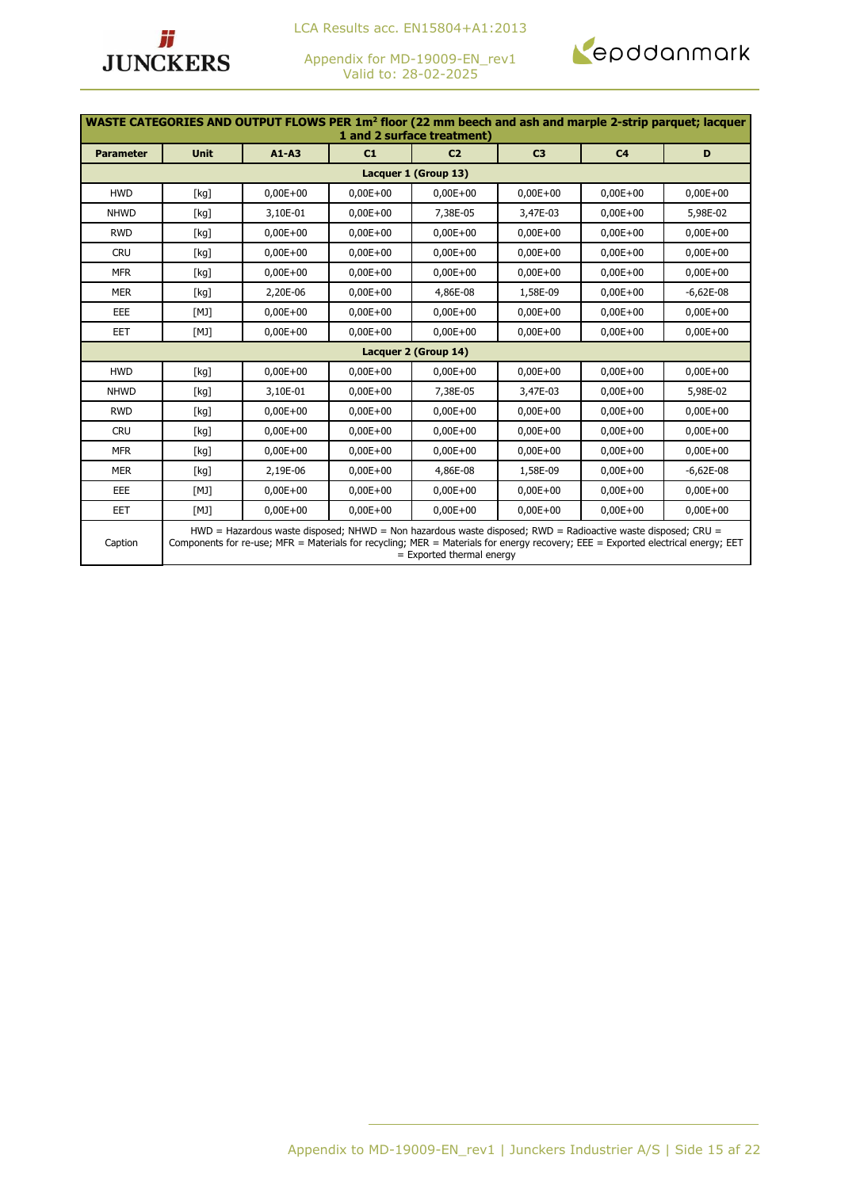



| WASTE CATEGORIES AND OUTPUT FLOWS PER 1m <sup>2</sup> floor (22 mm beech and ash and marple 2-strip parquet; lacquer<br>1 and 2 surface treatment) |                                                                                                                                                                                                                                                                                 |              |              |                      |                |                |              |  |  |  |  |  |
|----------------------------------------------------------------------------------------------------------------------------------------------------|---------------------------------------------------------------------------------------------------------------------------------------------------------------------------------------------------------------------------------------------------------------------------------|--------------|--------------|----------------------|----------------|----------------|--------------|--|--|--|--|--|
| <b>Parameter</b>                                                                                                                                   | <b>Unit</b>                                                                                                                                                                                                                                                                     | $A1 - A3$    | C1           | C <sub>2</sub>       | C <sub>3</sub> | C <sub>4</sub> | D            |  |  |  |  |  |
|                                                                                                                                                    | Lacquer 1 (Group 13)                                                                                                                                                                                                                                                            |              |              |                      |                |                |              |  |  |  |  |  |
| <b>HWD</b>                                                                                                                                         | [kg]                                                                                                                                                                                                                                                                            | $0,00E+00$   | $0,00E + 00$ | $0.00E + 00$         | $0,00E+00$     | $0,00E+00$     | $0,00E+00$   |  |  |  |  |  |
| <b>NHWD</b>                                                                                                                                        | [kg]                                                                                                                                                                                                                                                                            | 3,10E-01     | $0.00E + 00$ | 7,38E-05             | 3,47E-03       | $0.00E + 00$   | 5,98E-02     |  |  |  |  |  |
| <b>RWD</b>                                                                                                                                         | [kg]                                                                                                                                                                                                                                                                            | $0.00E + 00$ | $0.00E + 00$ | $0.00E + 00$         | $0.00E + 00$   | $0.00E + 00$   | $0.00E + 00$ |  |  |  |  |  |
| <b>CRU</b>                                                                                                                                         | [kg]                                                                                                                                                                                                                                                                            | $0,00E+00$   | $0,00E + 00$ | $0,00E+00$           | $0,00E+00$     | $0,00E+00$     | $0,00E+00$   |  |  |  |  |  |
| <b>MFR</b>                                                                                                                                         | [kg]                                                                                                                                                                                                                                                                            | $0.00E + 00$ | $0.00E + 00$ | $0.00E + 00$         | $0.00E + 00$   | $0.00E + 00$   | $0.00E + 00$ |  |  |  |  |  |
| <b>MER</b>                                                                                                                                         | [kg]                                                                                                                                                                                                                                                                            | 2,20E-06     | $0,00E+00$   | 4,86E-08             | 1,58E-09       | $0,00E+00$     | $-6,62E-08$  |  |  |  |  |  |
| EEE                                                                                                                                                | [M]                                                                                                                                                                                                                                                                             | $0,00E+00$   | $0,00E + 00$ | $0,00E+00$           | $0,00E+00$     | $0,00E+00$     | $0,00E+00$   |  |  |  |  |  |
| EET                                                                                                                                                | [MJ]                                                                                                                                                                                                                                                                            | $0,00E+00$   | $0,00E+00$   | $0.00E + 00$         | $0,00E+00$     | $0,00E+00$     | $0,00E+00$   |  |  |  |  |  |
|                                                                                                                                                    |                                                                                                                                                                                                                                                                                 |              |              | Lacquer 2 (Group 14) |                |                |              |  |  |  |  |  |
| <b>HWD</b>                                                                                                                                         | [kg]                                                                                                                                                                                                                                                                            | $0,00E+00$   | $0,00E+00$   | $0.00E + 00$         | $0,00E+00$     | $0,00E+00$     | $0,00E+00$   |  |  |  |  |  |
| <b>NHWD</b>                                                                                                                                        | [kg]                                                                                                                                                                                                                                                                            | 3,10E-01     | $0,00E+00$   | 7,38E-05             | 3,47E-03       | $0,00E+00$     | 5,98E-02     |  |  |  |  |  |
| <b>RWD</b>                                                                                                                                         | [kg]                                                                                                                                                                                                                                                                            | $0.00E + 00$ | $0.00E + 00$ | $0.00E + 00$         | $0.00E + 00$   | $0,00E+00$     | $0.00E + 00$ |  |  |  |  |  |
| <b>CRU</b>                                                                                                                                         | [kg]                                                                                                                                                                                                                                                                            | $0.00E + 00$ | $0.00E + 00$ | $0.00E + 00$         | $0.00E + 00$   | $0.00E + 00$   | $0.00E + 00$ |  |  |  |  |  |
| <b>MFR</b>                                                                                                                                         | [kg]                                                                                                                                                                                                                                                                            | $0,00E+00$   | $0,00E + 00$ | $0,00E+00$           | $0,00E+00$     | $0,00E+00$     | $0,00E+00$   |  |  |  |  |  |
| <b>MER</b>                                                                                                                                         | [kg]                                                                                                                                                                                                                                                                            | 2,19E-06     | $0,00E+00$   | 4,86E-08             | 1,58E-09       | $0,00E+00$     | $-6,62E-08$  |  |  |  |  |  |
| EEE                                                                                                                                                | [MJ]                                                                                                                                                                                                                                                                            | $0,00E+00$   | $0,00E+00$   | $0,00E+00$           | $0,00E+00$     | $0,00E+00$     | $0,00E+00$   |  |  |  |  |  |
| <b>EET</b>                                                                                                                                         | [MJ]                                                                                                                                                                                                                                                                            | $0.00E + 00$ | $0,00E+00$   | $0.00E + 00$         | $0,00E+00$     | $0.00E + 00$   | $0.00E + 00$ |  |  |  |  |  |
| Caption                                                                                                                                            | $HWD =$ Hazardous waste disposed; NHWD = Non hazardous waste disposed; RWD = Radioactive waste disposed; CRU =<br>Components for re-use; MFR = Materials for recycling; MER = Materials for energy recovery; EEE = Exported electrical energy; EET<br>= Exported thermal energy |              |              |                      |                |                |              |  |  |  |  |  |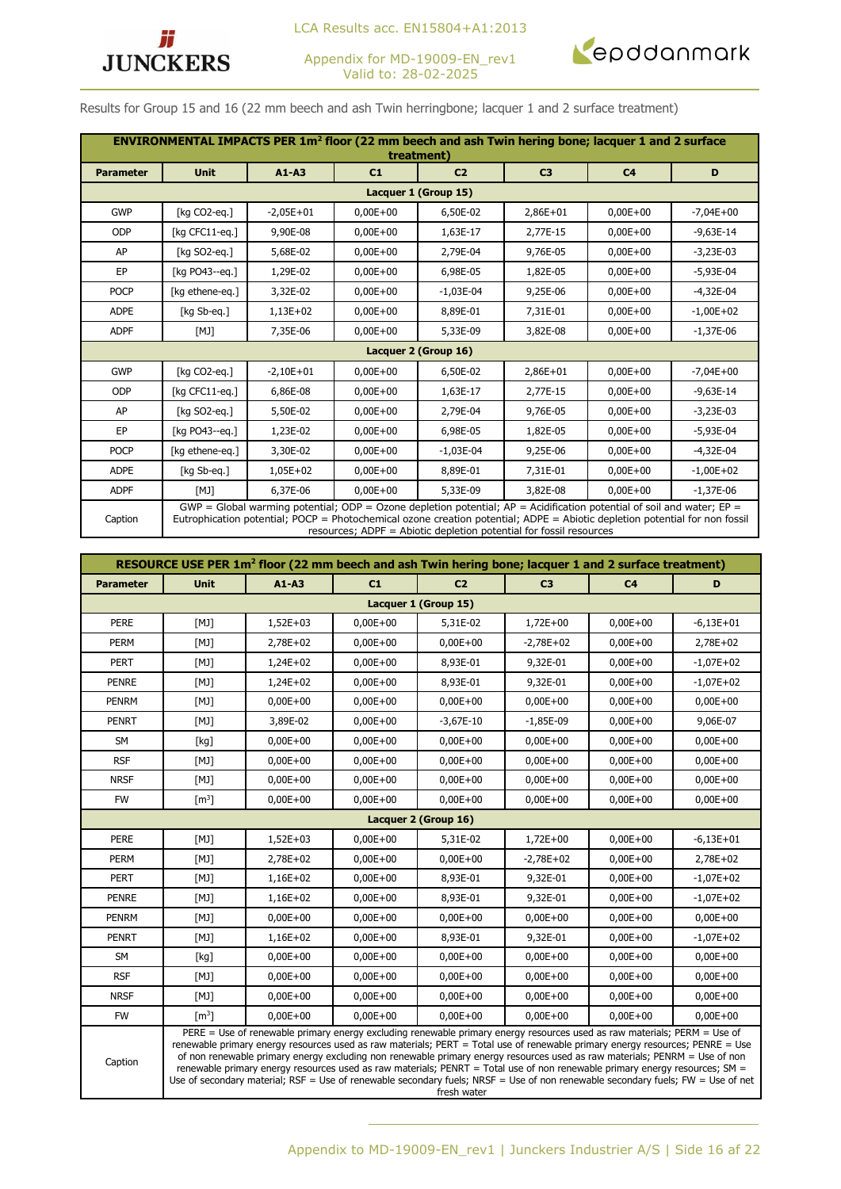

Appendix for MD-19009-EN\_rev1 Valid to: 28-02-2025



<span id="page-15-0"></span>Results for Group 15 and 16 (22 mm beech and ash Twin herringbone; lacquer 1 and 2 surface treatment)

|                      | ENVIRONMENTAL IMPACTS PER 1m <sup>2</sup> floor (22 mm beech and ash Twin hering bone; lacquer 1 and 2 surface<br>treatment) |             |                |                                                                                                                                                                                                                                                                                                                               |                |                |               |  |  |  |  |
|----------------------|------------------------------------------------------------------------------------------------------------------------------|-------------|----------------|-------------------------------------------------------------------------------------------------------------------------------------------------------------------------------------------------------------------------------------------------------------------------------------------------------------------------------|----------------|----------------|---------------|--|--|--|--|
| <b>Parameter</b>     | <b>Unit</b>                                                                                                                  | $A1 - A3$   | C <sub>1</sub> | C <sub>2</sub>                                                                                                                                                                                                                                                                                                                | C <sub>3</sub> | C <sub>4</sub> | D             |  |  |  |  |
| Lacquer 1 (Group 15) |                                                                                                                              |             |                |                                                                                                                                                                                                                                                                                                                               |                |                |               |  |  |  |  |
| <b>GWP</b>           | [kg CO2-eq.]                                                                                                                 | $-2,05E+01$ | $0,00E+00$     | 6,50E-02                                                                                                                                                                                                                                                                                                                      | 2,86E+01       | $0,00E+00$     | $-7,04E+00$   |  |  |  |  |
| ODP                  | [kg CFC11-eg.]                                                                                                               | 9,90E-08    | $0.00E + 00$   | 1,63E-17                                                                                                                                                                                                                                                                                                                      | 2,77E-15       | $0.00E + 00$   | $-9,63E-14$   |  |  |  |  |
| AP                   | [kg SO2-eg.]                                                                                                                 | 5,68E-02    | $0.00E + 00$   | 2.79E-04                                                                                                                                                                                                                                                                                                                      | 9.76E-05       | $0.00E + 00$   | $-3,23E-03$   |  |  |  |  |
| EP                   | [kg PO43--eg.]                                                                                                               | 1,29E-02    | $0,00E+00$     | 6,98E-05                                                                                                                                                                                                                                                                                                                      | 1,82E-05       | $0,00E+00$     | $-5,93E-04$   |  |  |  |  |
| <b>POCP</b>          | [kg ethene-eg.]                                                                                                              | 3,32E-02    | $0,00E + 00$   | $-1,03E-04$                                                                                                                                                                                                                                                                                                                   | 9,25E-06       | $0,00E+00$     | $-4,32E-04$   |  |  |  |  |
| <b>ADPE</b>          | [kg Sb-eg.]                                                                                                                  | 1,13E+02    | $0,00E+00$     | 8,89E-01                                                                                                                                                                                                                                                                                                                      | 7,31E-01       | $0,00E+00$     | $-1,00E+02$   |  |  |  |  |
| <b>ADPF</b>          | [MJ]                                                                                                                         | 7,35E-06    | $0,00E+00$     | 5,33E-09                                                                                                                                                                                                                                                                                                                      | 3,82E-08       | $0,00E+00$     | $-1,37E-06$   |  |  |  |  |
|                      |                                                                                                                              |             |                | Lacquer 2 (Group 16)                                                                                                                                                                                                                                                                                                          |                |                |               |  |  |  |  |
| <b>GWP</b>           | [kg CO2-eg.]                                                                                                                 | $-2,10E+01$ | $0,00E+00$     | 6,50E-02                                                                                                                                                                                                                                                                                                                      | 2,86E+01       | $0.00E + 00$   | $-7,04E+00$   |  |  |  |  |
| ODP                  | [kg CFC11-eq.]                                                                                                               | 6,86E-08    | $0,00E+00$     | 1,63E-17                                                                                                                                                                                                                                                                                                                      | 2,77E-15       | $0.00E + 00$   | $-9,63E-14$   |  |  |  |  |
| AP                   | [kg SO2-eg.]                                                                                                                 | 5,50E-02    | $0,00E + 00$   | 2,79E-04                                                                                                                                                                                                                                                                                                                      | 9,76E-05       | $0,00E+00$     | $-3,23E-03$   |  |  |  |  |
| EP                   | [kg PO43--eq.]                                                                                                               | 1,23E-02    | $0,00E + 00$   | 6,98E-05                                                                                                                                                                                                                                                                                                                      | 1,82E-05       | $0,00E+00$     | $-5,93E-04$   |  |  |  |  |
| <b>POCP</b>          | [kg ethene-eg.]                                                                                                              | 3,30E-02    | $0,00E+00$     | $-1,03E-04$                                                                                                                                                                                                                                                                                                                   | 9,25E-06       | $0,00E+00$     | $-4,32E-04$   |  |  |  |  |
| <b>ADPE</b>          | [kg Sb-eg.]                                                                                                                  | $1,05E+02$  | $0.00E + 00$   | 8,89E-01                                                                                                                                                                                                                                                                                                                      | 7,31E-01       | $0.00E + 00$   | $-1.00E + 02$ |  |  |  |  |
| <b>ADPF</b>          | [MJ]                                                                                                                         | 6,37E-06    | $0.00E + 00$   | 5,33E-09                                                                                                                                                                                                                                                                                                                      | 3,82E-08       | $0.00E + 00$   | $-1,37E-06$   |  |  |  |  |
| Caption              |                                                                                                                              |             |                | $GWP = Global$ warming potential; ODP = Ozone depletion potential; $AP =$ Acidification potential of soil and water; EP =<br>Eutrophication potential; POCP = Photochemical ozone creation potential; ADPE = Abiotic depletion potential for non fossil<br>resources; ADPF = Abiotic depletion potential for fossil resources |                |                |               |  |  |  |  |

|                  | RESOURCE USE PER 1m <sup>2</sup> floor (22 mm beech and ash Twin hering bone; lacquer 1 and 2 surface treatment)                                                                                                                                                                                                                                                                                                                                                                                                                                                                                                                                                         |              |              |                      |                |                |             |  |  |  |
|------------------|--------------------------------------------------------------------------------------------------------------------------------------------------------------------------------------------------------------------------------------------------------------------------------------------------------------------------------------------------------------------------------------------------------------------------------------------------------------------------------------------------------------------------------------------------------------------------------------------------------------------------------------------------------------------------|--------------|--------------|----------------------|----------------|----------------|-------------|--|--|--|
| <b>Parameter</b> | <b>Unit</b>                                                                                                                                                                                                                                                                                                                                                                                                                                                                                                                                                                                                                                                              | $A1 - A3$    | C1           | C <sub>2</sub>       | C <sub>3</sub> | C <sub>4</sub> | D           |  |  |  |
|                  |                                                                                                                                                                                                                                                                                                                                                                                                                                                                                                                                                                                                                                                                          |              |              | Lacquer 1 (Group 15) |                |                |             |  |  |  |
| <b>PERE</b>      | [M]                                                                                                                                                                                                                                                                                                                                                                                                                                                                                                                                                                                                                                                                      | $1,52E+03$   | $0,00E+00$   | 5,31E-02             | 1,72E+00       | $0,00E+00$     | $-6,13E+01$ |  |  |  |
| <b>PERM</b>      | [M]                                                                                                                                                                                                                                                                                                                                                                                                                                                                                                                                                                                                                                                                      | 2,78E+02     | $0,00E + 00$ | $0,00E+00$           | $-2,78E+02$    | $0,00E+00$     | 2,78E+02    |  |  |  |
| <b>PERT</b>      | [M]                                                                                                                                                                                                                                                                                                                                                                                                                                                                                                                                                                                                                                                                      | $1,24E+02$   | $0,00E + 00$ | 8,93E-01             | 9,32E-01       | $0,00E+00$     | $-1,07E+02$ |  |  |  |
| <b>PENRE</b>     | [MJ]                                                                                                                                                                                                                                                                                                                                                                                                                                                                                                                                                                                                                                                                     | 1,24E+02     | $0,00E+00$   | 8,93E-01             | 9,32E-01       | $0,00E+00$     | $-1,07E+02$ |  |  |  |
| <b>PENRM</b>     | [M]                                                                                                                                                                                                                                                                                                                                                                                                                                                                                                                                                                                                                                                                      | $0,00E+00$   | $0,00E+00$   | $0,00E+00$           | $0,00E + 00$   | $0,00E+00$     | $0,00E+00$  |  |  |  |
| <b>PENRT</b>     | [M]                                                                                                                                                                                                                                                                                                                                                                                                                                                                                                                                                                                                                                                                      | 3,89E-02     | $0,00E+00$   | $-3,67E-10$          | $-1,85E-09$    | $0,00E+00$     | 9,06E-07    |  |  |  |
| SM               | [kg]                                                                                                                                                                                                                                                                                                                                                                                                                                                                                                                                                                                                                                                                     | $0,00E+00$   | $0,00E+00$   | $0,00E+00$           | $0,00E + 00$   | $0,00E+00$     | $0,00E+00$  |  |  |  |
| <b>RSF</b>       | [MJ]                                                                                                                                                                                                                                                                                                                                                                                                                                                                                                                                                                                                                                                                     | $0,00E+00$   | $0,00E+00$   | $0,00E+00$           | $0,00E+00$     | $0,00E+00$     | $0,00E+00$  |  |  |  |
| <b>NRSF</b>      | [M]                                                                                                                                                                                                                                                                                                                                                                                                                                                                                                                                                                                                                                                                      | $0,00E + 00$ | $0,00E+00$   | $0,00E + 00$         | $0,00E + 00$   | $0,00E+00$     | $0,00E+00$  |  |  |  |
| <b>FW</b>        | $\lceil m^3 \rceil$                                                                                                                                                                                                                                                                                                                                                                                                                                                                                                                                                                                                                                                      | $0,00E + 00$ | $0,00E+00$   | $0,00E+00$           | $0,00E+00$     | $0,00E+00$     | $0,00E+00$  |  |  |  |
|                  |                                                                                                                                                                                                                                                                                                                                                                                                                                                                                                                                                                                                                                                                          |              |              | Lacquer 2 (Group 16) |                |                |             |  |  |  |
| <b>PERE</b>      | [MJ]                                                                                                                                                                                                                                                                                                                                                                                                                                                                                                                                                                                                                                                                     | $1,52E+03$   | $0,00E + 00$ | 5,31E-02             | $1,72E+00$     | $0,00E + 00$   | $-6,13E+01$ |  |  |  |
| <b>PERM</b>      | [MJ]                                                                                                                                                                                                                                                                                                                                                                                                                                                                                                                                                                                                                                                                     | 2,78E+02     | $0,00E+00$   | $0,00E+00$           | $-2,78E+02$    | $0,00E+00$     | 2,78E+02    |  |  |  |
| <b>PERT</b>      | [M]                                                                                                                                                                                                                                                                                                                                                                                                                                                                                                                                                                                                                                                                      | 1,16E+02     | $0,00E+00$   | 8,93E-01             | 9,32E-01       | $0,00E + 00$   | $-1,07E+02$ |  |  |  |
| <b>PENRE</b>     | [M]                                                                                                                                                                                                                                                                                                                                                                                                                                                                                                                                                                                                                                                                      | 1,16E+02     | $0,00E + 00$ | 8,93E-01             | 9,32E-01       | $0,00E+00$     | $-1,07E+02$ |  |  |  |
| <b>PENRM</b>     | [MJ]                                                                                                                                                                                                                                                                                                                                                                                                                                                                                                                                                                                                                                                                     | $0,00E+00$   | $0,00E+00$   | $0,00E+00$           | $0,00E+00$     | $0,00E+00$     | $0,00E+00$  |  |  |  |
| <b>PENRT</b>     | [M]                                                                                                                                                                                                                                                                                                                                                                                                                                                                                                                                                                                                                                                                      | 1,16E+02     | $0,00E+00$   | 8,93E-01             | 9,32E-01       | $0,00E+00$     | $-1,07E+02$ |  |  |  |
| SM               | [kg]                                                                                                                                                                                                                                                                                                                                                                                                                                                                                                                                                                                                                                                                     | $0,00E + 00$ | $0,00E + 00$ | $0,00E + 00$         | $0,00E + 00$   | $0,00E+00$     | $0,00E+00$  |  |  |  |
| <b>RSF</b>       | [MJ]                                                                                                                                                                                                                                                                                                                                                                                                                                                                                                                                                                                                                                                                     | $0,00E+00$   | $0,00E+00$   | $0,00E+00$           | $0,00E + 00$   | $0,00E+00$     | $0,00E+00$  |  |  |  |
| <b>NRSF</b>      | [M]                                                                                                                                                                                                                                                                                                                                                                                                                                                                                                                                                                                                                                                                      | $0,00E+00$   | $0,00E + 00$ | $0,00E+00$           | $0,00E + 00$   | $0,00E+00$     | $0,00E+00$  |  |  |  |
| <b>FW</b>        | $\lceil m^3 \rceil$                                                                                                                                                                                                                                                                                                                                                                                                                                                                                                                                                                                                                                                      | $0.00E + 00$ | $0.00E + 00$ | $0,00E + 00$         | $0.00E + 00$   | $0,00E+00$     | $0,00E+00$  |  |  |  |
| Caption          | PERE = Use of renewable primary energy excluding renewable primary energy resources used as raw materials; PERM = Use of<br>renewable primary energy resources used as raw materials; PERT = Total use of renewable primary energy resources; PENRE = Use<br>of non renewable primary energy excluding non renewable primary energy resources used as raw materials; PENRM = Use of non<br>renewable primary energy resources used as raw materials; PENRT = Total use of non renewable primary energy resources; SM =<br>Use of secondary material; RSF = Use of renewable secondary fuels; NRSF = Use of non renewable secondary fuels; FW = Use of net<br>fresh water |              |              |                      |                |                |             |  |  |  |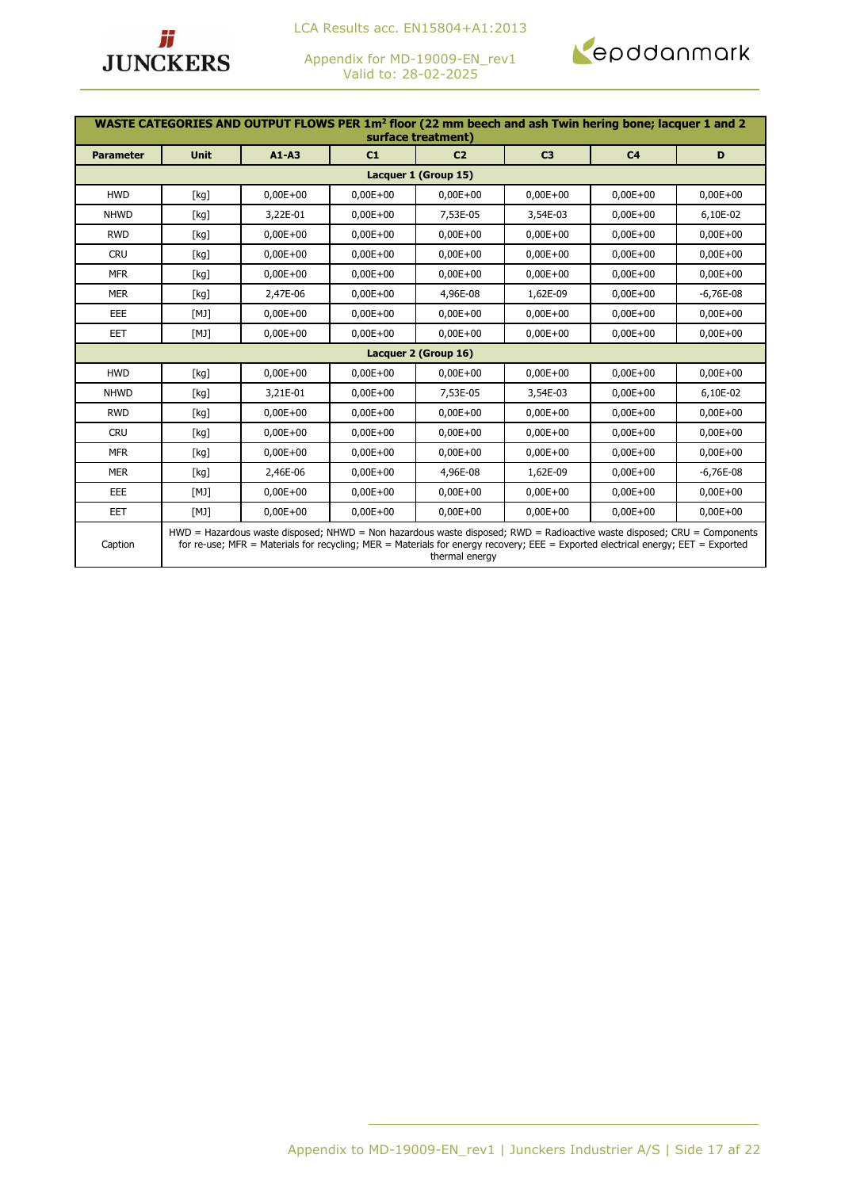



| WASTE CATEGORIES AND OUTPUT FLOWS PER 1m <sup>2</sup> floor (22 mm beech and ash Twin hering bone; lacquer 1 and 2<br>surface treatment) |             |                                                                                                                                                                                                                                                             |              |                      |                |                |              |  |  |  |  |
|------------------------------------------------------------------------------------------------------------------------------------------|-------------|-------------------------------------------------------------------------------------------------------------------------------------------------------------------------------------------------------------------------------------------------------------|--------------|----------------------|----------------|----------------|--------------|--|--|--|--|
| <b>Parameter</b>                                                                                                                         | <b>Unit</b> | $A1 - A3$                                                                                                                                                                                                                                                   | C1           | C <sub>2</sub>       | C <sub>3</sub> | C <sub>4</sub> | D            |  |  |  |  |
| Lacquer 1 (Group 15)                                                                                                                     |             |                                                                                                                                                                                                                                                             |              |                      |                |                |              |  |  |  |  |
| <b>HWD</b>                                                                                                                               | [kg]        | $0,00E+00$                                                                                                                                                                                                                                                  | $0,00E+00$   | $0,00E + 00$         | $0,00E+00$     | $0,00E+00$     | $0,00E+00$   |  |  |  |  |
| <b>NHWD</b>                                                                                                                              | [kq]        | 3,22E-01                                                                                                                                                                                                                                                    | $0,00E+00$   | 7,53E-05             | 3,54E-03       | $0,00E+00$     | 6,10E-02     |  |  |  |  |
| <b>RWD</b>                                                                                                                               | [kg]        | $0,00E+00$                                                                                                                                                                                                                                                  | $0,00E+00$   | $0,00E + 00$         | $0,00E+00$     | $0,00E+00$     | $0,00E+00$   |  |  |  |  |
| <b>CRU</b>                                                                                                                               | [kg]        | $0,00E+00$                                                                                                                                                                                                                                                  | $0,00E+00$   | $0,00E + 00$         | $0,00E+00$     | $0,00E+00$     | $0,00E+00$   |  |  |  |  |
| <b>MFR</b>                                                                                                                               | [kg]        | $0,00E+00$                                                                                                                                                                                                                                                  | $0,00E+00$   | $0,00E+00$           | $0,00E+00$     | $0,00E+00$     | $0,00E+00$   |  |  |  |  |
| <b>MER</b>                                                                                                                               | [kg]        | 2,47E-06                                                                                                                                                                                                                                                    | $0,00E+00$   | 4,96E-08             | 1,62E-09       | $0,00E+00$     | $-6,76E-08$  |  |  |  |  |
| <b>EEE</b>                                                                                                                               | [MJ]        | $0.00E + 00$                                                                                                                                                                                                                                                | $0.00E + 00$ | $0.00E + 00$         | $0.00E + 00$   | $0.00E + 00$   | $0.00E + 00$ |  |  |  |  |
| EET                                                                                                                                      | [MJ]        | $0,00E+00$                                                                                                                                                                                                                                                  | $0,00E+00$   | $0.00E + 00$         | $0,00E+00$     | $0,00E+00$     | $0,00E+00$   |  |  |  |  |
|                                                                                                                                          |             |                                                                                                                                                                                                                                                             |              | Lacquer 2 (Group 16) |                |                |              |  |  |  |  |
| <b>HWD</b>                                                                                                                               | [kg]        | $0.00E + 00$                                                                                                                                                                                                                                                | $0.00E + 00$ | $0.00E + 00$         | $0.00E + 00$   | $0.00E + 00$   | $0,00E+00$   |  |  |  |  |
| <b>NHWD</b>                                                                                                                              | [kq]        | 3,21E-01                                                                                                                                                                                                                                                    | $0,00E+00$   | 7,53E-05             | 3,54E-03       | $0.00E + 00$   | 6,10E-02     |  |  |  |  |
| <b>RWD</b>                                                                                                                               | [kg]        | $0.00E + 00$                                                                                                                                                                                                                                                | $0.00E + 00$ | $0.00E + 00$         | $0.00E + 00$   | $0.00E + 00$   | $0.00E + 00$ |  |  |  |  |
| <b>CRU</b>                                                                                                                               | [kq]        | $0.00E + 00$                                                                                                                                                                                                                                                | $0.00E + 00$ | $0,00E + 00$         | $0.00E + 00$   | $0.00E + 00$   | $0.00E + 00$ |  |  |  |  |
| <b>MFR</b>                                                                                                                               | [kg]        | $0.00E + 00$                                                                                                                                                                                                                                                | $0.00E + 00$ | $0.00E + 00$         | $0.00E + 00$   | $0.00E + 00$   | $0.00E + 00$ |  |  |  |  |
| <b>MER</b>                                                                                                                               | [kg]        | 2,46E-06                                                                                                                                                                                                                                                    | $0,00E+00$   | 4,96E-08             | 1,62E-09       | $0,00E+00$     | $-6,76E-08$  |  |  |  |  |
| <b>EEE</b>                                                                                                                               | [MJ]        | $0,00E+00$                                                                                                                                                                                                                                                  | $0,00E+00$   | $0,00E + 00$         | $0,00E+00$     | $0,00E+00$     | $0,00E+00$   |  |  |  |  |
| <b>EET</b>                                                                                                                               | [MJ]        | $0,00E+00$                                                                                                                                                                                                                                                  | $0,00E+00$   | $0,00E + 00$         | $0,00E+00$     | $0,00E+00$     | $0,00E+00$   |  |  |  |  |
| Caption                                                                                                                                  |             | HWD = Hazardous waste disposed; NHWD = Non hazardous waste disposed; RWD = Radioactive waste disposed; CRU = Components<br>for re-use; MFR = Materials for recycling; MER = Materials for energy recovery; EEE = Exported electrical energy; EET = Exported |              | thermal energy       |                |                |              |  |  |  |  |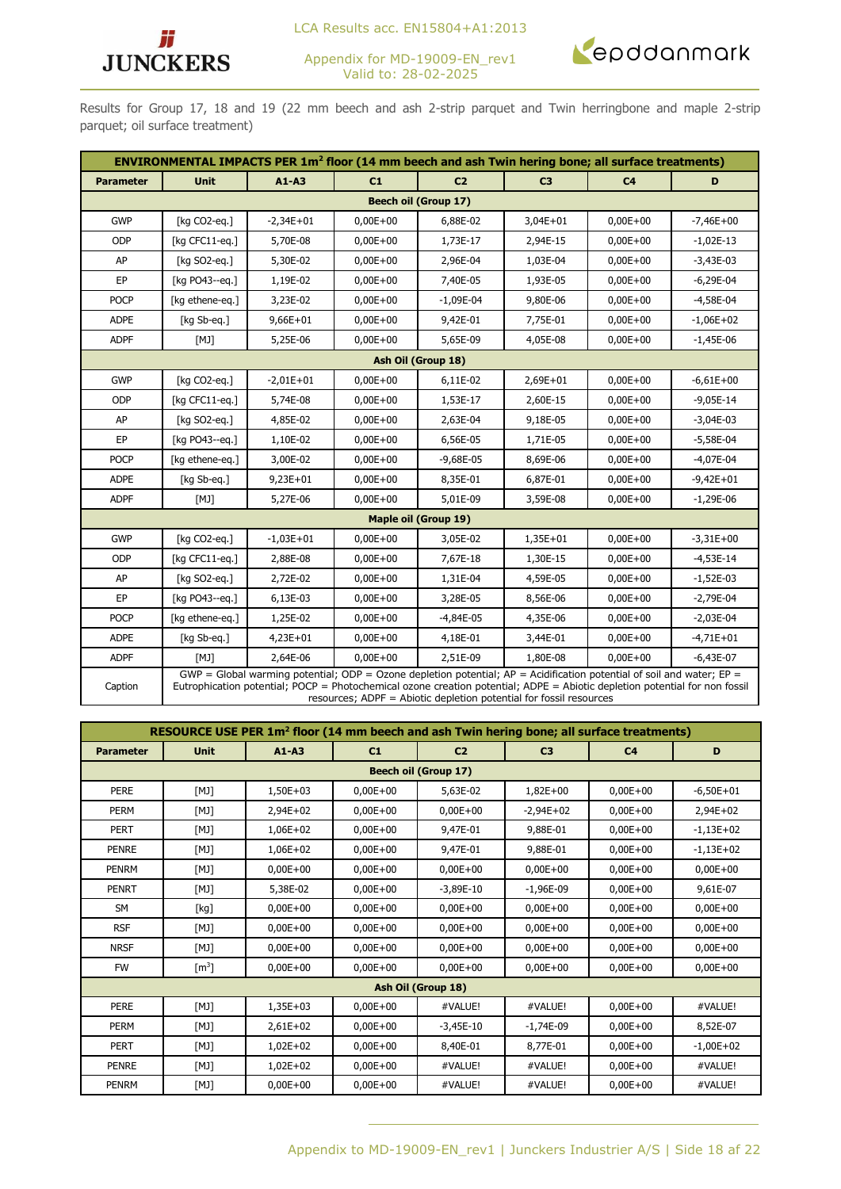

Appendix for MD-19009-EN\_rev1 Valid to: 28-02-2025



<span id="page-17-0"></span>Results for Group 17, 18 and 19 (22 mm beech and ash 2-strip parquet and Twin herringbone and maple 2-strip parquet; oil surface treatment)

| <b>ENVIRONMENTAL IMPACTS PER 1m<sup>2</sup> floor (14 mm beech and ash Twin hering bone; all surface treatments)</b> |                             |                                                                                                                                                                                                                                                     |              |                             |                |                |             |  |  |  |  |
|----------------------------------------------------------------------------------------------------------------------|-----------------------------|-----------------------------------------------------------------------------------------------------------------------------------------------------------------------------------------------------------------------------------------------------|--------------|-----------------------------|----------------|----------------|-------------|--|--|--|--|
| <b>Parameter</b>                                                                                                     | <b>Unit</b>                 | $A1 - A3$                                                                                                                                                                                                                                           | C1           | C <sub>2</sub>              | C <sub>3</sub> | C <sub>4</sub> | D           |  |  |  |  |
|                                                                                                                      | <b>Beech oil (Group 17)</b> |                                                                                                                                                                                                                                                     |              |                             |                |                |             |  |  |  |  |
| <b>GWP</b>                                                                                                           | [kg CO2-eq.]                | $-2,34E+01$                                                                                                                                                                                                                                         | $0,00E + 00$ | 6,88E-02                    | $3,04E + 01$   | $0,00E+00$     | $-7,46E+00$ |  |  |  |  |
| <b>ODP</b>                                                                                                           | [kg CFC11-eq.]              | 5,70E-08                                                                                                                                                                                                                                            | $0,00E+00$   | 1,73E-17                    | 2,94E-15       | $0,00E+00$     | $-1,02E-13$ |  |  |  |  |
| AP                                                                                                                   | [kg SO2-eg.]                | 5,30E-02                                                                                                                                                                                                                                            | $0,00E + 00$ | 2,96E-04                    | 1,03E-04       | $0,00E+00$     | $-3,43E-03$ |  |  |  |  |
| EP                                                                                                                   | [kg PO43--eg.]              | 1,19E-02                                                                                                                                                                                                                                            | $0,00E + 00$ | 7,40E-05                    | 1,93E-05       | $0,00E+00$     | $-6,29E-04$ |  |  |  |  |
| <b>POCP</b>                                                                                                          | [kg ethene-eq.]             | 3,23E-02                                                                                                                                                                                                                                            | $0,00E+00$   | $-1,09E-04$                 | 9,80E-06       | $0,00E+00$     | $-4,58E-04$ |  |  |  |  |
| <b>ADPE</b>                                                                                                          | [kg Sb-eq.]                 | $9,66E + 01$                                                                                                                                                                                                                                        | $0,00E+00$   | 9,42E-01                    | 7,75E-01       | $0,00E+00$     | $-1,06E+02$ |  |  |  |  |
| <b>ADPF</b>                                                                                                          | [MJ]                        | 5,25E-06                                                                                                                                                                                                                                            | $0,00E+00$   | 5,65E-09                    | 4,05E-08       | $0,00E+00$     | $-1,45E-06$ |  |  |  |  |
|                                                                                                                      | Ash Oil (Group 18)          |                                                                                                                                                                                                                                                     |              |                             |                |                |             |  |  |  |  |
| <b>GWP</b>                                                                                                           | [kg CO2-eq.]                | $-2,01E+01$                                                                                                                                                                                                                                         | $0,00E + 00$ | 6,11E-02                    | 2,69E+01       | $0,00E+00$     | $-6,61E+00$ |  |  |  |  |
| ODP                                                                                                                  | [kg CFC11-eq.]              | 5,74E-08                                                                                                                                                                                                                                            | $0,00E+00$   | 1,53E-17                    | 2,60E-15       | $0,00E+00$     | $-9,05E-14$ |  |  |  |  |
| AP                                                                                                                   | [kg SO2-eg.]                | 4,85E-02                                                                                                                                                                                                                                            | $0,00E+00$   | 2,63E-04                    | 9,18E-05       | $0,00E+00$     | $-3,04E-03$ |  |  |  |  |
| EP                                                                                                                   | [kg PO43--eq.]              | 1,10E-02                                                                                                                                                                                                                                            | $0,00E + 00$ | 6,56E-05                    | 1,71E-05       | $0,00E+00$     | $-5,58E-04$ |  |  |  |  |
| <b>POCP</b>                                                                                                          | [kg ethene-eq.]             | 3,00E-02                                                                                                                                                                                                                                            | $0,00E + 00$ | $-9,68E-05$                 | 8,69E-06       | $0,00E+00$     | $-4,07E-04$ |  |  |  |  |
| <b>ADPE</b>                                                                                                          | [kg Sb-eq.]                 | $9,23E+01$                                                                                                                                                                                                                                          | $0,00E+00$   | 8,35E-01                    | 6,87E-01       | $0,00E+00$     | $-9,42E+01$ |  |  |  |  |
| <b>ADPF</b>                                                                                                          | [MJ]                        | 5,27E-06                                                                                                                                                                                                                                            | $0,00E+00$   | 5,01E-09                    | 3,59E-08       | $0,00E+00$     | $-1,29E-06$ |  |  |  |  |
|                                                                                                                      |                             |                                                                                                                                                                                                                                                     |              | <b>Maple oil (Group 19)</b> |                |                |             |  |  |  |  |
| <b>GWP</b>                                                                                                           | [kg CO2-eq.]                | $-1,03E+01$                                                                                                                                                                                                                                         | $0,00E+00$   | 3,05E-02                    | 1,35E+01       | $0,00E+00$     | $-3,31E+00$ |  |  |  |  |
| ODP                                                                                                                  | [kg CFC11-eq.]              | 2,88E-08                                                                                                                                                                                                                                            | $0,00E+00$   | 7,67E-18                    | 1,30E-15       | $0,00E+00$     | $-4,53E-14$ |  |  |  |  |
| AP                                                                                                                   | [kg SO2-eq.]                | 2,72E-02                                                                                                                                                                                                                                            | $0,00E+00$   | 1,31E-04                    | 4,59E-05       | $0,00E+00$     | $-1,52E-03$ |  |  |  |  |
| EP                                                                                                                   | [kg PO43--eq.]              | 6,13E-03                                                                                                                                                                                                                                            | $0,00E+00$   | 3,28E-05                    | 8,56E-06       | $0,00E+00$     | $-2,79E-04$ |  |  |  |  |
| <b>POCP</b>                                                                                                          | [kg ethene-eg.]             | 1,25E-02                                                                                                                                                                                                                                            | $0,00E+00$   | $-4,84E-05$                 | 4,35E-06       | $0,00E+00$     | $-2,03E-04$ |  |  |  |  |
| <b>ADPE</b>                                                                                                          | [kg Sb-eq.]                 | $4,23E+01$                                                                                                                                                                                                                                          | $0,00E+00$   | 4,18E-01                    | 3,44E-01       | $0,00E+00$     | $-4,71E+01$ |  |  |  |  |
| <b>ADPF</b>                                                                                                          | [MJ]                        | 2,64E-06                                                                                                                                                                                                                                            | $0,00E+00$   | 2,51E-09                    | 1,80E-08       | $0,00E+00$     | $-6,43E-07$ |  |  |  |  |
| Caption                                                                                                              |                             | GWP = Global warming potential; ODP = Ozone depletion potential; AP = Acidification potential of soil and water; EP =<br>Eutrophication potential; POCP = Photochemical ozone creation potential; ADPE = Abiotic depletion potential for non fossil |              |                             |                |                |             |  |  |  |  |

resources; ADPF = Abiotic depletion potential for fossil resources

| RESOURCE USE PER 1m <sup>2</sup> floor (14 mm beech and ash Twin hering bone; all surface treatments) |                             |              |              |                    |                |                |              |  |  |
|-------------------------------------------------------------------------------------------------------|-----------------------------|--------------|--------------|--------------------|----------------|----------------|--------------|--|--|
| <b>Parameter</b>                                                                                      | <b>Unit</b>                 | $A1 - A3$    | C1           | C <sub>2</sub>     | C <sub>3</sub> | C <sub>4</sub> | D            |  |  |
| <b>Beech oil (Group 17)</b>                                                                           |                             |              |              |                    |                |                |              |  |  |
| <b>PERE</b>                                                                                           | [MJ]                        | $1,50E+03$   | $0,00E + 00$ | 5,63E-02           | $1,82E+00$     | $0,00E+00$     | $-6,50E+01$  |  |  |
| PERM                                                                                                  | [MJ]                        | 2,94E+02     | $0,00E+00$   | $0,00E + 00$       | $-2,94E+02$    | $0,00E+00$     | 2,94E+02     |  |  |
| <b>PERT</b>                                                                                           | [MJ]                        | 1,06E+02     | $0,00E+00$   | 9,47E-01           | 9,88E-01       | $0.00E + 00$   | $-1,13E+02$  |  |  |
| <b>PENRE</b>                                                                                          | [MJ]                        | 1,06E+02     | $0,00E+00$   | 9,47E-01           | 9,88E-01       | $0,00E+00$     | $-1,13E+02$  |  |  |
| <b>PENRM</b>                                                                                          | [MJ]                        | $0,00E+00$   | $0,00E+00$   | $0,00E+00$         | $0,00E+00$     | $0,00E+00$     | $0,00E+00$   |  |  |
| <b>PENRT</b>                                                                                          | [MJ]                        | 5,38E-02     | $0,00E+00$   | $-3,89E-10$        | $-1,96E-09$    | $0,00E+00$     | 9,61E-07     |  |  |
| SM                                                                                                    | [kg]                        | $0,00E+00$   | $0,00E+00$   | $0,00E+00$         | $0,00E+00$     | $0,00E+00$     | $0,00E+00$   |  |  |
| <b>RSF</b>                                                                                            | [MJ]                        | $0.00E + 00$ | $0.00E + 00$ | $0.00E + 00$       | $0.00E + 00$   | $0.00E + 00$   | $0.00E + 00$ |  |  |
| <b>NRSF</b>                                                                                           | [MJ]                        | $0.00E + 00$ | $0.00E + 00$ | $0,00E+00$         | $0,00E + 00$   | $0.00E + 00$   | $0,00E+00$   |  |  |
| FW                                                                                                    | $\left[\mathrm{m}^3\right]$ | $0,00E+00$   | $0,00E+00$   | $0,00E+00$         | $0,00E+00$     | $0,00E+00$     | $0,00E+00$   |  |  |
|                                                                                                       |                             |              |              | Ash Oil (Group 18) |                |                |              |  |  |
| <b>PERE</b>                                                                                           | [MJ]                        | 1,35E+03     | $0.00E + 00$ | #VALUE!            | #VALUE!        | $0.00E + 00$   | #VALUE!      |  |  |
| <b>PERM</b>                                                                                           | [MJ]                        | $2.61E+02$   | $0.00E + 00$ | $-3,45E-10$        | $-1.74E-09$    | $0.00E + 00$   | 8,52E-07     |  |  |
| <b>PERT</b>                                                                                           | [MJ]                        | $1,02E+02$   | $0,00E+00$   | 8,40E-01           | 8,77E-01       | $0,00E+00$     | $-1,00E+02$  |  |  |
| <b>PENRE</b>                                                                                          | [MJ]                        | $1,02E+02$   | $0,00E+00$   | #VALUE!            | #VALUE!        | $0,00E+00$     | #VALUE!      |  |  |
| <b>PENRM</b>                                                                                          | [MJ]                        | $0.00E + 00$ | $0.00E + 00$ | #VALUE!            | #VALUE!        | $0.00E + 00$   | #VALUE!      |  |  |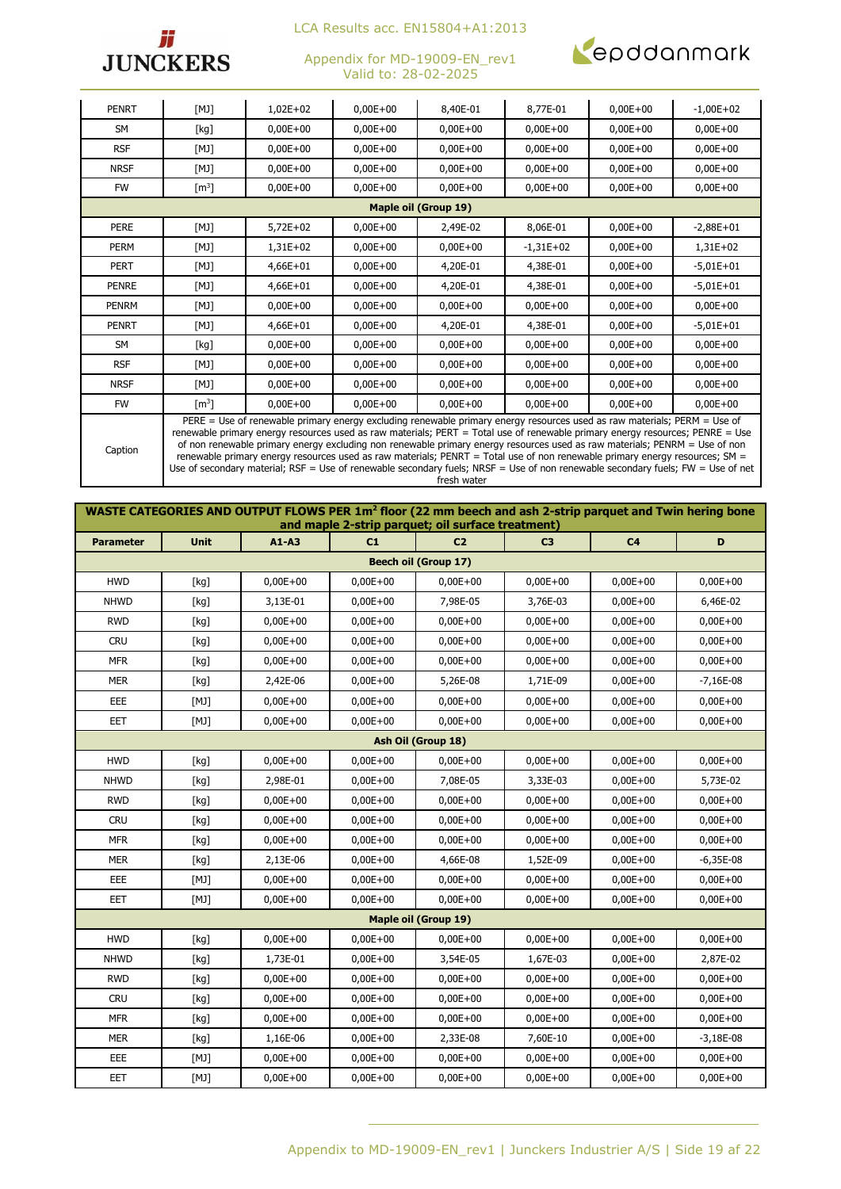



| <b>PENRT</b> | [MJ]                        | $1,02E+02$                                                                                                                                                                                                                                                                                                                                                                                                                                                                                                                                                                                                                                                                 | $0,00E + 00$ | 8,40E-01                    | 8,77E-01     | $0,00E+00$   | $-1,00E+02$ |  |
|--------------|-----------------------------|----------------------------------------------------------------------------------------------------------------------------------------------------------------------------------------------------------------------------------------------------------------------------------------------------------------------------------------------------------------------------------------------------------------------------------------------------------------------------------------------------------------------------------------------------------------------------------------------------------------------------------------------------------------------------|--------------|-----------------------------|--------------|--------------|-------------|--|
| <b>SM</b>    | [kg]                        | $0,00E+00$                                                                                                                                                                                                                                                                                                                                                                                                                                                                                                                                                                                                                                                                 | $0,00E + 00$ | $0,00E + 00$                | $0,00E + 00$ | $0,00E+00$   | $0,00E+00$  |  |
| <b>RSF</b>   | [MJ]                        | $0,00E+00$                                                                                                                                                                                                                                                                                                                                                                                                                                                                                                                                                                                                                                                                 | $0,00E+00$   | $0,00E+00$                  | $0,00E + 00$ | $0,00E+00$   | $0,00E+00$  |  |
| <b>NRSF</b>  | [MJ]                        | $0,00E + 00$                                                                                                                                                                                                                                                                                                                                                                                                                                                                                                                                                                                                                                                               | $0,00E + 00$ | $0,00E + 00$                | $0.00E + 00$ | $0,00E+00$   | $0,00E+00$  |  |
| <b>FW</b>    | $\left[\mathrm{m}^3\right]$ | $0,00E+00$                                                                                                                                                                                                                                                                                                                                                                                                                                                                                                                                                                                                                                                                 | $0,00E + 00$ | $0.00E + 00$                | $0.00E + 00$ | $0,00E+00$   | $0,00E+00$  |  |
|              |                             |                                                                                                                                                                                                                                                                                                                                                                                                                                                                                                                                                                                                                                                                            |              | <b>Maple oil (Group 19)</b> |              |              |             |  |
| <b>PERE</b>  | [MJ]                        | $5,72E+02$                                                                                                                                                                                                                                                                                                                                                                                                                                                                                                                                                                                                                                                                 | $0,00E + 00$ | 2,49E-02                    | 8,06E-01     | $0,00E+00$   | $-2,88E+01$ |  |
| <b>PERM</b>  | [MJ]                        | 1,31E+02                                                                                                                                                                                                                                                                                                                                                                                                                                                                                                                                                                                                                                                                   | $0,00E+00$   | $0,00E+00$                  | $-1,31E+02$  | $0,00E+00$   | $1,31E+02$  |  |
| <b>PERT</b>  | [MJ]                        | $4,66E+01$                                                                                                                                                                                                                                                                                                                                                                                                                                                                                                                                                                                                                                                                 | $0,00E+00$   | 4,20E-01                    | 4,38E-01     | $0,00E+00$   | $-5,01E+01$ |  |
| <b>PENRE</b> | [MJ]                        | $4,66E+01$                                                                                                                                                                                                                                                                                                                                                                                                                                                                                                                                                                                                                                                                 | $0,00E+00$   | 4,20E-01                    | 4,38E-01     | $0,00E+00$   | $-5,01E+01$ |  |
| <b>PENRM</b> | [MJ]                        | $0,00E+00$                                                                                                                                                                                                                                                                                                                                                                                                                                                                                                                                                                                                                                                                 | $0,00E+00$   | $0,00E+00$                  | $0,00E + 00$ | $0,00E+00$   | $0,00E+00$  |  |
| <b>PENRT</b> | [MJ]                        | $4,66E+01$                                                                                                                                                                                                                                                                                                                                                                                                                                                                                                                                                                                                                                                                 | $0,00E+00$   | 4,20E-01                    | 4,38E-01     | $0,00E+00$   | $-5,01E+01$ |  |
| <b>SM</b>    | [kg]                        | $0,00E+00$                                                                                                                                                                                                                                                                                                                                                                                                                                                                                                                                                                                                                                                                 | $0,00E + 00$ | $0,00E + 00$                | $0,00E + 00$ | $0,00E+00$   | $0,00E+00$  |  |
| <b>RSF</b>   | [M]                         | $0,00E+00$                                                                                                                                                                                                                                                                                                                                                                                                                                                                                                                                                                                                                                                                 | $0,00E + 00$ | $0.00E + 00$                | $0.00E + 00$ | $0.00E + 00$ | $0,00E+00$  |  |
| <b>NRSF</b>  | [MJ]                        | $0,00E+00$                                                                                                                                                                                                                                                                                                                                                                                                                                                                                                                                                                                                                                                                 | $0,00E + 00$ | $0,00E + 00$                | $0,00E + 00$ | $0,00E+00$   | $0,00E+00$  |  |
| <b>FW</b>    | $\left[\mathrm{m}^3\right]$ | $0.00E + 00$                                                                                                                                                                                                                                                                                                                                                                                                                                                                                                                                                                                                                                                               | $0,00E+00$   | $0,00E+00$                  | $0.00E + 00$ | $0.00E + 00$ | $0,00E+00$  |  |
| Caption      |                             | PERE = Use of renewable primary energy excluding renewable primary energy resources used as raw materials; PERM = Use of<br>renewable primary energy resources used as raw materials; PERT = Total use of renewable primary energy resources; PENRE = Use<br>of non renewable primary energy excluding non renewable primary energy resources used as raw materials; PENRM = Use of non<br>renewable primary energy resources used as raw materials; PENRT = Total use of non renewable primary energy resources; $SM =$<br>Use of secondary material; RSF = Use of renewable secondary fuels; NRSF = Use of non renewable secondary fuels; FW = Use of net<br>fresh water |              |                             |              |              |             |  |

| WASTE CATEGORIES AND OUTPUT FLOWS PER 1m <sup>2</sup> floor (22 mm beech and ash 2-strip parquet and Twin hering bone<br>and maple 2-strip parquet; oil surface treatment) |             |              |              |                             |                |                |              |  |  |
|----------------------------------------------------------------------------------------------------------------------------------------------------------------------------|-------------|--------------|--------------|-----------------------------|----------------|----------------|--------------|--|--|
| <b>Parameter</b>                                                                                                                                                           | <b>Unit</b> | $A1 - A3$    | C1           | C <sub>2</sub>              | C <sub>3</sub> | C <sub>4</sub> | D            |  |  |
| <b>Beech oil (Group 17)</b>                                                                                                                                                |             |              |              |                             |                |                |              |  |  |
| <b>HWD</b>                                                                                                                                                                 | [kg]        | $0,00E+00$   | $0,00E+00$   | $0,00E+00$                  | $0,00E+00$     | $0,00E+00$     | $0,00E+00$   |  |  |
| <b>NHWD</b>                                                                                                                                                                | [kg]        | 3,13E-01     | $0,00E+00$   | 7,98E-05                    | 3,76E-03       | $0,00E+00$     | 6,46E-02     |  |  |
| <b>RWD</b>                                                                                                                                                                 | [kg]        | $0.00E + 00$ | $0,00E+00$   | $0,00E+00$                  | $0,00E+00$     | $0.00E + 00$   | $0.00E + 00$ |  |  |
| <b>CRU</b>                                                                                                                                                                 | [kg]        | $0,00E+00$   | $0,00E+00$   | $0,00E+00$                  | $0,00E+00$     | $0,00E+00$     | $0,00E+00$   |  |  |
| <b>MFR</b>                                                                                                                                                                 | [kq]        | $0,00E+00$   | $0,00E+00$   | $0,00E+00$                  | $0,00E+00$     | $0,00E+00$     | $0,00E+00$   |  |  |
| <b>MER</b>                                                                                                                                                                 | [kg]        | 2,42E-06     | $0,00E+00$   | 5,26E-08                    | 1,71E-09       | $0,00E+00$     | $-7,16E-08$  |  |  |
| EEE                                                                                                                                                                        | [MJ]        | $0,00E+00$   | $0,00E+00$   | $0,00E + 00$                | $0,00E + 00$   | $0,00E+00$     | $0,00E+00$   |  |  |
| EET                                                                                                                                                                        | [MJ]        | $0,00E+00$   | $0,00E+00$   | $0,00E+00$                  | $0,00E+00$     | $0,00E+00$     | $0,00E+00$   |  |  |
|                                                                                                                                                                            |             |              |              | Ash Oil (Group 18)          |                |                |              |  |  |
| <b>HWD</b>                                                                                                                                                                 | [kg]        | $0,00E+00$   | $0,00E+00$   | $0,00E+00$                  | $0,00E+00$     | $0,00E + 00$   | $0,00E+00$   |  |  |
| <b>NHWD</b>                                                                                                                                                                | [kg]        | 2,98E-01     | $0,00E+00$   | 7,08E-05                    | 3,33E-03       | $0,00E+00$     | 5,73E-02     |  |  |
| <b>RWD</b>                                                                                                                                                                 | [kg]        | $0,00E+00$   | $0,00E+00$   | $0,00E+00$                  | $0,00E+00$     | $0,00E+00$     | $0,00E+00$   |  |  |
| <b>CRU</b>                                                                                                                                                                 | [kg]        | $0,00E+00$   | $0,00E+00$   | $0,00E+00$                  | $0,00E+00$     | $0,00E+00$     | $0,00E+00$   |  |  |
| <b>MFR</b>                                                                                                                                                                 | [kg]        | $0,00E+00$   | $0,00E+00$   | $0,00E+00$                  | $0,00E+00$     | $0,00E+00$     | $0,00E+00$   |  |  |
| <b>MER</b>                                                                                                                                                                 | [kg]        | 2,13E-06     | $0,00E+00$   | 4,66E-08                    | 1,52E-09       | $0,00E+00$     | $-6,35E-08$  |  |  |
| EEE                                                                                                                                                                        | [MJ]        | $0.00E + 00$ | $0.00E + 00$ | $0,00E+00$                  | $0,00E+00$     | $0,00E+00$     | $0.00E + 00$ |  |  |
| EET                                                                                                                                                                        | [MJ]        | $0,00E+00$   | $0,00E+00$   | $0,00E+00$                  | $0,00E+00$     | $0,00E+00$     | $0,00E+00$   |  |  |
|                                                                                                                                                                            |             |              |              | <b>Maple oil (Group 19)</b> |                |                |              |  |  |
| <b>HWD</b>                                                                                                                                                                 | [kg]        | $0,00E+00$   | $0,00E+00$   | $0,00E+00$                  | $0,00E+00$     | $0,00E + 00$   | $0,00E+00$   |  |  |
| <b>NHWD</b>                                                                                                                                                                | [kq]        | 1,73E-01     | $0,00E+00$   | 3,54E-05                    | 1,67E-03       | $0,00E+00$     | 2,87E-02     |  |  |
| <b>RWD</b>                                                                                                                                                                 | [kg]        | $0,00E+00$   | $0,00E+00$   | $0,00E+00$                  | $0,00E+00$     | $0,00E+00$     | $0,00E+00$   |  |  |
| <b>CRU</b>                                                                                                                                                                 | [kg]        | $0,00E+00$   | $0,00E+00$   | $0,00E + 00$                | $0,00E+00$     | $0,00E+00$     | $0,00E+00$   |  |  |
| <b>MFR</b>                                                                                                                                                                 | [kg]        | $0.00E + 00$ | $0,00E+00$   | $0.00E + 00$                | $0,00E+00$     | $0,00E + 00$   | $0,00E+00$   |  |  |
| <b>MER</b>                                                                                                                                                                 | [kg]        | 1,16E-06     | $0,00E+00$   | 2,33E-08                    | 7,60E-10       | $0,00E+00$     | $-3,18E-08$  |  |  |
| EEE                                                                                                                                                                        | [MJ]        | $0,00E+00$   | $0,00E+00$   | $0,00E + 00$                | $0,00E+00$     | $0,00E+00$     | $0,00E+00$   |  |  |
| EET                                                                                                                                                                        | [MJ]        | $0,00E+00$   | $0,00E + 00$ | $0,00E + 00$                | $0,00E+00$     | $0,00E+00$     | $0,00E + 00$ |  |  |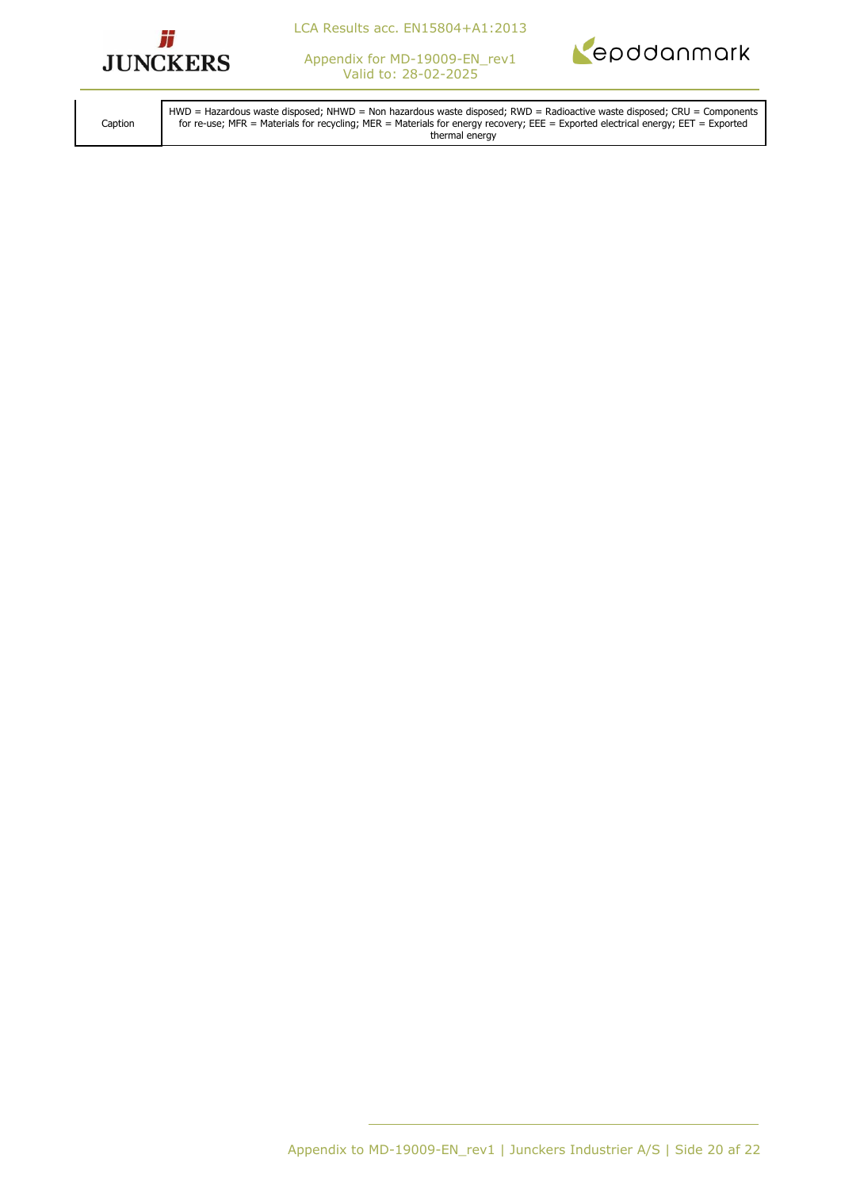

Appendix for MD-19009-EN\_rev1 Valid to: 28-02-2025



Caption HWD = Hazardous waste disposed; NHWD = Non hazardous waste disposed; RWD = Radioactive waste disposed; CRU = Components for re-use; MFR = Materials for recycling; MER = Materials for energy recovery; EEE = Exported electrical energy; EET = Exported thermal energy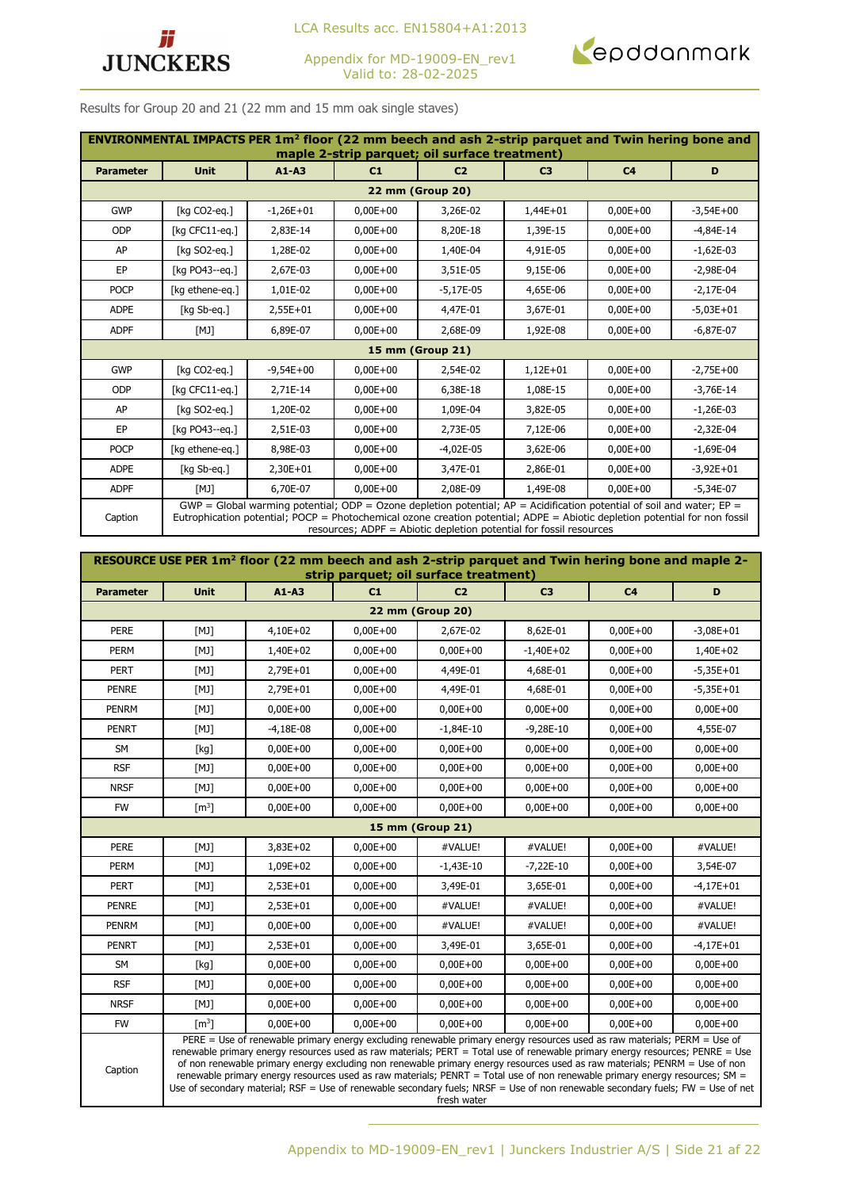

Appendix for MD-19009-EN\_rev1 Valid to: 28-02-2025



<span id="page-20-0"></span>Results for Group 20 and 21 (22 mm and 15 mm oak single staves)

| ENVIRONMENTAL IMPACTS PER 1m <sup>2</sup> floor (22 mm beech and ash 2-strip parquet and Twin hering bone and<br>maple 2-strip parquet; oil surface treatment) |                                                                                                                                                                                                                                                                                                                               |               |              |                  |                |                |               |  |  |
|----------------------------------------------------------------------------------------------------------------------------------------------------------------|-------------------------------------------------------------------------------------------------------------------------------------------------------------------------------------------------------------------------------------------------------------------------------------------------------------------------------|---------------|--------------|------------------|----------------|----------------|---------------|--|--|
| <b>Parameter</b>                                                                                                                                               | <b>Unit</b>                                                                                                                                                                                                                                                                                                                   | $A1 - A3$     | C1           | C <sub>2</sub>   | C <sub>3</sub> | C <sub>4</sub> | D             |  |  |
| <b>22 mm (Group 20)</b>                                                                                                                                        |                                                                                                                                                                                                                                                                                                                               |               |              |                  |                |                |               |  |  |
| <b>GWP</b>                                                                                                                                                     | [kg CO2-eq.]                                                                                                                                                                                                                                                                                                                  | $-1,26E+01$   | $0,00E+00$   | 3,26E-02         | $1,44E + 01$   | $0,00E+00$     | $-3,54E+00$   |  |  |
| ODP                                                                                                                                                            | [kg CFC11-eg.]                                                                                                                                                                                                                                                                                                                | 2,83E-14      | $0.00E + 00$ | 8,20E-18         | 1,39E-15       | $0.00E + 00$   | $-4.84E-14$   |  |  |
| AP                                                                                                                                                             | [kg SO2-eg.]                                                                                                                                                                                                                                                                                                                  | 1,28E-02      | $0,00E+00$   | 1,40E-04         | 4,91E-05       | $0,00E+00$     | $-1,62E-03$   |  |  |
| EP                                                                                                                                                             | [kg PO43--eg.]                                                                                                                                                                                                                                                                                                                | 2,67E-03      | $0.00E + 00$ | 3,51E-05         | 9,15E-06       | $0.00E + 00$   | $-2,98E-04$   |  |  |
| <b>POCP</b>                                                                                                                                                    | [kg ethene-eg.]                                                                                                                                                                                                                                                                                                               | 1,01E-02      | $0,00E + 00$ | $-5,17E-05$      | 4,65E-06       | $0,00E+00$     | $-2,17E-04$   |  |  |
| <b>ADPE</b>                                                                                                                                                    | [kg Sb-eq.]                                                                                                                                                                                                                                                                                                                   | $2,55E+01$    | $0.00E + 00$ | 4,47E-01         | 3,67E-01       | $0,00E+00$     | $-5,03E+01$   |  |  |
| <b>ADPF</b>                                                                                                                                                    | [MJ]                                                                                                                                                                                                                                                                                                                          | 6,89E-07      | $0.00E + 00$ | 2,68E-09         | 1,92E-08       | $0,00E+00$     | $-6,87E-07$   |  |  |
|                                                                                                                                                                |                                                                                                                                                                                                                                                                                                                               |               |              | 15 mm (Group 21) |                |                |               |  |  |
| <b>GWP</b>                                                                                                                                                     | [kg CO2-eg.]                                                                                                                                                                                                                                                                                                                  | $-9.54E + 00$ | $0.00E + 00$ | 2,54E-02         | $1,12E+01$     | $0.00E + 00$   | $-2.75E+00$   |  |  |
| ODP                                                                                                                                                            | [kg CFC11-eq.]                                                                                                                                                                                                                                                                                                                | 2,71E-14      | $0,00E + 00$ | 6,38E-18         | 1,08E-15       | $0,00E+00$     | $-3,76E-14$   |  |  |
| AP                                                                                                                                                             | [kg SO2-eg.]                                                                                                                                                                                                                                                                                                                  | 1,20E-02      | $0,00E + 00$ | 1,09E-04         | 3,82E-05       | $0.00E + 00$   | $-1,26E-03$   |  |  |
| EP                                                                                                                                                             | [kg PO43--eq.]                                                                                                                                                                                                                                                                                                                | 2,51E-03      | $0,00E + 00$ | 2,73E-05         | 7,12E-06       | $0,00E+00$     | $-2,32E-04$   |  |  |
| <b>POCP</b>                                                                                                                                                    | [kg ethene-eq.]                                                                                                                                                                                                                                                                                                               | 8,98E-03      | $0.00E + 00$ | $-4,02E-05$      | 3,62E-06       | $0.00E + 00$   | $-1,69E-04$   |  |  |
| <b>ADPE</b>                                                                                                                                                    | [kg Sb-eq.]                                                                                                                                                                                                                                                                                                                   | 2,30E+01      | $0.00E + 00$ | 3,47E-01         | 2,86E-01       | $0.00E + 00$   | $-3.92E + 01$ |  |  |
| <b>ADPF</b>                                                                                                                                                    | [MJ]                                                                                                                                                                                                                                                                                                                          | 6.70E-07      | $0.00E + 00$ | 2.08E-09         | 1,49E-08       | $0.00E + 00$   | $-5.34E-07$   |  |  |
| Caption                                                                                                                                                        | $GWP = Global$ warming potential; ODP = Ozone depletion potential; $AP =$ Acidification potential of soil and water; EP =<br>Eutrophication potential; POCP = Photochemical ozone creation potential; ADPE = Abiotic depletion potential for non fossil<br>resources; ADPF = Abiotic depletion potential for fossil resources |               |              |                  |                |                |               |  |  |

| RESOURCE USE PER 1m <sup>2</sup> floor (22 mm beech and ash 2-strip parquet and Twin hering bone and maple 2-<br>strip parquet; oil surface treatment) |                                                                                                                                                                                                                                                                                                                                                                                                                                                                                                                                                                                                                                                                          |              |              |                  |                |                |               |  |
|--------------------------------------------------------------------------------------------------------------------------------------------------------|--------------------------------------------------------------------------------------------------------------------------------------------------------------------------------------------------------------------------------------------------------------------------------------------------------------------------------------------------------------------------------------------------------------------------------------------------------------------------------------------------------------------------------------------------------------------------------------------------------------------------------------------------------------------------|--------------|--------------|------------------|----------------|----------------|---------------|--|
| <b>Parameter</b>                                                                                                                                       | <b>Unit</b>                                                                                                                                                                                                                                                                                                                                                                                                                                                                                                                                                                                                                                                              | $A1 - A3$    | C1           | C <sub>2</sub>   | C <sub>3</sub> | C <sub>4</sub> | D             |  |
| <b>22 mm (Group 20)</b>                                                                                                                                |                                                                                                                                                                                                                                                                                                                                                                                                                                                                                                                                                                                                                                                                          |              |              |                  |                |                |               |  |
| <b>PERE</b>                                                                                                                                            | [M]                                                                                                                                                                                                                                                                                                                                                                                                                                                                                                                                                                                                                                                                      | $4,10E+02$   | $0,00E + 00$ | 2,67E-02         | 8,62E-01       | $0,00E+00$     | $-3,08E + 01$ |  |
| <b>PERM</b>                                                                                                                                            | [MJ]                                                                                                                                                                                                                                                                                                                                                                                                                                                                                                                                                                                                                                                                     | 1,40E+02     | $0,00E+00$   | $0,00E+00$       | $-1,40E+02$    | $0,00E+00$     | 1,40E+02      |  |
| <b>PERT</b>                                                                                                                                            | [M]                                                                                                                                                                                                                                                                                                                                                                                                                                                                                                                                                                                                                                                                      | 2,79E+01     | $0,00E+00$   | 4,49E-01         | 4,68E-01       | $0,00E+00$     | $-5,35E+01$   |  |
| <b>PENRE</b>                                                                                                                                           | [M]                                                                                                                                                                                                                                                                                                                                                                                                                                                                                                                                                                                                                                                                      | 2,79E+01     | $0,00E + 00$ | 4,49E-01         | 4,68E-01       | $0,00E+00$     | $-5,35E+01$   |  |
| <b>PENRM</b>                                                                                                                                           | [M]                                                                                                                                                                                                                                                                                                                                                                                                                                                                                                                                                                                                                                                                      | $0,00E + 00$ | $0,00E + 00$ | $0,00E+00$       | $0,00E + 00$   | $0,00E+00$     | $0,00E+00$    |  |
| <b>PENRT</b>                                                                                                                                           | [MJ]                                                                                                                                                                                                                                                                                                                                                                                                                                                                                                                                                                                                                                                                     | $-4,18E-08$  | $0,00E+00$   | $-1,84E-10$      | $-9,28E-10$    | $0,00E+00$     | 4,55E-07      |  |
| <b>SM</b>                                                                                                                                              | [kg]                                                                                                                                                                                                                                                                                                                                                                                                                                                                                                                                                                                                                                                                     | $0,00E + 00$ | $0,00E + 00$ | $0,00E + 00$     | $0,00E + 00$   | $0,00E+00$     | $0,00E + 00$  |  |
| <b>RSF</b>                                                                                                                                             | [M]                                                                                                                                                                                                                                                                                                                                                                                                                                                                                                                                                                                                                                                                      | $0,00E+00$   | $0,00E+00$   | $0,00E+00$       | $0,00E+00$     | $0,00E+00$     | $0,00E+00$    |  |
| <b>NRSF</b>                                                                                                                                            | [MJ]                                                                                                                                                                                                                                                                                                                                                                                                                                                                                                                                                                                                                                                                     | $0,00E+00$   | $0,00E+00$   | $0,00E+00$       | $0,00E+00$     | $0,00E+00$     | $0,00E+00$    |  |
| <b>FW</b>                                                                                                                                              | $\lceil m^3 \rceil$                                                                                                                                                                                                                                                                                                                                                                                                                                                                                                                                                                                                                                                      | $0,00E + 00$ | $0,00E+00$   | $0,00E+00$       | $0,00E+00$     | $0,00E+00$     | $0,00E+00$    |  |
|                                                                                                                                                        |                                                                                                                                                                                                                                                                                                                                                                                                                                                                                                                                                                                                                                                                          |              |              | 15 mm (Group 21) |                |                |               |  |
| <b>PERE</b>                                                                                                                                            | [M]                                                                                                                                                                                                                                                                                                                                                                                                                                                                                                                                                                                                                                                                      | 3,83E+02     | $0,00E + 00$ | #VALUE!          | #VALUE!        | $0,00E+00$     | #VALUE!       |  |
| <b>PERM</b>                                                                                                                                            | [MJ]                                                                                                                                                                                                                                                                                                                                                                                                                                                                                                                                                                                                                                                                     | 1,09E+02     | $0,00E+00$   | $-1,43E-10$      | $-7,22E-10$    | $0,00E+00$     | 3,54E-07      |  |
| <b>PERT</b>                                                                                                                                            | [M]                                                                                                                                                                                                                                                                                                                                                                                                                                                                                                                                                                                                                                                                      | 2,53E+01     | $0,00E + 00$ | 3,49E-01         | 3,65E-01       | $0,00E+00$     | $-4,17E+01$   |  |
| <b>PENRE</b>                                                                                                                                           | [MJ]                                                                                                                                                                                                                                                                                                                                                                                                                                                                                                                                                                                                                                                                     | $2,53E+01$   | $0,00E+00$   | #VALUE!          | #VALUE!        | $0,00E+00$     | #VALUE!       |  |
| <b>PENRM</b>                                                                                                                                           | [MJ]                                                                                                                                                                                                                                                                                                                                                                                                                                                                                                                                                                                                                                                                     | $0,00E+00$   | $0,00E+00$   | #VALUE!          | #VALUE!        | $0,00E+00$     | #VALUE!       |  |
| <b>PENRT</b>                                                                                                                                           | [MJ]                                                                                                                                                                                                                                                                                                                                                                                                                                                                                                                                                                                                                                                                     | $2,53E+01$   | $0,00E+00$   | 3,49E-01         | 3,65E-01       | $0,00E+00$     | $-4,17E+01$   |  |
| <b>SM</b>                                                                                                                                              | [kg]                                                                                                                                                                                                                                                                                                                                                                                                                                                                                                                                                                                                                                                                     | $0,00E+00$   | $0,00E + 00$ | $0,00E+00$       | $0,00E+00$     | $0,00E+00$     | $0,00E+00$    |  |
| <b>RSF</b>                                                                                                                                             | [M]                                                                                                                                                                                                                                                                                                                                                                                                                                                                                                                                                                                                                                                                      | $0,00E+00$   | $0,00E + 00$ | $0,00E + 00$     | $0,00E + 00$   | $0,00E+00$     | $0,00E+00$    |  |
| <b>NRSF</b>                                                                                                                                            | [M]                                                                                                                                                                                                                                                                                                                                                                                                                                                                                                                                                                                                                                                                      | $0,00E+00$   | $0,00E + 00$ | $0,00E+00$       | $0,00E+00$     | $0,00E+00$     | $0,00E+00$    |  |
| <b>FW</b>                                                                                                                                              | $\lceil m^3 \rceil$                                                                                                                                                                                                                                                                                                                                                                                                                                                                                                                                                                                                                                                      | $0,00E+00$   | $0,00E + 00$ | $0,00E+00$       | $0,00E+00$     | $0,00E+00$     | $0,00E+00$    |  |
| Caption                                                                                                                                                | PERE = Use of renewable primary energy excluding renewable primary energy resources used as raw materials; PERM = Use of<br>renewable primary energy resources used as raw materials; PERT = Total use of renewable primary energy resources; PENRE = Use<br>of non renewable primary energy excluding non renewable primary energy resources used as raw materials; PENRM = Use of non<br>renewable primary energy resources used as raw materials; PENRT = Total use of non renewable primary energy resources; SM =<br>Use of secondary material; RSF = Use of renewable secondary fuels; NRSF = Use of non renewable secondary fuels; FW = Use of net<br>fresh water |              |              |                  |                |                |               |  |